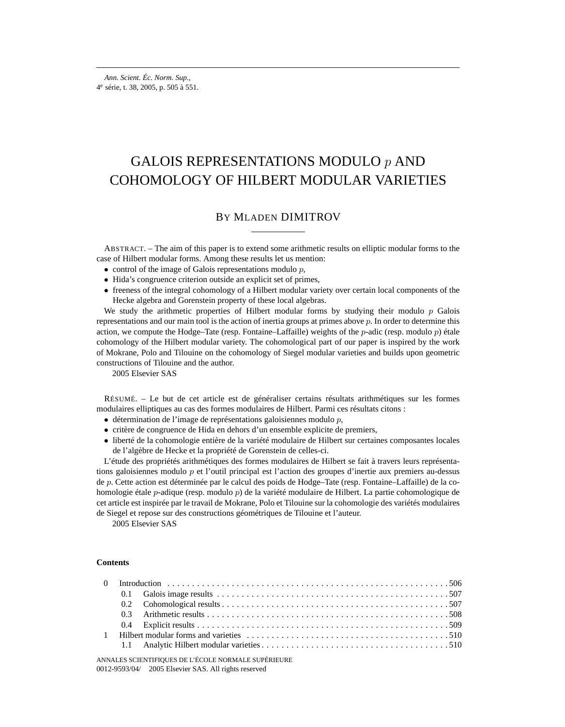# GALOIS REPRESENTATIONS MODULO p AND COHOMOLOGY OF HILBERT MODULAR VARIETIES

# BY MLADEN DIMITROV

ABSTRACT. – The aim of this paper is to extend some arithmetic results on elliptic modular forms to the case of Hilbert modular forms. Among these results let us mention:

- control of the image of Galois representations modulo  $p$ ,
- Hida's congruence criterion outside an explicit set of primes,
- freeness of the integral cohomology of a Hilbert modular variety over certain local components of the Hecke algebra and Gorenstein property of these local algebras.

We study the arithmetic properties of Hilbert modular forms by studying their modulo  $p$  Galois representations and our main tool is the action of inertia groups at primes above p. In order to determine this action, we compute the Hodge–Tate (resp. Fontaine–Laffaille) weights of the *p*-adic (resp. modulo *p*) étale cohomology of the Hilbert modular variety. The cohomological part of our paper is inspired by the work of Mokrane, Polo and Tilouine on the cohomology of Siegel modular varieties and builds upon geometric constructions of Tilouine and the author.

2005 Elsevier SAS

RÉSUMÉ. – Le but de cet article est de généraliser certains résultats arithmétiques sur les formes modulaires elliptiques au cas des formes modulaires de Hilbert. Parmi ces résultats citons :

- $\bullet$  détermination de l'image de représentations galoisiennes modulo  $p$ ,
- critère de congruence de Hida en dehors d'un ensemble explicite de premiers,
- liberté de la cohomologie entière de la variété modulaire de Hilbert sur certaines composantes locales de l'algèbre de Hecke et la propriété de Gorenstein de celles-ci.

L'étude des propriétés arithmétiques des formes modulaires de Hilbert se fait à travers leurs représentations galoisiennes modulo p et l'outil principal est l'action des groupes d'inertie aux premiers au-dessus de p. Cette action est déterminée par le calcul des poids de Hodge–Tate (resp. Fontaine–Laffaille) de la cohomologie étale p-adique (resp. modulo p) de la variété modulaire de Hilbert. La partie cohomologique de cet article est inspirée par le travail de Mokrane, Polo et Tilouine sur la cohomologie des variétés modulaires de Siegel et repose sur des constructions géométriques de Tilouine et l'auteur.

2005 Elsevier SAS

# **Contents**

ANNALES SCIENTIFIQUES DE L'ÉCOLE NORMALE SUPÉRIEURE 0012-9593/04/© 2005 Elsevier SAS. All rights reserved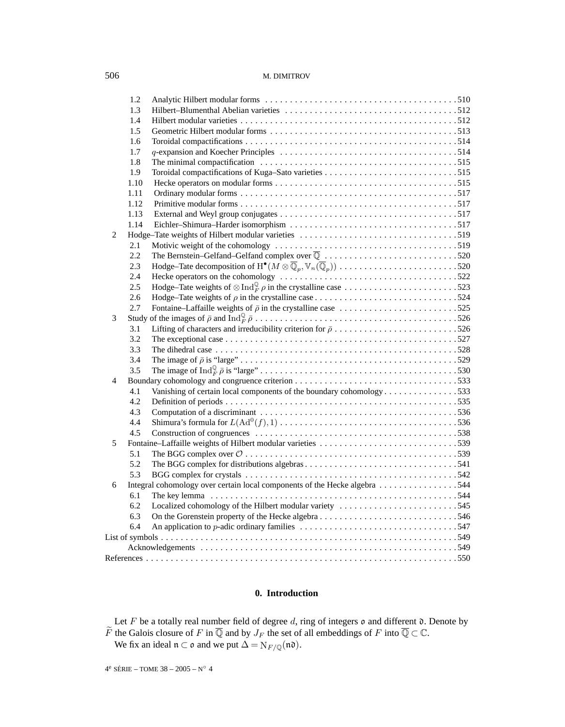|                | 1.2  |                                                                                                                         |  |
|----------------|------|-------------------------------------------------------------------------------------------------------------------------|--|
|                | 1.3  |                                                                                                                         |  |
|                | 1.4  |                                                                                                                         |  |
|                | 1.5  |                                                                                                                         |  |
|                | 1.6  |                                                                                                                         |  |
|                | 1.7  |                                                                                                                         |  |
|                | 1.8  |                                                                                                                         |  |
|                | 1.9  |                                                                                                                         |  |
|                | 1.10 |                                                                                                                         |  |
|                | 1.11 |                                                                                                                         |  |
|                | 1.12 |                                                                                                                         |  |
|                | 1.13 |                                                                                                                         |  |
|                | 1.14 |                                                                                                                         |  |
| 2              |      |                                                                                                                         |  |
|                | 2.1  |                                                                                                                         |  |
|                | 2.2  | The Bernstein-Gelfand-Gelfand complex over $\overline{\mathbb{Q}}$ 520                                                  |  |
|                | 2.3  | Hodge–Tate decomposition of $H^{\bullet}(M \otimes \overline{\mathbb{Q}}_p, \mathbb{V}_n(\overline{\mathbb{Q}}_p))$ 520 |  |
|                | 2.4  |                                                                                                                         |  |
|                | 2.5  | Hodge–Tate weights of $\otimes \text{Ind}_{F}^{\mathbb{Q}} \rho$ in the crystalline case 523                            |  |
|                | 2.6  |                                                                                                                         |  |
|                | 2.7  |                                                                                                                         |  |
| 3              |      |                                                                                                                         |  |
|                | 3.1  | Lifting of characters and irreducibility criterion for $\bar{\rho}$ 526                                                 |  |
|                | 3.2  |                                                                                                                         |  |
|                | 3.3  |                                                                                                                         |  |
|                | 3.4  |                                                                                                                         |  |
|                | 3.5  |                                                                                                                         |  |
| $\overline{4}$ |      |                                                                                                                         |  |
|                | 4.1  | Vanishing of certain local components of the boundary cohomology 533                                                    |  |
|                | 4.2  |                                                                                                                         |  |
|                | 4.3  |                                                                                                                         |  |
|                | 4.4  |                                                                                                                         |  |
|                | 4.5  |                                                                                                                         |  |
| 5              |      | Fontaine-Laffaille weights of Hilbert modular varieties 539                                                             |  |
|                | 5.1  |                                                                                                                         |  |
|                | 5.2  |                                                                                                                         |  |
|                | 5.3  |                                                                                                                         |  |
| 6              |      | Integral cohomology over certain local components of the Hecke algebra 544                                              |  |
|                | 6.1  |                                                                                                                         |  |
|                | 6.2  | Localized cohomology of the Hilbert modular variety 545                                                                 |  |
|                | 6.3  | On the Gorenstein property of the Hecke algebra546                                                                      |  |
|                | 6.4  |                                                                                                                         |  |
|                |      |                                                                                                                         |  |
|                |      |                                                                                                                         |  |
|                |      |                                                                                                                         |  |

# **0. Introduction**

Let F be a totally real number field of degree d, ring of integers  $\mathfrak o$  and different  $\mathfrak d$ . Denote by F the Galois closure of F in  $\mathbb Q$  and by  $J_F$  the set of all embeddings of F into  $\mathbb Q \subset \mathbb C$ .

We fix an ideal  $\mathfrak{n} \subset \mathfrak{o}$  and we put  $\Delta = N_{F/\mathbb{Q}}(\mathfrak{n} \mathfrak{d}).$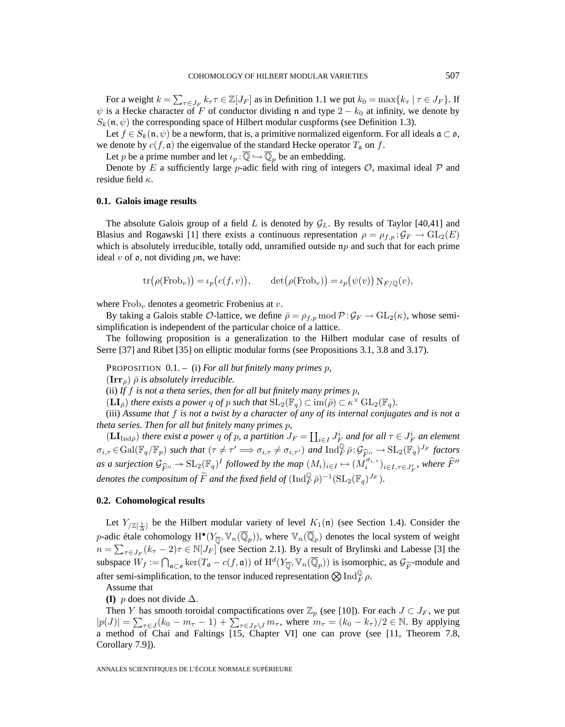For a weight  $k = \sum_{\tau \in J_F} k_{\tau} \tau \in \mathbb{Z}[J_F]$  as in Definition 1.1 we put  $k_0 = \max\{k_{\tau} | \tau \in J_F\}$ . If  $\psi$  is a Hecke character of F of conductor dividing n and type 2 –  $k_0$  at infinity, we denote by  $S_k(\mathfrak{n}, \psi)$  the corresponding space of Hilbert modular cuspforms (see Definition 1.3).

Let  $f \in S_k(\mathfrak{n}, \psi)$  be a newform, that is, a primitive normalized eigenform. For all ideals  $\mathfrak{a} \subset \mathfrak{o}$ , we denote by  $c(f, \mathfrak{a})$  the eigenvalue of the standard Hecke operator  $T_{\mathfrak{a}}$  on f.

Let p be a prime number and let  $\iota_p : \overline{\mathbb{Q}} \hookrightarrow \overline{\mathbb{Q}}_p$  be an embedding.

Denote by E a sufficiently large p-adic field with ring of integers  $\mathcal{O}$ , maximal ideal  $\mathcal{P}$  and residue field  $\kappa$ .

# **0.1. Galois image results**

The absolute Galois group of a field L is denoted by  $G_L$ . By results of Taylor [40,41] and Blasius and Rogawski [1] there exists a continuous representation  $\rho = \rho_{f,p} : \mathcal{G}_F \to GL_2(E)$ which is absolutely irreducible, totally odd, unramified outside  $np$  and such that for each prime ideal  $v$  of  $\rho$ , not dividing  $p$ n, we have:

$$
\text{tr}(\rho(\text{Frob}_v)) = \iota_p(c(f, v)), \qquad \text{det}(\rho(\text{Frob}_v)) = \iota_p(\psi(v)) \operatorname{N}_{F/\mathbb{Q}}(v),
$$

where  $Frob_v$  denotes a geometric Frobenius at  $v$ .

By taking a Galois stable  $\mathcal{O}\text{-}$ lattice, we define  $\bar{\rho} = \rho_{f,p} \mod \mathcal{P} : \mathcal{G}_F \to \text{GL}_2(\kappa)$ , whose semisimplification is independent of the particular choice of a lattice.

The following proposition is a generalization to the Hilbert modular case of results of Serre [37] and Ribet [35] on elliptic modular forms (see Propositions 3.1, 3.8 and 3.17).

PROPOSITION 0.1. – (i) *For all but finitely many primes* p*,*

 $({\bf Irr}_{\bar{\rho}})$   $\bar{\rho}$  *is absolutely irreducible.* 

(ii) *If* f *is not a theta series, then for all but finitely many primes* p*,*

 $(\mathbf{LI}_{\overline{\rho}})$  *there exists a power q of p such that*  $SL_2(\mathbb{F}_q) \subset \text{im}(\overline{\rho}) \subset \kappa^{\times} GL_2(\mathbb{F}_q)$ *.* 

(iii) *Assume that* f *is not a twist by a character of any of its internal conjugates and is not a theta series. Then for all but finitely many primes* p*,*

 $(LI_{\text{Ind}\bar{\rho}})$  *there exist a power q of p, a partition*  $J_F = \coprod_{i \in I} J_F^i$  *and for all*  $\tau \in J_F^i$  *an element*  $\sigma_{i,\tau} \in \text{Gal}(\mathbb{F}_q/\mathbb{F}_p)$  *such that*  $(\tau \neq \tau' \implies \sigma_{i,\tau} \neq \sigma_{i,\tau'})$  *and*  $\text{Ind}_{F}^{\mathbb{Q}} \bar{\rho}: \mathcal{G}_{\widehat{F}''} \to \text{SL}_2(\mathbb{F}_q)^{J_F}$  *factors*<br>*as a surjection*  $G_{i,\tau}$  is  $\text{SL}_2(\mathbb{F}_q)$  followed by the map  $(M)$  is *as a surjection*  $\mathcal{G}_{\widehat{F}''} \to \mathrm{SL}_2(\mathbb{F}_q)^I$  *followed by the map*  $(M_i)_{i \in I} \mapsto (M_i^{\sigma_{i,\tau}})_{i \in I, \tau \in J_F^i}$ *, where*  $\widehat{F}''$  *durates the composition of*  $\widetilde{F}$  *multhe find field of*  $(L, J^0, \tau) = 1$  ( $\text{Tr } (J$ *denotes the compositum of*  $\widetilde{F}$  *and the fixed field of*  $(\mathrm{Ind}_F^{\mathbb{Q}} \bar{\rho})^{-1} (\mathrm{SL}_2(\mathbb{F}_q)^{J_F})$ *.* 

# **0.2. Cohomological results**

Let  $Y_{\mathbb{Z}[\frac{1}{\Delta}]}$  be the Hilbert modular variety of level  $K_1(\mathfrak{n})$  (see Section 1.4). Consider the p-adic étale cohomology  $H^{\bullet}(Y_{\overline{0}}, V_n(\overline{\mathbb{Q}}_p))$ , where  $V_n(\overline{\mathbb{Q}}_p)$  denotes the local system of weight  $n = \sum_{\tau \in J_F} (k_{\tau} - 2)\tau \in \mathbb{N}[J_F]$  (see Section 2.1). By a result of Brylinski and Labesse [3] the subspace  $W_f := \bigcap_{\mathfrak{a} \subset \mathfrak{o}} \ker(T_{\mathfrak{a}} - c(f, \mathfrak{a}))$  of  $H^d(Y_{\overline{\mathbb{Q}}}, \mathbb{V}_n(\overline{\mathbb{Q}}_p))$  is isomorphic, as  $\mathcal{G}_{\widetilde{F}}$ -module and after semi-simplification, to the tensor induced representation  $\bigotimes \operatorname{Ind}_F^{\mathbb Q} \rho.$ 

Assume that

**(I)** p does not divide ∆.

Then Y has smooth toroidal compactifications over  $\mathbb{Z}_p$  (see [10]). For each  $J \subset J_F$ , we put  $|p(J)| = \sum_{\tau \in J} (k_0 - m_{\tau} - 1) + \sum_{\tau \in J_F \setminus J} m_{\tau}$ , where  $m_{\tau} = (k_0 - k_{\tau})/2 \in \mathbb{N}$ . By applying a method of Chai and Faltings [15, Chapter VI] one can prove (see [11, Theorem 7.8, Corollary 7.9]).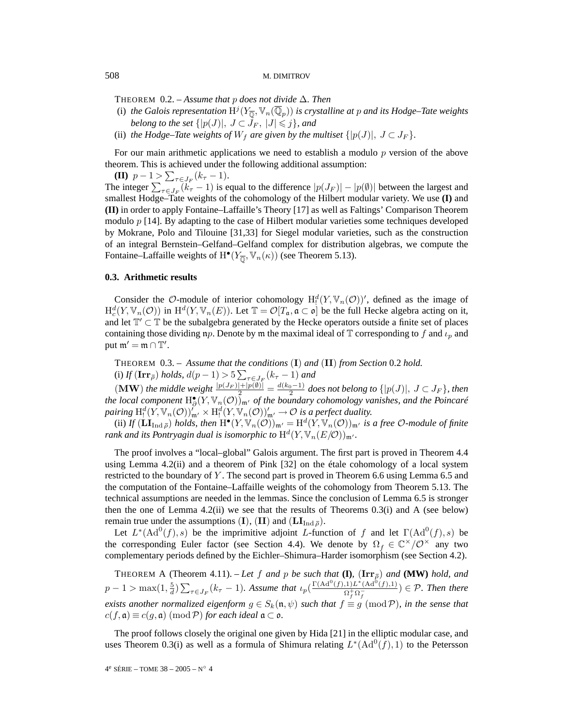THEOREM 0.2. – *Assume that* p *does not divide* ∆*. Then*

- (i) *the Galois representation*  $H^j(Y_{\overline{0}}, V_n(\overline{\mathbb{Q}}_p))$  *is crystalline at p and its Hodge–Tate weights belong to the set*  $\{|p(J)|, J \subset J_F, |J| \leqslant j\}$ , and
- (ii) *the Hodge–Tate weights of*  $W_f$  *are given by the multiset*  $\{|p(J)|, J \subset J_F\}$ *.*

For our main arithmetic applications we need to establish a modulo p version of the above theorem. This is achieved under the following additional assumption:

**(II)**  $p-1 > \sum_{\tau \in J_F} (k_{\tau} - 1).$ The integer  $\sum_{\tau \in J_F} (k_{\tau} - 1)$  is equal to the difference  $|p(J_F)| - |p(\emptyset)|$  between the largest and smallest Hodge–Tate weights of the cohomology of the Hilbert modular variety. We use **(I)** and **(II)** in order to apply Fontaine–Laffaille's Theory [17] as well as Faltings' Comparison Theorem modulo p [14]. By adapting to the case of Hilbert modular varieties some techniques developed by Mokrane, Polo and Tilouine [31,33] for Siegel modular varieties, such as the construction of an integral Bernstein–Gelfand–Gelfand complex for distribution algebras, we compute the Fontaine–Laffaille weights of  $H^{\bullet}(Y_{\overline{0}}, \mathbb{V}_n(\kappa))$  (see Theorem 5.13).

## **0.3. Arithmetic results**

Consider the  $\mathcal{O}$ -module of interior cohomology  $H^d_!(Y, \mathbb{V}_n(\mathcal{O}))'$ , defined as the image of  $H_c^d(Y, \mathbb{V}_n(\mathcal{O}))$  in  $H^d(Y, \mathbb{V}_n(E))$ . Let  $\mathbb{T} = \mathcal{O}[T_\mathfrak{a}, \mathfrak{a} \subset \mathfrak{o}]$  be the full Hecke algebra acting on it, and let  $\mathbb{T}' \subset \mathbb{T}$  be the subalgebra generated by the Hecke operators outside a finite set of places containing those dividing np. Denote by m the maximal ideal of  $\mathbb T$  corresponding to f and  $\iota_p$  and put  $\mathfrak{m}' = \mathfrak{m} \cap \mathbb{T}'$ .

THEOREM 0.3. – *Assume that the conditions* (**I**) *and* (**II**) *from Section* 0.2 *hold.* (i) *If*  $(\mathbf{Irr}_{\bar{\rho}})$  *holds,*  $d(p-1) > 5 \sum_{\tau \in J_F} (k_{\tau} - 1)$  *and* 

 $\mathcal{L}(\textbf{MW})$  *the middle weight*  $\frac{|p(J_F)|+|p(\emptyset)|}{2} = \frac{d(k_0-1)}{2}$  does not belong to  $\{|p(J)|, J \subset J_F\}$ *, then* the local component  $H_{\partial}^{\bullet}(Y, \mathbb{V}_n(\mathcal{O}))_{\mathfrak{m}'}$  of the boundary cohomology vanishes, and the Poincaré pairing  $\mathrm{H}^d(\mathrm{Y}, \mathbb{V}_n(\mathcal{O}))'_{\mathfrak{m}'} \times \mathrm{H}^d(\mathrm{Y}, \mathbb{V}_n(\mathcal{O}))'_{\mathfrak{m}'} \to \mathcal{O}$  is a perfect duality.

(ii) If  $(\mathbf{LI}_{\mathrm{Ind}\bar{\rho}})$  *holds, then*  $\mathrm{H}^{\bullet}(Y, \mathbb{V}_n(\mathcal{O}))_{\mathfrak{m}'} = \mathrm{H}^d(Y, \mathbb{V}_n(\mathcal{O}))_{\mathfrak{m}'}$  *is a free*  $\mathcal{O}\text{-module of finite}$ *rank and its Pontryagin dual is isomorphic to*  $\mathrm{H}^d(Y, \mathbb{V}_n(E/\mathcal{O}))_{\mathfrak{m}'}$ .

The proof involves a "local–global" Galois argument. The first part is proved in Theorem 4.4 using Lemma 4.2(ii) and a theorem of Pink [32] on the étale cohomology of a local system restricted to the boundary of Y. The second part is proved in Theorem 6.6 using Lemma 6.5 and the computation of the Fontaine–Laffaille weights of the cohomology from Theorem 5.13. The technical assumptions are needed in the lemmas. Since the conclusion of Lemma 6.5 is stronger then the one of Lemma  $4.2(ii)$  we see that the results of Theorems  $0.3(i)$  and A (see below) remain true under the assumptions (**I**), (**II**) and ( $LI_{Ind\bar{p}}$ ).

Let  $L^*(\text{Ad}^0(f), s)$  be the imprimitive adjoint L-function of f and let  $\Gamma(\text{Ad}^0(f), s)$  be the corresponding Euler factor (see Section 4.4). We denote by  $\Omega_f \in \mathbb{C}^\times/\mathcal{O}^\times$  any two complementary periods defined by the Eichler–Shimura–Harder isomorphism (see Section 4.2).

THEOREM A (Theorem 4.11). – Let f and p be such that  $(I)$ ,  $(\text{Irr}_{\bar{p}})$  and  $(MW)$  hold, and  $p-1 > \max(1, \frac{5}{d}) \sum_{\tau \in J_F} (k_{\tau} - 1)$ . Assume that  $\iota_p(\frac{\Gamma(\text{Ad}^0(f),1)L^*(\text{Ad}^0(f),1)}{\Omega_f^+\Omega_f^-}) \in \mathcal{P}$ . Then there *exists another normalized eigenform*  $g \in S_k(\mathfrak{n}, \psi)$  *such that*  $f \equiv g \pmod{P}$ *, in the sense that*  $c(f, \mathfrak{a}) \equiv c(g, \mathfrak{a}) \pmod{\mathcal{P}}$  *for each ideal*  $\mathfrak{a} \subset \mathfrak{o}$ *.* 

The proof follows closely the original one given by Hida [21] in the elliptic modular case, and uses Theorem 0.3(i) as well as a formula of Shimura relating  $L^*(\text{Ad}^0(f), 1)$  to the Petersson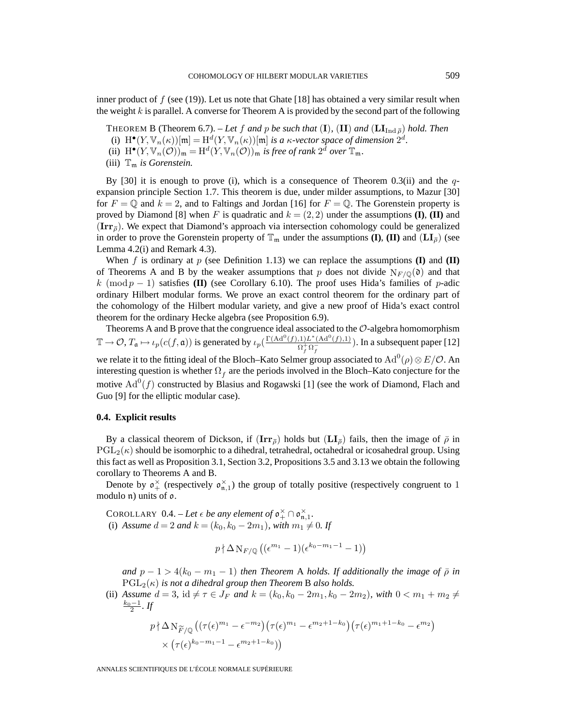inner product of  $f$  (see (19)). Let us note that Ghate [18] has obtained a very similar result when the weight k is parallel. A converse for Theorem A is provided by the second part of the following

THEOREM B (Theorem 6.7). – Let f and p be such that (I), (II) and ( $\text{LI}_{\text{Ind } \bar{\rho}}$ ) hold. Then

- (i)  $H^{\bullet}(Y, \mathbb{V}_n(\kappa))[\mathfrak{m}]=H^d(Y, \mathbb{V}_n(\kappa))[\mathfrak{m}]$  *is a*  $\kappa$ *-vector space of dimension*  $2^d$ *.*
- (ii)  $H^{\bullet}(Y, \mathbb{V}_n(\mathcal{O}))_{\mathfrak{m}} = H^d(Y, \mathbb{V}_n(\mathcal{O}))_{\mathfrak{m}}$  *is free of rank*  $2^d$  *over*  $\mathbb{T}_{\mathfrak{m}}$ *.*

(iii)  $\mathbb{T}_m$  *is Gorenstein.* 

By [30] it is enough to prove (i), which is a consequence of Theorem 0.3(ii) and the  $q$ expansion principle Section 1.7. This theorem is due, under milder assumptions, to Mazur [30] for  $F = \mathbb{Q}$  and  $k = 2$ , and to Faltings and Jordan [16] for  $F = \mathbb{Q}$ . The Gorenstein property is proved by Diamond [8] when F is quadratic and  $k = (2, 2)$  under the assumptions **(I)**, **(II)** and  $(\mathbf{Irr}_{\bar{\rho}})$ . We expect that Diamond's approach via intersection cohomology could be generalized in order to prove the Gorenstein property of  $\mathbb{T}_m$  under the assumptions **(I)**, **(II)** and  $(L\mathbf{I}_{\bar{p}})$  (see Lemma 4.2(i) and Remark 4.3).

When f is ordinary at p (see Definition 1.13) we can replace the assumptions **(I)** and **(II)** of Theorems A and B by the weaker assumptions that p does not divide  $N_{F/\mathbb{Q}}(d)$  and that k (mod  $p - 1$ ) satisfies **(II)** (see Corollary 6.10). The proof uses Hida's families of p-adic ordinary Hilbert modular forms. We prove an exact control theorem for the ordinary part of the cohomology of the Hilbert modular variety, and give a new proof of Hida's exact control theorem for the ordinary Hecke algebra (see Proposition 6.9).

Theorems A and B prove that the congruence ideal associated to the  $\mathcal{O}$ -algebra homomorphism  $\mathbb{T} \to \mathcal{O}, T_{\mathfrak{a}} \mapsto \iota_p(c(f, \mathfrak{a}))$  is generated by  $\iota_p\left(\frac{\Gamma(\mathrm{Ad}^0(f),1)L^*(\mathrm{Ad}^0(f),1)}{\Omega_f^+\Omega_f}\right)$ . In a subsequent paper [12] we relate it to the fitting ideal of the Bloch–Kato Selmer group associated to  $\text{Ad}^0(\rho)\otimes E/\mathcal{O}.$  An interesting question is whether  $\Omega_f$  are the periods involved in the Bloch–Kato conjecture for the

motive  $\text{Ad}^0(f)$  constructed by Blasius and Rogawski [1] (see the work of Diamond, Flach and Guo [9] for the elliptic modular case).

# **0.4. Explicit results**

By a classical theorem of Dickson, if  $(\mathbf{Irr}_{\overline{p}})$  holds but  $(\mathbf{LI}_{\overline{p}})$  fails, then the image of  $\overline{p}$  in  $PGL_2(\kappa)$  should be isomorphic to a dihedral, tetrahedral, octahedral or icosahedral group. Using this fact as well as Proposition 3.1, Section 3.2, Propositions 3.5 and 3.13 we obtain the following corollary to Theorems A and B.

Denote by  $\mathfrak{o}^{\times}_{+}$  (respectively  $\mathfrak{o}^{\times}_{n,1}$ ) the group of totally positive (respectively congruent to 1 modulo n) units of o.

COROLLARY 0.4. – Let  $\epsilon$  be any element of  $\mathfrak{o}_+^{\times} \cap \mathfrak{o}_{\mathfrak{n},1}^{\times}$ . (i) *Assume*  $d = 2$  *and*  $k = (k_0, k_0 - 2m_1)$ *, with*  $m_1 \neq 0$ *. If* 

$$
p \nmid \Delta \operatorname{N}_{F/\mathbb{Q}} \left( (\epsilon^{m_1} - 1)(\epsilon^{k_0 - m_1 - 1} - 1) \right)
$$

*and*  $p - 1 > 4(k_0 - m_1 - 1)$  *then Theorem A holds. If additionally the image of*  $\bar{\rho}$  *in*  $PGL_2(\kappa)$  *is not a dihedral group then Theorem B also holds.* 

(ii) *Assume*  $d = 3$ , id  $\neq \tau \in J_F$  *and*  $k = (k_0, k_0 - 2m_1, k_0 - 2m_2)$ *, with*  $0 < m_1 + m_2 \neq$  $\frac{k_0-1}{2}$ . If

$$
p \n\n\wedge \Delta \mathcal{N}_{\widetilde{F}/\mathbb{Q}} \left( (\tau(\epsilon)^{m_1} - \epsilon^{-m_2}) (\tau(\epsilon)^{m_1} - \epsilon^{m_2+1-k_0}) (\tau(\epsilon)^{m_1+1-k_0} - \epsilon^{m_2}) \right) \times (\tau(\epsilon)^{k_0-m_1-1} - \epsilon^{m_2+1-k_0})
$$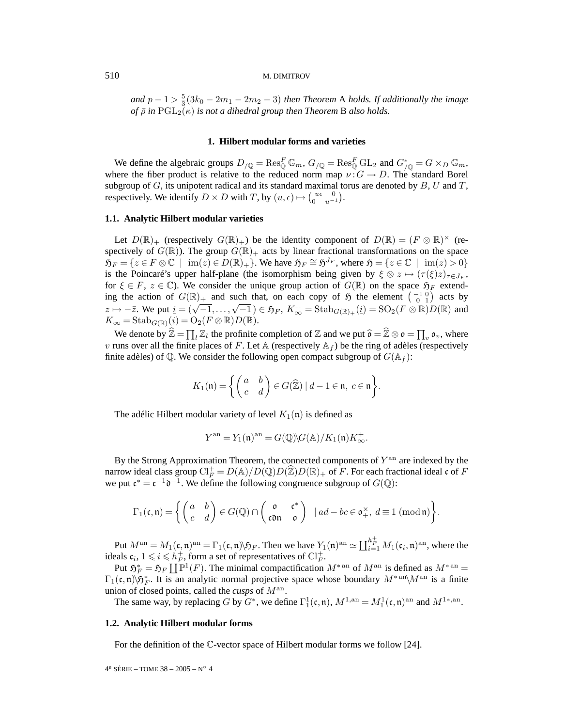*and*  $p - 1 > \frac{5}{3}(3k_0 - 2m_1 - 2m_2 - 3)$  *then Theorem* A *holds. If additionally the image of*  $\bar{\rho}$  *in* PGL<sub>2</sub>( $\kappa$ ) *is not a dihedral group then Theorem* **B** *also holds.* 

# **1. Hilbert modular forms and varieties**

We define the algebraic groups  $D_{\sqrt{Q}} = \text{Res}_{\mathbb{Q}}^F \mathbb{G}_m$ ,  $G_{\sqrt{Q}} = \text{Res}_{\mathbb{Q}}^F \text{GL}_2$  and  $G_{\sqrt{Q}}^* = G \times_D \mathbb{G}_m$ , where the fiber product is relative to the reduced norm map  $\nu$ :  $G \rightarrow D$ . The standard Borel subgroup of  $G$ , its unipotent radical and its standard maximal torus are denoted by  $B$ ,  $U$  and  $T$ , respectively. We identify  $D \times D$  with T, by  $(u, \epsilon) \mapsto \begin{pmatrix} u\epsilon & 0 \\ 0 & u^{-1} \end{pmatrix}$ .

# **1.1. Analytic Hilbert modular varieties**

Let  $D(\mathbb{R})_+$  (respectively  $G(\mathbb{R})_+$ ) be the identity component of  $D(\mathbb{R})=(F \otimes \mathbb{R})^\times$  (respectively of  $G(\mathbb{R})$ . The group  $G(\mathbb{R})_+$  acts by linear fractional transformations on the space  $\mathfrak{H}_F = \{z \in F \otimes \mathbb{C} \mid \text{ im}(z) \in D(\mathbb{R})_+\}$ . We have  $\mathfrak{H}_F \cong \mathfrak{H}^{J_F}$ , where  $\mathfrak{H} = \{z \in \mathbb{C} \mid \text{ im}(z) > 0\}$ is the Poincaré's upper half-plane (the isomorphism being given by  $\xi \otimes z \mapsto (\tau(\xi)z)_{\tau \in J_F}$ , for  $\xi \in F$ ,  $z \in \mathbb{C}$ ). We consider the unique group action of  $G(\mathbb{R})$  on the space  $\mathfrak{H}_F$  extending the action of  $G(\mathbb{R})_+$  and such that, on each copy of  $\mathfrak H$  the element  $\begin{pmatrix} -1 & 0 \\ 0 & 1 \end{pmatrix}$  acts by  $z \mapsto -\overline{z}$ . We put  $\underline{i} = (\sqrt{-1}, \ldots, \sqrt{-1}) \in \mathfrak{H}_F$ ,  $K^+_{\infty} = \text{Stab}_{G(\mathbb{R})_+}(\underline{i}) = \text{SO}_2(F \otimes \mathbb{R})D(\mathbb{R})$  and  $K_{\infty} = \text{Stab}_{G(\mathbb{R})}(\underline{i}) = O_2(F \otimes \mathbb{R})D(\mathbb{R}).$ 

We denote by  $\hat{\mathbb{Z}} = \prod_l \mathbb{Z}_l$  the profinite completion of  $\mathbb{Z}$  and we put  $\hat{\mathfrak{o}} = \hat{\mathbb{Z}} \otimes \mathfrak{o} = \prod_v \mathfrak{o}_v$ , where v runs over all the finite places of F. Let  $\mathbb A$  (respectively  $\mathbb A_f$ ) be the ring of adèles (respectively finite adèles) of Q. We consider the following open compact subgroup of  $G(\mathbb{A}_f)$ :

$$
K_1(\mathfrak{n}) = \left\{ \begin{pmatrix} a & b \\ c & d \end{pmatrix} \in G(\widehat{\mathbb{Z}}) \mid d - 1 \in \mathfrak{n}, \ c \in \mathfrak{n} \right\}.
$$

The adélic Hilbert modular variety of level  $K_1(\mathfrak{n})$  is defined as

$$
Y^{\mathrm{an}}=Y_1(\mathfrak{n})^{\mathrm{an}}=G(\mathbb{Q})\backslash G(\mathbb{A})/K_1(\mathfrak{n})K_\infty^+.
$$

By the Strong Approximation Theorem, the connected components of  $Y<sup>an</sup>$  are indexed by the narrow ideal class group  $\text{Cl}_F^+ = D(\mathbb{A})/D(\mathbb{Q})D(\mathbb{Z})D(\mathbb{R})_+$  of  $\overline{F}$ . For each fractional ideal c of  $F$ we put  $\mathfrak{c}^* = \mathfrak{c}^{-1} \mathfrak{d}^{-1}$ . We define the following congruence subgroup of  $G(\mathbb{Q})$ :

$$
\Gamma_1(\mathfrak{c},\mathfrak{n}) = \left\{ \begin{pmatrix} a & b \\ c & d \end{pmatrix} \in G(\mathbb{Q}) \cap \begin{pmatrix} \mathfrak{o} & \mathfrak{c}^* \\ \mathfrak{con} & \mathfrak{o} \end{pmatrix} \mid ad - bc \in \mathfrak{o}_+^{\times}, d \equiv 1 \pmod{\mathfrak{n}} \right\}.
$$

Put  $M^{\text{an}} = M_1(\mathfrak{c}, \mathfrak{n})^{\text{an}} = \Gamma_1(\mathfrak{c}, \mathfrak{n}) \backslash \mathfrak{H}_F$ . Then we have  $Y_1(\mathfrak{n})^{\text{an}} \simeq \coprod_{i=1}^{h_F^+} M_1(\mathfrak{c}_i, \mathfrak{n})^{\text{an}}$ , where the ideals  $\mathfrak{c}_i$ ,  $1 \leqslant i \leqslant h_F^+$ , form a set of representatives of  $\mathrm{Cl}_F^+$ .

Put  $\mathfrak{H}_F = \mathfrak{H}_F \coprod \mathbb{P}^1(F)$ . The minimal compactification  $M^{*}$  and of  $M^{an}$  is defined as  $M^{*}$  and  $\Gamma_1(\mathfrak{c}, \mathfrak{n})\backslash \mathfrak{H}_F^*$ . It is an analytic normal projective space whose boundary  $M^{*an}\backslash M^{an}$  is a finite union of closed points, called the *cusps* of  $M^{\rm an}$ .

The same way, by replacing G by  $G^*$ , we define  $\Gamma_1^1(\mathfrak{c},\mathfrak{n})$ ,  $M^{1,\mathrm{an}} = M_1^1(\mathfrak{c},\mathfrak{n})^{\mathrm{an}}$  and  $M^{1*,\mathrm{an}}$ .

# **1.2. Analytic Hilbert modular forms**

For the definition of the C-vector space of Hilbert modular forms we follow [24].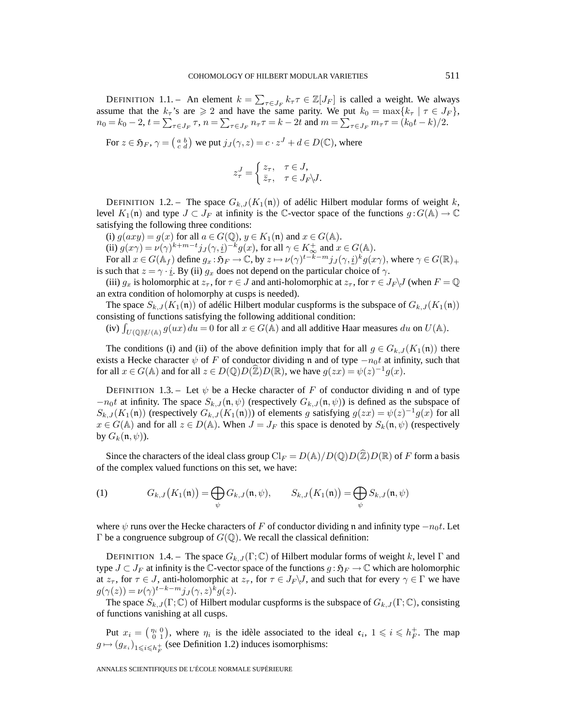DEFINITION 1.1. – An element  $k = \sum_{\tau \in J_F} k_{\tau} \tau \in \mathbb{Z}[J_F]$  is called a weight. We always assume that the  $k_\tau$ 's are  $\geq 2$  and have the same parity. We put  $k_0 = \max\{k_\tau \mid \tau \in J_F\}$ ,  $n_0 = k_0 - 2, t = \sum_{\tau \in J_F} \tau$ ,  $n = \sum_{\tau \in J_F} n_{\tau} \tau = k - 2t$  and  $m = \sum_{\tau \in J_F} m_{\tau} \tau = (k_0 t - k)/2$ .

For  $z \in \mathfrak{H}_F$ ,  $\gamma = \begin{pmatrix} a & b \\ c & d \end{pmatrix}$  we put  $j_J(\gamma, z) = c \cdot z^J + d \in D(\mathbb{C})$ , where

$$
z_{\tau}^{J} = \begin{cases} z_{\tau}, & \tau \in J, \\ \bar{z}_{\tau}, & \tau \in J_F \backslash J. \end{cases}
$$

DEFINITION 1.2. – The space  $G_{k,J}(K_1(\mathfrak{n}))$  of adélic Hilbert modular forms of weight k, level  $K_1(\mathfrak{n})$  and type  $J \subset J_F$  at infinity is the C-vector space of the functions  $g: G(\mathbb{A}) \to \mathbb{C}$ satisfying the following three conditions:

(i)  $g(axy) = g(x)$  for all  $a \in G(\mathbb{Q})$ ,  $y \in K_1(\mathfrak{n})$  and  $x \in G(\mathbb{A})$ .

(ii)  $g(x\gamma) = \nu(\gamma)^{k+m-t} j_J(\gamma, \underline{i})^{-k} g(x)$ , for all  $\gamma \in K_{\infty}^+$  and  $x \in G(\mathbb{A})$ .

For all  $x \in G(\mathbb{A}_f)$  define  $g_x : \mathfrak{H}_F \to \mathbb{C}$ , by  $z \mapsto \nu(\gamma)^{t-k-m} j_J(\gamma, \underline{i})^k g(x\gamma)$ , where  $\gamma \in G(\mathbb{R})_+$ is such that  $z = \gamma \cdot i$ . By (ii)  $g_x$  does not depend on the particular choice of  $\gamma$ .

(iii)  $g_x$  is holomorphic at  $z_\tau$ , for  $\tau \in J$  and anti-holomorphic at  $z_\tau$ , for  $\tau \in J_F\setminus J$  (when  $F = \mathbb{Q}$ ) an extra condition of holomorphy at cusps is needed).

The space  $S_{k,J}(K_1(\mathfrak{n}))$  of adélic Hilbert modular cuspforms is the subspace of  $G_{k,J}(K_1(\mathfrak{n}))$ consisting of functions satisfying the following additional condition:

(iv)  $\int_{U(\mathbb{Q})\backslash U(\mathbb{A})} g(ux) du = 0$  for all  $x \in G(\mathbb{A})$  and all additive Haar measures du on  $U(\mathbb{A})$ .

The conditions (i) and (ii) of the above definition imply that for all  $g \in G_{k,J}(K_1(\mathfrak{n}))$  there exists a Hecke character  $\psi$  of F of conductor dividing n and of type  $-n_0t$  at infinity, such that for all  $x \in G(\mathbb{A})$  and for all  $z \in D(\mathbb{Q})D(\widehat{\mathbb{Z}})D(\mathbb{R})$ , we have  $g(zx) = \psi(z)^{-1}g(x)$ .

DEFINITION 1.3. – Let  $\psi$  be a Hecke character of F of conductor dividing n and of type  $-n_0t$  at infinity. The space  $S_{k,J}(\mathfrak{n}, \psi)$  (respectively  $G_{k,J}(\mathfrak{n}, \psi)$ ) is defined as the subspace of  $S_{k,J}(K_1(\mathfrak{n}))$  (respectively  $G_{k,J}(K_1(\mathfrak{n}))$ ) of elements g satisfying  $g(zx) = \psi(z)^{-1}g(x)$  for all  $x \in G(\mathbb{A})$  and for all  $z \in D(\mathbb{A})$ . When  $J = J_F$  this space is denoted by  $S_k(\mathfrak{n}, \psi)$  (respectively by  $G_k(\mathfrak{n}, \psi)$ ).

Since the characters of the ideal class group  $\text{Cl}_F = D(\mathbb{A})/D(\mathbb{O})D(\hat{\mathbb{Z}})D(\mathbb{R})$  of F form a basis of the complex valued functions on this set, we have:

(1) 
$$
G_{k,J}(K_1(\mathfrak{n})) = \bigoplus_{\psi} G_{k,J}(\mathfrak{n},\psi), \qquad S_{k,J}(K_1(\mathfrak{n})) = \bigoplus_{\psi} S_{k,J}(\mathfrak{n},\psi)
$$

where  $\psi$  runs over the Hecke characters of F of conductor dividing n and infinity type  $-n_0t$ . Let Γ be a congruence subgroup of  $G(\mathbb{Q})$ . We recall the classical definition:

DEFINITION 1.4. – The space  $G_{k,J}(\Gamma;\mathbb{C})$  of Hilbert modular forms of weight k, level  $\Gamma$  and type  $J \subset J_F$  at infinity is the C-vector space of the functions  $g : \mathfrak{H}_F \to \mathbb{C}$  which are holomorphic at  $z_{\tau}$ , for  $\tau \in J$ , anti-holomorphic at  $z_{\tau}$ , for  $\tau \in J_F\setminus J$ , and such that for every  $\gamma \in \Gamma$  we have  $g(\gamma(z)) = \nu(\gamma)^{t-k-m} j_J(\gamma, z)^k g(z).$ 

The space  $S_{k,J}(\Gamma;\mathbb{C})$  of Hilbert modular cuspforms is the subspace of  $G_{k,J}(\Gamma;\mathbb{C})$ , consisting of functions vanishing at all cusps.

Put  $x_i = \binom{\eta_i}{0}$ , where  $\eta_i$  is the idèle associated to the ideal  $\mathfrak{c}_i$ ,  $1 \leq i \leq h_F^+$ . The map  $g \mapsto (g_{x_i})_{1 \leq i \leq h_F^+}$  (see Definition 1.2) induces isomorphisms: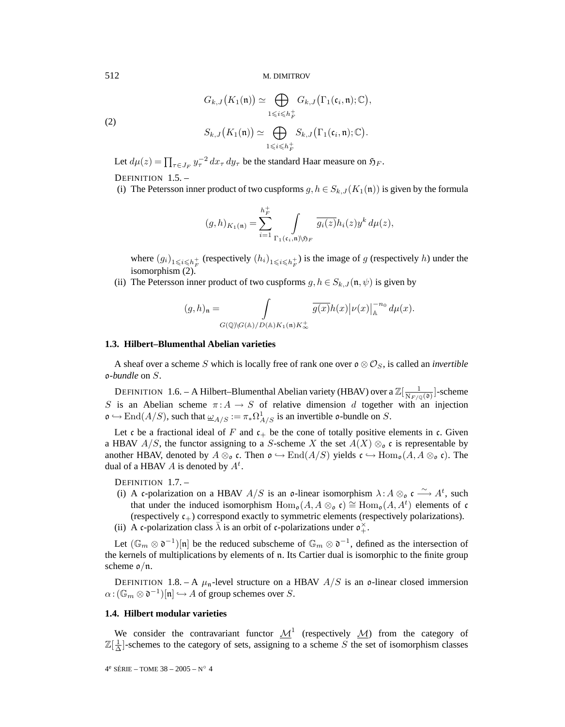$$
G_{k,J}(K_1(\mathfrak{n})) \simeq \bigoplus_{1 \leqslant i \leqslant h_F^+} G_{k,J}(\Gamma_1(\mathfrak{c}_i, \mathfrak{n}); \mathbb{C}),
$$
  

$$
S_{k,J}(K_1(\mathfrak{n})) \simeq \bigoplus_{1 \leqslant i \leqslant h_F^+} S_{k,J}(\Gamma_1(\mathfrak{c}_i, \mathfrak{n}); \mathbb{C}).
$$

(2)

Let 
$$
d\mu(z) = \prod_{\tau \in J_F} y_{\tau}^{-2} dx_{\tau} dy_{\tau}
$$
 be the standard Haar measure on  $\mathfrak{H}_F$ .

DEFINITION 1.5. –

(i) The Petersson inner product of two cuspforms  $g, h \in S_{k,J}(K_1(\mathfrak{n}))$  is given by the formula

$$
(g,h)_{K_1(\mathfrak{n})} = \sum_{i=1}^{h_F^+} \int\limits_{\Gamma_1(\mathfrak{c}_i,\mathfrak{n}) \backslash \mathfrak{H}_F} \overline{g_i(z)} h_i(z) y^k \, d\mu(z),
$$

where  $(g_i)_{1\leq i\leq h_F^+}$  (respectively  $(h_i)_{1\leq i\leq h_F^+}$ ) is the image of g (respectively h) under the isomorphism (2).

(ii) The Petersson inner product of two cuspforms  $g, h \in S_{k,J}(\mathfrak{n}, \psi)$  is given by

$$
(g,h)_{\mathfrak{n}} = \int_{G(\mathbb{Q})\backslash G(\mathbb{A})/D(\mathbb{A})K_1(\mathfrak{n})K_\infty^+} \overline{g(x)}h(x)|\nu(x)|_{\mathbb{A}}^{-n_0} d\mu(x).
$$

# **1.3. Hilbert–Blumenthal Abelian varieties**

A sheaf over a scheme S which is locally free of rank one over  $\mathfrak{o} \otimes \mathcal{O}_S$ , is called an *invertible* o*-bundle* on S.

DEFINITION 1.6. – A Hilbert–Blumenthal Abelian variety (HBAV) over a  $\mathbb{Z}[\frac{1}{N_{F/\mathbb{Q}}(0)}]$ -scheme S is an Abelian scheme  $\pi: A \to S$  of relative dimension d together with an injection  $\mathfrak{o} \hookrightarrow \text{End}(A/S)$ , such that  $\underline{\omega}_{A/S} := \pi_* \Omega^1_{A/S}$  is an invertible  $\mathfrak{o}$ -bundle on S.

Let c be a fractional ideal of F and  $c_+$  be the cone of totally positive elements in c. Given a HBAV  $A/S$ , the functor assigning to a S-scheme X the set  $A(X) \otimes_{\mathfrak{o}} c$  is representable by another HBAV, denoted by  $A \otimes_{\mathfrak{o}} \mathfrak{c}$ . Then  $\mathfrak{o} \hookrightarrow \text{End}(A/S)$  yields  $\mathfrak{c} \hookrightarrow \text{Hom}_{\mathfrak{o}}(A, A \otimes_{\mathfrak{o}} \mathfrak{c})$ . The dual of a HBAV A is denoted by  $A^t$ .

DEFINITION 1.7. –

(i) A c-polarization on a HBAV  $A/S$  is an o-linear isomorphism  $\lambda: A \otimes_{\mathfrak{o}} \mathfrak{c} \longrightarrow A^t$ , such that under the induced isomorphism  $\text{Hom}_{\mathfrak{o}}(A, A \otimes_{\mathfrak{o}} \mathfrak{c}) \cong \text{Hom}_{\mathfrak{o}}(A, A^t)$  elements of c (respectively  $c_{+}$ ) correspond exactly to symmetric elements (respectively polarizations). (ii) A c-polarization class  $\overline{\lambda}$  is an orbit of c-polarizations under  $\sigma_+^{\times}$ .

Let  $(\mathbb{G}_m \otimes \mathfrak{d}^{-1})[\mathfrak{n}]$  be the reduced subscheme of  $\mathbb{G}_m \otimes \mathfrak{d}^{-1}$ , defined as the intersection of the kernels of multiplications by elements of n. Its Cartier dual is isomorphic to the finite group scheme  $\mathfrak{o}/\mathfrak{n}$ .

DEFINITION 1.8. – A  $\mu_n$ -level structure on a HBAV  $A/S$  is an o-linear closed immersion  $\alpha: (\mathbb{G}_m \otimes \mathfrak{d}^{-1})[\mathfrak{n}] \hookrightarrow A$  of group schemes over S.

# **1.4. Hilbert modular varieties**

We consider the contravariant functor  $\mathcal{M}^1$  (respectively  $\mathcal{M}$ ) from the category of  $\mathbb{Z}[\frac{1}{\Delta}]$ -schemes to the category of sets, assigning to a scheme S the set of isomorphism classes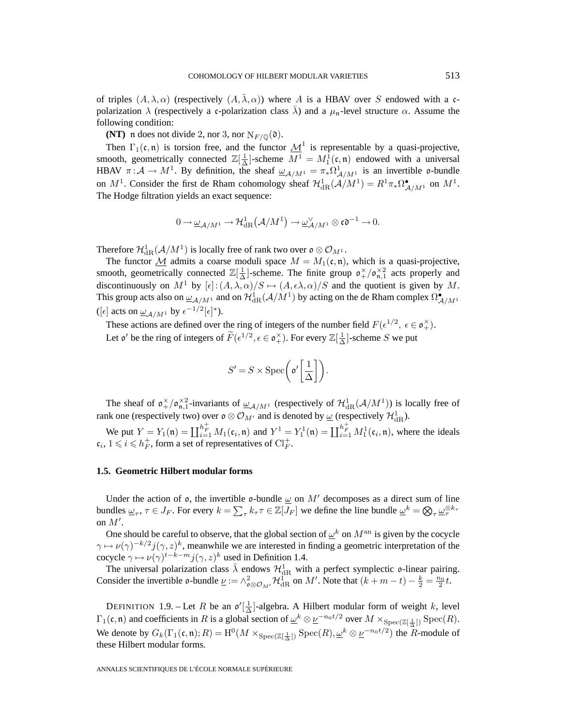of triples  $(A, \lambda, \alpha)$  (respectively  $(A, \lambda, \alpha)$ ) where A is a HBAV over S endowed with a cpolarization  $\lambda$  (respectively a c-polarization class  $\overline{\lambda}$ ) and a  $\mu_n$ -level structure  $\alpha$ . Assume the following condition:

**(NT)** n does not divide 2, nor 3, nor  $N_{F/\mathbb{Q}}(\mathfrak{d})$ .

Then  $\Gamma_1(\mathfrak{c}, \mathfrak{n})$  is torsion free, and the functor  $\underline{\mathcal{M}}^1$  is representable by a quasi-projective, smooth, geometrically connected  $\mathbb{Z}[\frac{1}{\Delta}]$ -scheme  $M^1 = M_1^1(\mathfrak{c}, \mathfrak{n})$  endowed with a universal HBAV  $\pi: A \to M^1$ . By definition, the sheaf  $\underline{\omega}_{A/M^1} = \pi_* \Omega^1_{A/M^1}$  is an invertible o-bundle on  $M^1$ . Consider the first de Rham cohomology sheaf  $\mathcal{H}^1_{\mathrm{dR}}(\mathcal{A}/M^1) = R^1 \pi_* \Omega^{\bullet}_{\mathcal{A}/M^1}$  on  $M^1$ . The Hodge filtration yields an exact sequence:

$$
0\rightarrow \underline{\omega}_{\mathcal{A}/M^1}\rightarrow \mathcal{H}^1_{\mathrm{dR}}\big(\mathcal{A}/M^1\big)\rightarrow \underline{\omega}_{\mathcal{A}/M^1}^\vee\otimes \mathfrak{co}^{-1}\rightarrow 0.
$$

Therefore  $\mathcal{H}^1_{\mathrm{dR}}(\mathcal{A}/M^1)$  is locally free of rank two over  $\mathfrak{o}\otimes \mathcal{O}_{M^1}.$ 

The functor  $M$  admits a coarse moduli space  $M = M_1(\mathfrak{c}, \mathfrak{n})$ , which is a quasi-projective, smooth, geometrically connected  $\mathbb{Z}[\frac{1}{\Delta}]$ -scheme. The finite group  $\mathfrak{o}_{+}^{\times}/\mathfrak{o}_{\mathfrak{n},1}^{\times 2}$  acts properly and discontinuously on  $M^1$  by  $[\epsilon]:(A,\lambda,\alpha)/S \mapsto (A,\epsilon\lambda,\alpha)/S$  and the quotient is given by M. This group acts also on  $\underline{\omega}_{\mathcal{A}/M^1}$  and on  $\mathcal{H}^1_{\rm dR}(\mathcal{A}/M^1)$  by acting on the de Rham complex  $\Omega^\bullet_{\mathcal{A}/M^1}$ ([ $\epsilon$ ] acts on  $\underline{\omega}_{\mathcal{A}/M^1}$  by  $\epsilon^{-1/2}[\epsilon]^*$ ).

These actions are defined over the ring of integers of the number field  $F(\epsilon^{1/2}, \epsilon \in \mathfrak{o}_+^{\times})$ . Let  $\mathfrak{o}'$  be the ring of integers of  $\widetilde{F}(\epsilon^{1/2}, \epsilon \in \mathfrak{o}_+^{\times})$ . For every  $\mathbb{Z}[\frac{1}{\Delta}]$ -scheme S we put

$$
S' = S \times \text{Spec} \left( \mathfrak{o}' \left[ \frac{1}{\Delta} \right] \right).
$$

The sheaf of  $\mathfrak{o}_{+}^{\times}/\mathfrak{o}_{\mathfrak{n},1}^{\times 2}$ -invariants of  $\underline{\omega}_{\mathcal{A}/M^1}$  (respectively of  $\mathcal{H}^1_{\mathrm{dR}}(\mathcal{A}/M^1)$ ) is locally free of rank one (respectively two) over  $\mathfrak{o} \otimes \mathcal{O}_{M'}$  and is denoted by  $\underline{\omega}$  (respectively  $\mathcal{H}_{\mathrm{dR}}^1$ ).

We put  $Y = Y_1(\mathfrak{n}) = \coprod_{i=1}^{h_F^+} M_1(\mathfrak{c}_i, \mathfrak{n})$  and  $Y^1 = Y_1^1(\mathfrak{n}) = \coprod_{i=1}^{h_F^+} M_1^1(\mathfrak{c}_i, \mathfrak{n})$ , where the ideals  $c_i$ ,  $1 \leq i \leq h_F^+$ , form a set of representatives of  $Cl_F^+$ .

# **1.5. Geometric Hilbert modular forms**

Under the action of  $\rho$ , the invertible  $\rho$ -bundle  $\omega$  on  $M'$  decomposes as a direct sum of line bundles  $\underline{\omega}_{\tau}$ ,  $\tau \in J_F$ . For every  $k = \sum_{\tau} k_{\tau} \tau \in \mathbb{Z}[J_F]$  we define the line bundle  $\underline{\omega}^k = \bigotimes_{\tau} \underline{\omega}_{\tau}^{\otimes k_{\tau}}$ on  $M'$ .

One should be careful to observe, that the global section of  $\omega^k$  on  $M^{\text{an}}$  is given by the cocycle  $\gamma \mapsto \nu(\gamma)^{-k/2} j(\gamma, z)^k$ , meanwhile we are interested in finding a geometric interpretation of the cocycle  $\gamma \mapsto \nu(\gamma)^{t-k-m} j(\gamma, z)^k$  used in Definition 1.4.

The universal polarization class  $\bar{\lambda}$  endows  $\mathcal{H}^1_{\text{dR}}$  with a perfect symplectic  $\mathfrak{o}$ -linear pairing. Consider the invertible  $\mathfrak{o}$ -bundle  $\underline{\nu} := \wedge_{\mathfrak{o} \otimes \mathcal{O}_{M'}}^2 \mathcal{H}_{\mathrm{dR}}^1$  on  $M'$ . Note that  $(k+m-t) - \frac{k}{2} = \frac{n_0}{2}t$ .

DEFINITION 1.9. – Let R be an  $\mathfrak{o}'[\frac{1}{\Delta}]$ -algebra. A Hilbert modular form of weight k, level  $\Gamma_1(\mathfrak{c},\mathfrak{n})$  and coefficients in R is a global section of  $\underline{\omega}^k \otimes \underline{\nu}^{-n_0 t/2}$  over  $M \times_{\text{Spec}(\mathbb{Z}[\frac{1}{\Delta}])} \text{Spec}(R)$ . We denote by  $G_k(\Gamma_1(\mathfrak{c},\mathfrak{n});R) = \mathrm{H}^0(M \times_{\mathrm{Spec}(\mathbb{Z}[\frac{1}{\Delta}])} \mathrm{Spec}(R), \underline{\omega}^k \otimes \underline{\nu}^{-n_0t/2})$  the R-module of these Hilbert modular forms.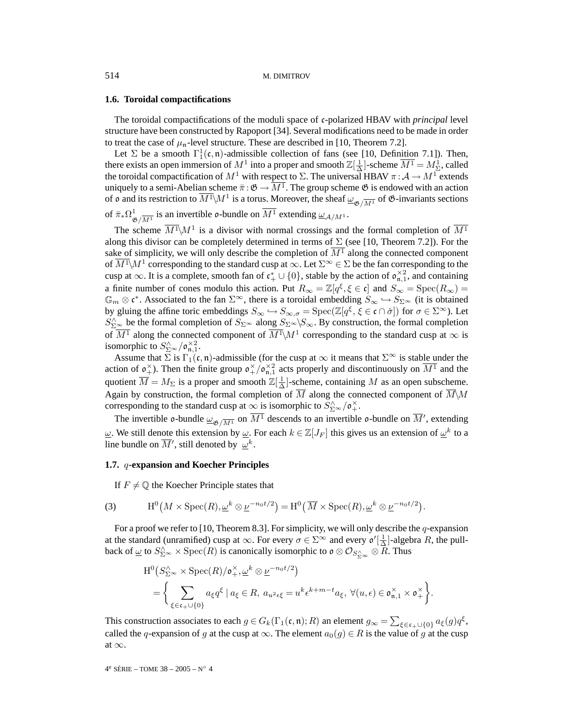#### **1.6. Toroidal compactifications**

The toroidal compactifications of the moduli space of c-polarized HBAV with *principal* level structure have been constructed by Rapoport [34]. Several modifications need to be made in order to treat the case of  $\mu_n$ -level structure. These are described in [10, Theorem 7.2].

Let  $\Sigma$  be a smooth  $\Gamma_1^1(\mathfrak{c}, \mathfrak{n})$ -admissible collection of fans (see [10, Definition 7.1]). Then, there exists an open immersion of  $M^1$  into a proper and smooth  $\mathbb{Z}[\frac{1}{\Delta}]$ -scheme  $\overline{M^1} = M^1_{\Sigma}$ , called the toroidal compactification of  $M^1$  with respect to  $\Sigma$ . The universal HBAV  $\pi : A \to M^1$  extends uniquely to a semi-Abelian scheme  $\bar{\pi} : \mathfrak{G} \to \overline{M^1}$ . The group scheme  $\mathfrak{G}$  is endowed with an action of  $\mathfrak o$  and its restriction to  $\overline{M^1}\backslash M^1$  is a torus. Moreover, the sheaf  $\underline{\omega}_{\mathfrak G/\overline{M^1}}$  of  $\mathfrak G$ -invariants sections

of  $\bar{\pi}_* \Omega^1_{\mathfrak{G}/\overline{M^1}}$  is an invertible o-bundle on  $\overline{M^1}$  extending  $\underline{\omega}_{\mathcal{A}/M^1}$ .

The scheme  $\overline{M^1}\backslash M^1$  is a divisor with normal crossings and the formal completion of  $\overline{M^1}$ along this divisor can be completely determined in terms of  $\Sigma$  (see [10, Theorem 7.2]). For the sake of simplicity, we will only describe the completion of  $\overline{M^1}$  along the connected component of  $M^1\backslash M^1$  corresponding to the standard cusp at  $\infty$ . Let  $\Sigma^\infty\in\Sigma$  be the fan corresponding to the cusp at  $\infty$ . It is a complete, smooth fan of  $\mathfrak{c}_+^* \cup \{0\}$ , stable by the action of  $\mathfrak{o}_{\mathfrak{n},1}^{\times 2}$ , and containing a finite number of cones modulo this action. Put  $R_{\infty} = \mathbb{Z}[q^{\xi}, \xi \in \mathfrak{c}]$  and  $S_{\infty} = \text{Spec}(R_{\infty}) =$  $\mathbb{G}_m \otimes \mathfrak{c}^*$ . Associated to the fan  $\Sigma^{\infty}$ , there is a toroidal embedding  $S_{\infty} \hookrightarrow S_{\Sigma^{\infty}}$  (it is obtained by gluing the affine toric embeddings  $S_{\infty} \hookrightarrow S_{\infty,\sigma} = \text{Spec}(\mathbb{Z}[q^{\xi}, \xi \in \mathfrak{c} \cap \check{\sigma}])$  for  $\sigma \in \Sigma^{\infty}$ ). Let  $S_{\Sigma^{\infty}}^{\wedge}$  be the formal completion of  $S_{\Sigma^{\infty}}$  along  $S_{\Sigma^{\infty}}\backslash S_{\infty}$ . By construction, the formal completion of  $\overline{M^1}$  along the connected component of  $\overline{M^1}\setminus M^1$  corresponding to the standard cusp at  $\infty$  is isomorphic to  $S_{\Sigma^{\infty}}^{\wedge}/\mathfrak{o}_{\mathfrak{n},1}^{\times 2}$ .

Assume that  $\sum$  is  $\Gamma_1(\mathfrak{c}, \mathfrak{n})$ -admissible (for the cusp at  $\infty$  it means that  $\Sigma^{\infty}$  is stable under the action of  $\mathfrak{o}_+^{\times}$ ). Then the finite group  $\mathfrak{o}_+^{\times}/\mathfrak{o}_{\mathfrak{n},1}^{\times 2}$  acts properly and discontinuously on  $\overline{M^1}$  and the quotient  $\overline{M} = M_{\Sigma}$  is a proper and smooth  $\mathbb{Z}[\frac{1}{\Delta}]$ -scheme, containing M as an open subscheme. Again by construction, the formal completion of  $\overline{M}$  along the connected component of  $\overline{M}\setminus M$ corresponding to the standard cusp at  $\infty$  is isomorphic to  $S_{\Sigma}^{\wedge} \sim / \mathfrak{o}_+^{\times}$ .

The invertible  $\phi$ -bundle  $\underline{\omega}_{\mathfrak{G}/\overline{M^1}}$  on  $\overline{M^1}$  descends to an invertible  $\phi$ -bundle on  $\overline{M}'$ , extending  $ω$ . We still denote this extension by  $ω$ . For each  $k ∈ \mathbb{Z}[J_F]$  this gives us an extension of  $ω^k$  to a line bundle on  $\overline{M}'$ , still denoted by  $\omega^k$ .

# **1.7.** q**-expansion and Koecher Principles**

If  $F \neq \mathbb{Q}$  the Koecher Principle states that

(3) 
$$
H^{0}(M \times \text{Spec}(R), \underline{\omega}^{k} \otimes \underline{\nu}^{-n_{0}t/2}) = H^{0}(\overline{M} \times \text{Spec}(R), \underline{\omega}^{k} \otimes \underline{\nu}^{-n_{0}t/2}).
$$

For a proof we refer to [10, Theorem 8.3]. For simplicity, we will only describe the q-expansion at the standard (unramified) cusp at  $\infty$ . For every  $\sigma \in \Sigma^{\infty}$  and every  $\mathfrak{o}'[\frac{1}{\Delta}]$ -algebra R, the pullback of  $\underline{\omega}$  to  $S_{\Sigma^{\infty}}^{\wedge}\times \operatorname{Spec}(R)$  is canonically isomorphic to  $\mathfrak{o}\otimes \mathcal{O}_{S_{\Sigma^{\infty}}^{\wedge}}\otimes \overline{R}.$  Thus

$$
H^{0}(S_{\Sigma^{\infty}}^{\wedge} \times \text{Spec}(R)/\mathfrak{o}_{+}^{\times}, \underline{\omega}^{k} \otimes \underline{\nu}^{-n_{0}t/2})
$$
  
= 
$$
\left\{\sum_{\xi \in \mathfrak{c}_{+} \cup \{0\}} a_{\xi} q^{\xi} \mid a_{\xi} \in R, a_{u^{2} \epsilon \xi} = u^{k} \epsilon^{k+m-t} a_{\xi}, \forall (u, \epsilon) \in \mathfrak{o}_{\mathfrak{n},1}^{\times} \times \mathfrak{o}_{+}^{\times}\right\}.
$$

This construction associates to each  $g \in G_k(\Gamma_1(\mathfrak{c}, \mathfrak{n}); R)$  an element  $g_{\infty} = \sum_{\xi \in \mathfrak{c}_+ \cup \{0\}} a_{\xi}(g) q^{\xi}$ , called the q-expansion of g at the cusp at  $\infty$ . The element  $a_0(q) \in R$  is the value of g at the cusp at  $\infty$ .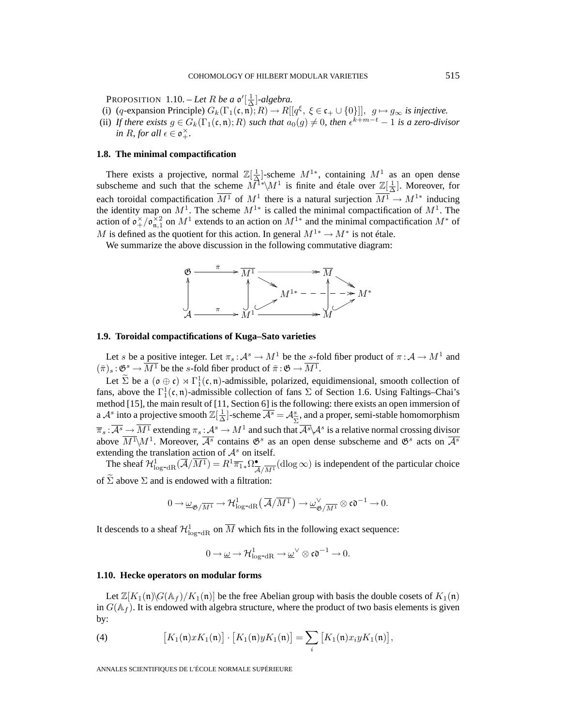PROPOSITION 1.10. – *Let* R *be a*  $\mathfrak{o}'[\frac{1}{\Delta}]$ -algebra.

- (i) (q-expansion Principle)  $G_k(\Gamma_1(\mathfrak{c}, \mathfrak{n}); R) \to R[[q^{\xi}, \xi \in \mathfrak{c}_+ \cup \{0\}]], g \mapsto g_{\infty}$  is injective.
- (ii) If there exists  $g \in G_k(\Gamma_1(\mathfrak{c},\mathfrak{n});R)$  such that  $a_0(g) \neq 0$ , then  $\epsilon^{k+m-t} 1$  is a zero-divisor *in R, for all*  $\epsilon \in \mathfrak{o}_+^{\times}$ *.*

# **1.8. The minimal compactification**

There exists a projective, normal  $\mathbb{Z}[\frac{1}{\Delta}]$ -scheme  $M^{1*}$ , containing  $M^1$  as an open dense subscheme and such that the scheme  $\overline{M}^{\rceil*} \setminus M^1$  is finite and étale over  $\mathbb{Z}[\frac{1}{\Delta}]$ . Moreover, for each toroidal compactification  $\overline{M^1}$  of  $M^1$  there is a natural surjection  $\overline{M^1} \to M^{1*}$  inducing the identity map on  $M^1$ . The scheme  $M^{1*}$  is called the minimal compactification of  $M^1$ . The action of  $\mathfrak{o}_{+}^{\times}/\mathfrak{o}_{\mathfrak{n},1}^{\times 2}$  on  $M^1$  extends to an action on  $M^{1*}$  and the minimal compactification  $M^*$  of M is defined as the quotient for this action. In general  $M^{1*} \to M^*$  is not étale.

We summarize the above discussion in the following commutative diagram:



#### **1.9. Toroidal compactifications of Kuga–Sato varieties**

Let s be a positive integer. Let  $\pi_s : A^s \to M^1$  be the s-fold fiber product of  $\pi : A \to M^1$  and  $(\bar{\pi})_s : \mathfrak{G}^s \to \overline{M^1}$  be the s-fold fiber product of  $\bar{\pi} : \mathfrak{G} \to \overline{M^1}$ .

Let  $\tilde{\Sigma}$  be a  $(\sigma \oplus \sigma) \rtimes \Gamma_1^1(\sigma, \mathfrak{n})$ -admissible, polarized, equidimensional, smooth collection of fans, above the  $\Gamma^1_1(\mathfrak{c},\mathfrak{n})$ -admissible collection of fans  $\Sigma$  of Section 1.6. Using Faltings–Chai's method [15], the main result of [11, Section 6] is the following: there exists an open immersion of a  $\mathcal{A}^s$  into a projective smooth  $\mathbb{Z}[\frac{1}{\Delta}]$ -scheme  $\overline{\mathcal{A}^s} = \mathcal{A}^s_{\widetilde{\Sigma}}$ , and a proper, semi-stable homomorphism  $\overline{\Xi} \cdot \overline{\mathcal{A}^s}$   $\rightarrow \overline{\mathcal{M}}$  artending  $\overline{\Xi}$   $\rightarrow \overline{\mathcal{M}}^s$  and such that  $\overline{\pi}_s : \overline{\mathcal{A}^s} \to \overline{M^1}$  extending  $\pi_s : \mathcal{A}^s \to M^1$  and such that  $\overline{\mathcal{A}^s} \setminus \mathcal{A}^s$  is a relative normal crossing divisor above  $\overline{M^1}\backslash M^1$ . Moreover,  $\overline{\mathcal{A}^s}$  contains  $\mathfrak{G}^s$  as an open dense subscheme and  $\mathfrak{G}^s$  acts on  $\overline{\mathcal{A}^s}$ extending the translation action of  $\mathcal{A}^s$  on itself.

The sheaf  $\mathcal{H}^1_{\text{log-dR}}(\overline{\mathcal{A}}/\overline{M^1}) = R^1 \overline{\pi_1}_* \Omega^{\bullet}_{\overline{\mathcal{A}}/\overline{M^1}}(\text{dlog}\infty)$  is independent of the particular choice of  $\Sigma$  above  $\Sigma$  and is endowed with a filtration:

$$
0\to \underline{\omega}_{\mathfrak{G}/\overline{M^1}}\to \mathcal{H}^1_{\text{log-dR}}\left(\overline{\mathcal{A}}/\overline{M^1}\right)\to \underline{\omega}_{\mathfrak{G}/\overline{M^1}}^{\vee}\otimes \mathfrak{co}^{-1}\to 0.
$$

It descends to a sheaf  $\mathcal{H}^1_{\log^{-dR}}$  on  $\overline{M}$  which fits in the following exact sequence:

$$
0 \to \underline{\omega} \to \mathcal{H}^1_{\log^{-}dR} \to \underline{\omega}^{\vee} \otimes \mathfrak{co}^{-1} \to 0.
$$

#### **1.10. Hecke operators on modular forms**

Let  $\mathbb{Z}[K_1(\mathfrak{n})]G(\mathbb{A}_f)/K_1(\mathfrak{n})$  be the free Abelian group with basis the double cosets of  $K_1(\mathfrak{n})$ in  $G(\mathbb{A}_f)$ . It is endowed with algebra structure, where the product of two basis elements is given by:

(4) 
$$
\left[K_1(\mathfrak{n})xK_1(\mathfrak{n})\right] \cdot \left[K_1(\mathfrak{n})yK_1(\mathfrak{n})\right] = \sum_i \left[K_1(\mathfrak{n})x_iyK_1(\mathfrak{n})\right],
$$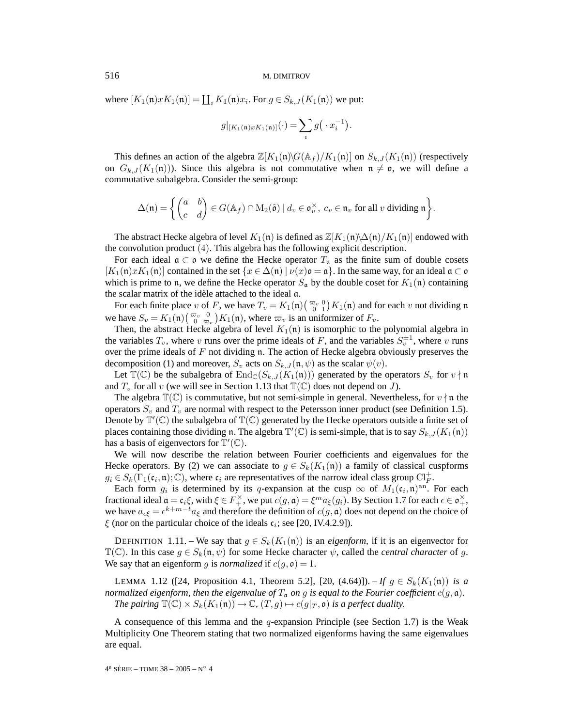where  $[K_1(\mathfrak{n})xK_1(\mathfrak{n})] = \coprod_i K_1(\mathfrak{n})x_i$ . For  $g \in S_{k,J}(K_1(\mathfrak{n}))$  we put:

$$
g|_{[K_1(\mathfrak{n})xK_1(\mathfrak{n})]}(\cdot)=\sum_i g\big(\cdot x_i^{-1}\big).
$$

This defines an action of the algebra  $\mathbb{Z}[K_1(\mathfrak{n})\backslash G(\mathbb{A}_f)/K_1(\mathfrak{n})]$  on  $S_{k,J}(K_1(\mathfrak{n}))$  (respectively on  $G_{k,J}(K_1(\mathfrak{n}))$ . Since this algebra is not commutative when  $\mathfrak{n} \neq \mathfrak{o}$ , we will define a commutative subalgebra. Consider the semi-group:

$$
\Delta(\mathfrak{n}) = \left\{ \begin{pmatrix} a & b \\ c & d \end{pmatrix} \in G(\mathbb{A}_f) \cap M_2(\hat{\mathfrak{o}}) \mid d_v \in \mathfrak{o}_v^{\times}, \ c_v \in \mathfrak{n}_v \text{ for all } v \text{ dividing } \mathfrak{n} \right\}.
$$

The abstract Hecke algebra of level  $K_1(\mathfrak{n})$  is defined as  $\mathbb{Z}[K_1(\mathfrak{n})\setminus\Delta(\mathfrak{n})/K_1(\mathfrak{n})]$  endowed with the convolution product (4). This algebra has the following explicit description.

For each ideal  $\mathfrak{a} \subset \mathfrak{o}$  we define the Hecke operator  $T_{\mathfrak{a}}$  as the finite sum of double cosets  $[K_1(\mathfrak{n})xK_1(\mathfrak{n})]$  contained in the set  $\{x \in \Delta(\mathfrak{n}) \mid \nu(x)\mathfrak{o} = \mathfrak{a}\}$ . In the same way, for an ideal  $\mathfrak{a} \subset \mathfrak{o}$ which is prime to n, we define the Hecke operator  $S_a$  by the double coset for  $K_1(\mathfrak{n})$  containing the scalar matrix of the idèle attached to the ideal a.

For each finite place v of F, we have  $T_v = K_1(\mathfrak{n})\left(\begin{array}{c} \infty_v 0 \\ 0 \end{array}\right) K_1(\mathfrak{n})$  and for each v not dividing  $\mathfrak{n}$ we have  $S_v = K_1(\mathfrak{n}) \begin{pmatrix} \infty_v & 0 \\ 0 & \infty_v \end{pmatrix} K_1(\mathfrak{n})$ , where  $\infty_v$  is an uniformizer of  $F_v$ .

Then, the abstract Hecke algebra of level  $K_1(n)$  is isomorphic to the polynomial algebra in the variables  $T_v$ , where v runs over the prime ideals of F, and the variables  $S_{\overline{n}}^{\pm 1}$ , where v runs over the prime ideals of  $F$  not dividing n. The action of Hecke algebra obviously preserves the decomposition (1) and moreover,  $S_v$  acts on  $S_{k,J}(\mathfrak{n}, \psi)$  as the scalar  $\psi(v)$ .

Let  $\mathbb{T}(\mathbb{C})$  be the subalgebra of  $\text{End}_{\mathbb{C}}(S_{k,J}(K_1(\mathfrak{n})))$  generated by the operators  $S_v$  for  $v \nmid \mathfrak{n}$ and  $T_v$  for all v (we will see in Section 1.13 that  $\mathbb{T}(\mathbb{C})$  does not depend on J).

The algebra  $\mathbb{T}(\mathbb{C})$  is commutative, but not semi-simple in general. Nevertheless, for  $v \nmid n$  the operators  $S_v$  and  $T_v$  are normal with respect to the Petersson inner product (see Definition 1.5). Denote by  $\mathbb{T}'(\mathbb{C})$  the subalgebra of  $\mathbb{T}(\mathbb{C})$  generated by the Hecke operators outside a finite set of places containing those dividing n. The algebra  $\mathbb{T}'(\mathbb{C})$  is semi-simple, that is to say  $S_{k,J}(K_1(\mathfrak{n}))$ has a basis of eigenvectors for  $\mathbb{T}'(\mathbb{C})$ .

We will now describe the relation between Fourier coefficients and eigenvalues for the Hecke operators. By (2) we can associate to  $g \in S_k(K_1(\mathfrak{n}))$  a family of classical cuspforms  $g_i \in S_k(\Gamma_1(\mathfrak{c}_i, \mathfrak{n}); \mathbb{C})$ , where  $\mathfrak{c}_i$  are representatives of the narrow ideal class group  $\mathrm{Cl}_F^+$ .

Each form  $g_i$  is determined by its q-expansion at the cusp  $\infty$  of  $M_1(\mathfrak{c}_i, \mathfrak{n})^{\text{an}}$ . For each fractional ideal  $\mathfrak{a} = \mathfrak{c}_i \xi$ , with  $\xi \in F_+^{\times}$ , we put  $c(g, \mathfrak{a}) = \xi^m a_{\xi}(g_i)$ . By Section 1.7 for each  $\epsilon \in \mathfrak{o}_+^{\times}$ , we have  $a_{\epsilon\xi} = \epsilon^{k+m-t} a_{\xi}$  and therefore the definition of  $c(g, \mathfrak{a})$  does not depend on the choice of  $\xi$  (nor on the particular choice of the ideals  $c_i$ ; see [20, IV.4.2.9]).

DEFINITION 1.11. – We say that  $g \in S_k(K_1(\mathfrak{n}))$  is an *eigenform*, if it is an eigenvector for  $\mathbb{T}(\mathbb{C})$ . In this case  $g \in S_k(\mathfrak{n}, \psi)$  for some Hecke character  $\psi$ , called the *central character* of g. We say that an eigenform g is *normalized* if  $c(g, \mathfrak{o}) = 1$ .

LEMMA 1.12 ([24, Proposition 4.1, Theorem 5.2], [20, (4.64)]). – *If*  $q \in S_k(K_1(\mathfrak{n}))$  *is a normalized eigenform, then the eigenvalue of*  $T_a$  *on* g *is equal to the Fourier coefficient*  $c(g, \mathfrak{a})$ *. The pairing*  $\mathbb{T}(\mathbb{C}) \times S_k(K_1(\mathfrak{n})) \to \mathbb{C}$ ,  $(T, g) \mapsto c(g|_T, \mathfrak{o})$  *is a perfect duality.* 

A consequence of this lemma and the  $q$ -expansion Principle (see Section 1.7) is the Weak Multiplicity One Theorem stating that two normalized eigenforms having the same eigenvalues are equal.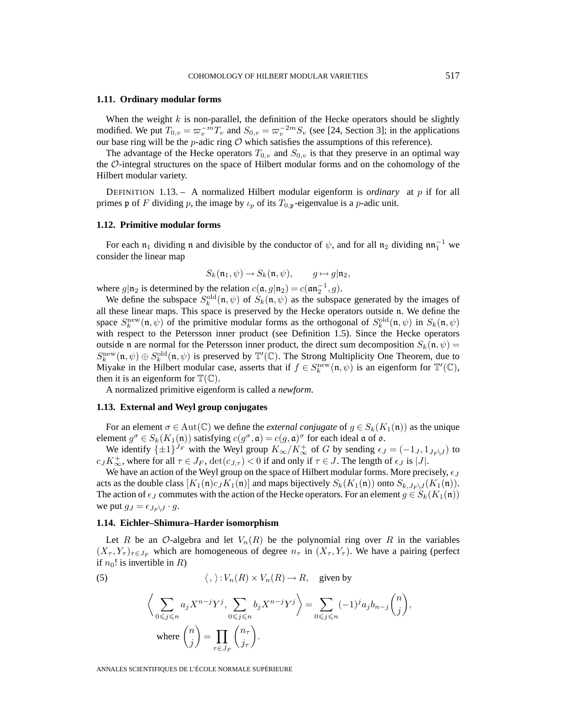# **1.11. Ordinary modular forms**

When the weight  $k$  is non-parallel, the definition of the Hecke operators should be slightly modified. We put  $T_{0,v} = \varpi_v^{-m} T_v$  and  $S_{0,v} = \varpi_v^{-2m} S_v$  (see [24, Section 3]; in the applications our base ring will be the  $p$ -adic ring  $O$  which satisfies the assumptions of this reference).

The advantage of the Hecke operators  $T_{0,v}$  and  $S_{0,v}$  is that they preserve in an optimal way the O-integral structures on the space of Hilbert modular forms and on the cohomology of the Hilbert modular variety.

DEFINITION 1.13. – A normalized Hilbert modular eigenform is *ordinary* at p if for all primes p of F dividing p, the image by  $\iota_p$  of its  $T_{0,p}$ -eigenvalue is a p-adic unit.

#### **1.12. Primitive modular forms**

For each  $n_1$  dividing n and divisible by the conductor of  $\psi$ , and for all  $n_2$  dividing  $nn_1^{-1}$  we consider the linear map

$$
S_k(\mathfrak{n}_1, \psi) \to S_k(\mathfrak{n}, \psi), \qquad g \mapsto g|\mathfrak{n}_2
$$

where  $g|\mathfrak{n}_2$  is determined by the relation  $c(\mathfrak{a}, g|\mathfrak{n}_2) = c(\mathfrak{a}\mathfrak{n}_2^{-1}, g)$ .

We define the subspace  $S_k^{\text{old}}(\mathfrak{n}, \psi)$  of  $S_k(\mathfrak{n}, \psi)$  as the subspace generated by the images of all these linear maps. This space is preserved by the Hecke operators outside n. We define the space  $S_k^{\text{new}}(\mathfrak{n}, \psi)$  of the primitive modular forms as the orthogonal of  $S_k^{\text{old}}(\mathfrak{n}, \psi)$  in  $S_k(\mathfrak{n}, \psi)$ with respect to the Petersson inner product (see Definition 1.5). Since the Hecke operators outside n are normal for the Petersson inner product, the direct sum decomposition  $S_k(\mathfrak{n}, \psi)$  =  $S_k^{\text{new}}(\mathfrak{n},\psi) \oplus S_k^{\text{old}}(\mathfrak{n},\psi)$  is preserved by  $\mathbb{T}'(\mathbb{C})$ . The Strong Multiplicity One Theorem, due to Miyake in the Hilbert modular case, asserts that if  $f \in S_k^{\text{new}}(\mathfrak{n}, \psi)$  is an eigenform for  $\mathbb{T}'(\mathbb{C})$ , then it is an eigenform for  $\mathbb{T}(\mathbb{C})$ .

A normalized primitive eigenform is called a *newform*.

# **1.13. External and Weyl group conjugates**

For an element  $\sigma \in \text{Aut}(\mathbb{C})$  we define the *external conjugate* of  $g \in S_k(K_1(\mathfrak{n}))$  as the unique element  $g^{\sigma} \in S_k(K_1(\mathfrak{n}))$  satisfying  $c(g^{\sigma}, \mathfrak{a}) = c(g, \mathfrak{a})^{\sigma}$  for each ideal  $\mathfrak{a}$  of  $\mathfrak{o}$ .

We identify  $\{\pm 1\}^{J_F}$  with the Weyl group  $K_{\infty}/K_{\infty}^+$  of G by sending  $\epsilon_J = (-1_J, 1_{J_F\backslash J})$  to  $c_J K^+_{\infty}$ , where for all  $\tau \in J_F$ ,  $\det(c_{J,\tau}) < 0$  if and only if  $\tau \in J$ . The length of  $\epsilon_J$  is |J|.

We have an action of the Weyl group on the space of Hilbert modular forms. More precisely,  $\epsilon_J$ acts as the double class  $[K_1(\mathfrak{n})c_JK_1(\mathfrak{n})]$  and maps bijectively  $S_k(K_1(\mathfrak{n}))$  onto  $S_{k,J_F\setminus J}(K_1(\mathfrak{n})).$ The action of  $\epsilon_J$  commutes with the action of the Hecke operators. For an element  $g \in S_k(K_1(\mathfrak{n}))$ we put  $g_J = \epsilon_{J_F \setminus J} \cdot g$ .

#### **1.14. Eichler–Shimura–Harder isomorphism**

Let R be an O-algebra and let  $V_n(R)$  be the polynomial ring over R in the variables  $(X_{\tau}, Y_{\tau})_{\tau \in J_F}$  which are homogeneous of degree  $n_{\tau}$  in  $(X_{\tau}, Y_{\tau})$ . We have a pairing (perfect if  $n_0!$  is invertible in R)

> $\overline{ }$ ,

(5) 
$$
\langle , \rangle : V_n(R) \times V_n(R) \to R, \text{ given by}
$$

$$
\langle \sum_{0 \leq j \leq n} a_j X^{n-j} Y^j, \sum_{0 \leq j \leq n} b_j X^{n-j} Y^j \rangle = \sum_{0 \leq j \leq n} (-1)^j a_j b_{n-j} {n \choose j}
$$
where 
$$
{n \choose j} = \prod_{\tau \in J_F} {n_{\tau} \choose j_{\tau}}.
$$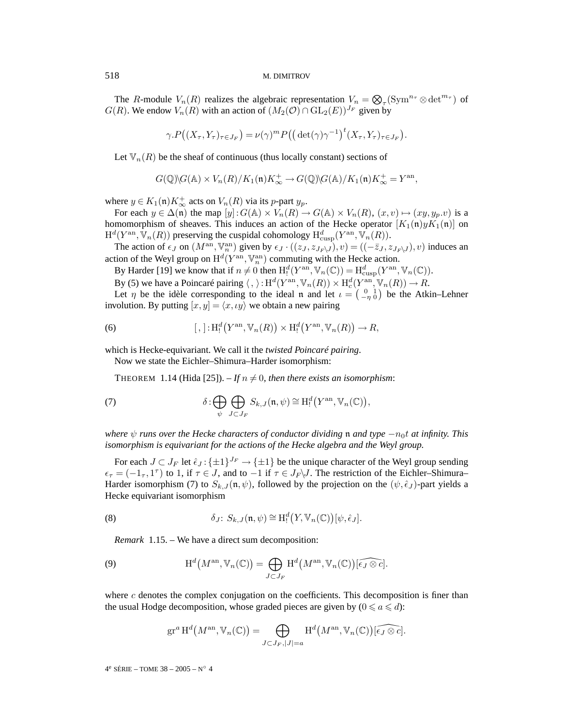The R-module  $V_n(R)$  realizes the algebraic representation  $V_n = \bigotimes_{\tau} (\text{Sym}^{n_{\tau}} \otimes \det^{m_{\tau}})$  of  $G(R)$ . We endow  $V_n(R)$  with an action of  $(M_2(\mathcal{O}) \cap GL_2(E))^{J_F}$  given by

$$
\gamma \cdot P\big((X_{\tau}, Y_{\tau})_{\tau \in J_F}\big) = \nu(\gamma)^m P\big(\big(\det(\gamma)\gamma^{-1}\big)^t (X_{\tau}, Y_{\tau})_{\tau \in J_F}\big).
$$

Let  $\mathbb{V}_n(R)$  be the sheaf of continuous (thus locally constant) sections of

$$
G(\mathbb{Q})\backslash G(\mathbb{A})\times V_n(R)/K_1(\mathfrak{n})K_\infty^+\rightarrow G(\mathbb{Q})\backslash G(\mathbb{A})/K_1(\mathfrak{n})K_\infty^+=Y^{\mathrm{an}},
$$

where  $y \in K_1(\mathfrak{n}) K^+_{\infty}$  acts on  $V_n(R)$  via its p-part  $y_p$ .

For each  $y \in \Delta(\mathfrak{n})$  the map  $[y]: G(\mathbb{A}) \times V_n(R) \to G(\mathbb{A}) \times V_n(R)$ ,  $(x, v) \mapsto (xy, y_p.v)$  is a homomorphism of sheaves. This induces an action of the Hecke operator  $[K_1(\mathfrak{n})yK_1(\mathfrak{n})]$  on  $\mathrm{H}^d(Y^{\mathrm{an}}, \mathbb{V}_n(R))$  preserving the cuspidal cohomology  $\mathrm{H}^d_{\mathrm{cusp}}(Y^{\mathrm{an}}, \mathbb{V}_n(R)).$ 

The action of  $\epsilon_J$  on  $(M^{\text{an}}, \mathbb{V}_n^{\text{an}})$  given by  $\epsilon_J \cdot ((z_J, z_{J_F\setminus J}), v) = ((-\overline{z}_J, z_{J_F\setminus J}), v)$  induces an action of the Weyl group on  $\mathrm{H}^d(Y^{\mathrm{an}}, \mathbb{V}_n^{\mathrm{an}})$  commuting with the Hecke action.

By Harder [19] we know that if  $n \neq 0$  then  $H_!^d(Y^{\text{an}}, \mathbb{V}_n(\mathbb{C})) = H_{\text{cusp}}^d(Y^{\text{an}}, \mathbb{V}_n(\mathbb{C}))$ .

By (5) we have a Poincaré pairing  $\langle , \rangle : H^d(Y^{\rm an}, \mathbb{V}_n(R)) \times H^d_c(Y^{\rm an}, \mathbb{V}_n(R)) \to R$ .

Let  $\eta$  be the idèle corresponding to the ideal n and let  $\iota = \begin{pmatrix} 0 & 1 \\ -\eta & 0 \end{pmatrix}$  be the Atkin–Lehner involution. By putting  $[x, y] = \langle x, \iota y \rangle$  we obtain a new pairing

(6) 
$$
[,]: H_!^d(Y^{\mathrm{an}}, \mathbb{V}_n(R)) \times H_!^d(Y^{\mathrm{an}}, \mathbb{V}_n(R)) \to R,
$$

which is Hecke-equivariant. We call it the *twisted Poincaré pairing*.

Now we state the Eichler–Shimura–Harder isomorphism:

THEOREM 1.14 (Hida [25]).  $-If n \neq 0$ , then there exists an isomorphism:

(7) 
$$
\delta: \bigoplus_{\psi} \bigoplus_{J \subset J_F} S_{k,J}(\mathfrak{n}, \psi) \cong \mathrm{H}^d_!(Y^{\mathrm{an}}, \mathbb{V}_n(\mathbb{C})),
$$

*where*  $\psi$  *runs over the Hecke characters of conductor dividing*  $\mathfrak{n}$  *and type*  $-n_0t$  *at infinity. This isomorphism is equivariant for the actions of the Hecke algebra and the Weyl group.*

For each  $J \subset J_F$  let  $\hat{\epsilon}_J$ : { $\pm 1$ }<sup> $J_F$ </sup>  $\rightarrow$  { $\pm 1$ } be the unique character of the Weyl group sending  $\epsilon_{\tau} = (-1_{\tau}, 1^{\tau})$  to 1, if  $\tau \in J$ , and to  $-1$  if  $\tau \in J_F\backslash J$ . The restriction of the Eichler–Shimura– Harder isomorphism (7) to  $S_{k,J}(\mathfrak{n}, \psi)$ , followed by the projection on the  $(\psi, \hat{\epsilon}_J)$ -part yields a Hecke equivariant isomorphism

 $\overline{1}$ 

(8) 
$$
\delta_J \colon S_{k,J}(\mathfrak{n},\psi) \cong \mathrm{H}^d_!(Y,\mathbb{V}_n(\mathbb{C}))[\psi,\hat{\epsilon}_J].
$$

*Remark* 1.15. – We have a direct sum decomposition:

(9) 
$$
\mathrm{H}^d\big(M^{\mathrm{an}}, \mathbb{V}_n(\mathbb{C})\big) = \bigoplus_{J \subset J_F} \mathrm{H}^d\big(M^{\mathrm{an}}, \mathbb{V}_n(\mathbb{C})\big) \widehat{[\epsilon_J \otimes c]}.
$$

where  $c$  denotes the complex conjugation on the coefficients. This decomposition is finer than the usual Hodge decomposition, whose graded pieces are given by  $(0 \le a \le d)$ :

$$
\operatorname{gr}^a \operatorname{H}^d(M^{\operatorname{an}}, \mathbb{V}_n(\mathbb{C})) = \bigoplus_{J \subset J_F, |J| = a} \operatorname{H}^d(M^{\operatorname{an}}, \mathbb{V}_n(\mathbb{C})) \widehat{[\epsilon_J \otimes c]}.
$$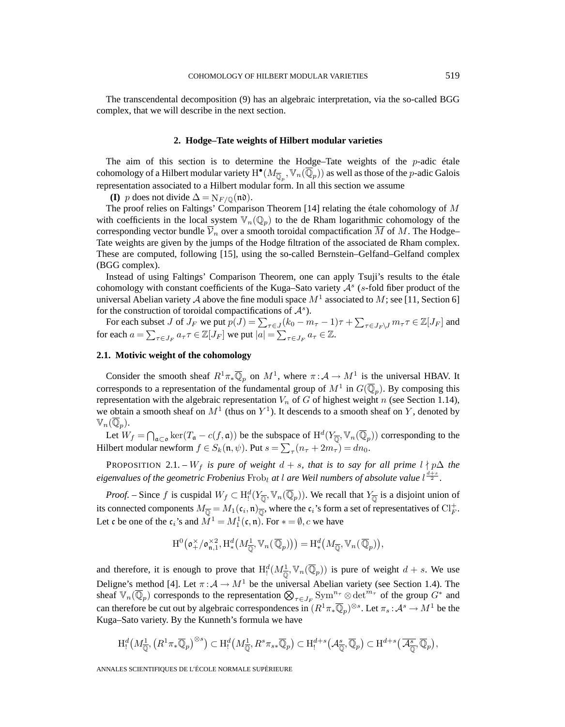The transcendental decomposition (9) has an algebraic interpretation, via the so-called BGG complex, that we will describe in the next section.

# **2. Hodge–Tate weights of Hilbert modular varieties**

The aim of this section is to determine the Hodge–Tate weights of the  $p$ -adic étale cohomology of a Hilbert modular variety  $\mathrm{H}^\bullet(M_{\overline{\mathbb{Q}}_p}, \mathbb{V}_n(\overline{\mathbb{Q}}_p))$  as well as those of the  $p$ -adic Galois representation associated to a Hilbert modular form. In all this section we assume

**(I)** p does not divide  $\Delta = N_{F/\mathbb{Q}}(\mathfrak{n}\mathfrak{d}).$ 

The proof relies on Faltings' Comparison Theorem [14] relating the étale cohomology of M with coefficients in the local system  $\mathbb{V}_n(\mathbb{Q}_p)$  to the de Rham logarithmic cohomology of the corresponding vector bundle  $\overline{V}_n$  over a smooth toroidal compactification M of M. The Hodge– Tate weights are given by the jumps of the Hodge filtration of the associated de Rham complex. These are computed, following [15], using the so-called Bernstein–Gelfand–Gelfand complex (BGG complex).

Instead of using Faltings' Comparison Theorem, one can apply Tsuji's results to the étale cohomology with constant coefficients of the Kuga–Sato variety  $A<sup>s</sup>$  (s-fold fiber product of the universal Abelian variety A above the fine moduli space  $M^1$  associated to M; see [11, Section 6] for the construction of toroidal compactifications of  $\mathcal{A}^s$ ).

For each subset J of  $J_F$  we put  $p(J) = \sum_{\tau \in J} (k_0 - m_\tau - 1)\tau + \sum_{\tau \in J_F \setminus J} m_\tau \tau \in \mathbb{Z}[J_F]$  and for each  $a = \sum_{\tau \in J_F} a_{\tau} \tau \in \mathbb{Z}[J_F]$  we put  $|a| = \sum_{\tau \in J_F} a_{\tau} \in \mathbb{Z}$ .

# **2.1. Motivic weight of the cohomology**

Consider the smooth sheaf  $R^1 \pi_* \overline{\mathbb{Q}}_p$  on  $M^1$ , where  $\pi : A \to M^1$  is the universal HBAV. It corresponds to a representation of the fundamental group of  $M^1$  in  $G(\overline{\mathbb{Q}}_p)$ . By composing this representation with the algebraic representation  $V_n$  of G of highest weight n (see Section 1.14), we obtain a smooth sheaf on  $M<sup>1</sup>$  (thus on  $Y<sup>1</sup>$ ). It descends to a smooth sheaf on Y, denoted by  $\mathbb{V}_n(\mathbb{Q}_p).$ 

Let  $W_f = \bigcap_{\mathfrak{a} \subset \mathfrak{o}} \ker(T_{\mathfrak{a}} - c(f, \mathfrak{a}))$  be the subspace of  $H^d(Y_{\overline{\mathbb{Q}}}, \mathbb{V}_n(\overline{\mathbb{Q}}_p))$  corresponding to the Hilbert modular newform  $f \in S_k(\mathfrak{n}, \psi)$ . Put  $s = \sum_{\tau} (n_{\tau} + 2m_{\tau}) = dn_0$ .

PROPOSITION 2.1. – W<sub>f</sub> is pure of weight  $d + s$ , that is to say for all prime  $l \nmid p\Delta$  the *eigenvalues of the geometric Frobenius*  $Frob_l$  *at l are Weil numbers of absolute value*  $l^{\frac{d+s}{2}}$ .

*Proof.* – Since f is cuspidal  $W_f \subset H^d_!(Y_{\overline{\mathbb{Q}}}, \mathbb{V}_n(\overline{\mathbb{Q}}_p))$ . We recall that  $Y_{\overline{\mathbb{Q}}}$  is a disjoint union of its connected components  $M_{\overline{\mathbb{Q}}} = M_1(\mathfrak{c}_i, \mathfrak{n})_{\overline{\mathbb{Q}}}$ , where the  $\mathfrak{c}_i$ 's form a set of representatives of  $\mathrm{Cl}_F^+$ . Let c be one of the  $c_i$ 's and  $M^1 = M_1^1(c, n)$ . For  $* = \emptyset$ , c we have

$$
\mathrm{H}^{0}\left(\mathfrak{o}_{+}^{\times}/\mathfrak{o}_{\mathfrak{n},1}^{\times 2},\mathrm{H}_{*}^{d}\left(M_{\overline{\mathbb{Q}}}^{1},\mathbb{V}_{n}(\overline{\mathbb{Q}}_{p})\right)\right)=\mathrm{H}_{*}^{d}\left(M_{\overline{\mathbb{Q}}},\mathbb{V}_{n}(\overline{\mathbb{Q}}_{p})\right),
$$

and therefore, it is enough to prove that  $H_!^d(M_{\overline{Q}}^1, \mathbb{V}_n(\overline{Q}_p))$  is pure of weight  $d + s$ . We use Deligne's method [4]. Let  $\pi : A \to M^1$  be the universal Abelian variety (see Section 1.4). The sheaf  $\mathbb{V}_n(\overline{\mathbb{Q}}_p)$  corresponds to the representation  $\bigotimes_{\tau \in J_F} \mathrm{Sym}^{n_{\tau}} \otimes \mathrm{det}^{m_{\tau}}$  of the group  $G^*$  and can therefore be cut out by algebraic correspondences in  $(R^1\pi_*\overline{\mathbb{Q}}_p)^{\otimes s}$ . Let  $\pi_s:\mathcal{A}^s\to M^1$  be the Kuga–Sato variety. By the Kunneth's formula we have

$$
\mathrm{H}^d_!(M^1_{\overline{\mathbb{Q}}},\left(R^1\pi_*\overline{\mathbb{Q}}_p\right)^{\otimes s}) \subset \mathrm{H}^d_!(M^1_{\overline{\mathbb{Q}}},R^s\pi_{s*}\overline{\mathbb{Q}}_p) \subset \mathrm{H}^{d+s}_!(\mathcal{A}_{\overline{\mathbb{Q}}}^s,\overline{\mathbb{Q}}_p) \subset \mathrm{H}^{d+s}_!(\overline{\mathcal{A}_{\overline{\mathbb{Q}}}^s},\overline{\mathbb{Q}}_p),
$$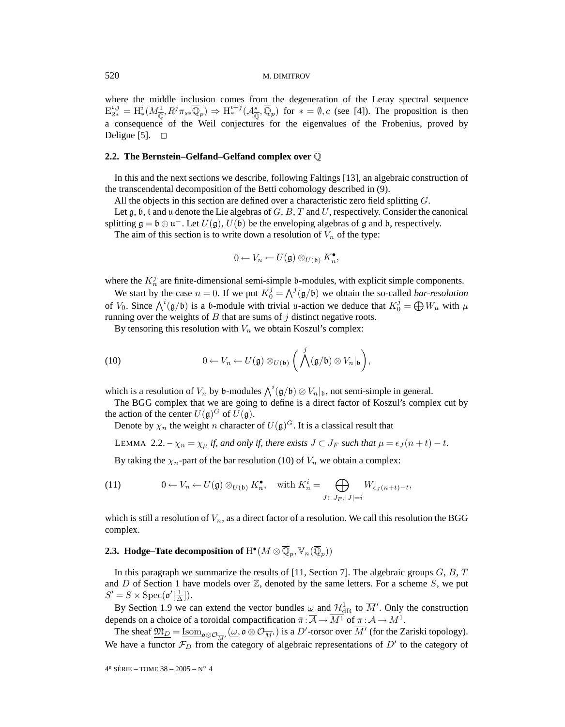where the middle inclusion comes from the degeneration of the Leray spectral sequence  $E_{2*}^{i,j} = H^i_*(M_{\overline{Q}}^1, R^j \pi_{s*} \overline{\mathbb{Q}}_p) \Rightarrow H^{i+j}_*(\mathcal{A}_{\overline{Q}}^s, \overline{\mathbb{Q}}_p)$  for  $* = \emptyset$ , c (see [4]). The proposition is then a consequence of the Weil conjectures for the eigenvalues of the Frobenius, proved by Deligne [5].  $\Box$ 

# **2.2. The Bernstein–Gelfand–Gelfand complex over** Q

In this and the next sections we describe, following Faltings [13], an algebraic construction of the transcendental decomposition of the Betti cohomology described in (9).

All the objects in this section are defined over a characteristic zero field splitting G.

Let  $\mathfrak g$ ,  $\mathfrak b$ ,  $\mathfrak t$  and  $\mathfrak u$  denote the Lie algebras of  $G, B, T$  and  $U$ , respectively. Consider the canonical splitting  $\mathfrak{g} = \mathfrak{b} \oplus \mathfrak{u}^-$ . Let  $U(\mathfrak{g})$ ,  $U(\mathfrak{b})$  be the enveloping algebras of  $\mathfrak{g}$  and  $\mathfrak{b}$ , respectively.

The aim of this section is to write down a resolution of  $V_n$  of the type:

$$
0 \leftarrow V_n \leftarrow U(\mathfrak{g}) \otimes_{U(\mathfrak{b})} K_n^{\bullet},
$$

where the  $K_n^j$  are finite-dimensional semi-simple b-modules, with explicit simple components.

We start by the case  $n = 0$ . If we put  $K_0^j = \bigwedge^j (\mathfrak{g}/\mathfrak{b})$  we obtain the so-called *bar-resolution* of  $V_0$ . Since  $\bigwedge^i(\mathfrak{g}/\mathfrak{b})$  is a b-module with trivial u-action we deduce that  $K_0^j = \bigoplus W_\mu$  with  $\mu$ running over the weights of  $B$  that are sums of  $j$  distinct negative roots.

By tensoring this resolution with  $V_n$  we obtain Koszul's complex:

(10) 
$$
0 \leftarrow V_n \leftarrow U(\mathfrak{g}) \otimes_{U(\mathfrak{b})} \left( \bigwedge^j (\mathfrak{g}/\mathfrak{b}) \otimes V_n|_{\mathfrak{b}} \right),
$$

which is a resolution of  $V_n$  by b-modules  $\bigwedge^i(\mathfrak{g}/\mathfrak{b}) \otimes V_n\vert_{\mathfrak{b}}$ , not semi-simple in general.

The BGG complex that we are going to define is a direct factor of Koszul's complex cut by the action of the center  $U(\mathfrak{g})^G$  of  $U(\mathfrak{g})$ .

Denote by  $\chi_n$  the weight n character of  $U(\mathfrak{g})^G$ . It is a classical result that

LEMMA 2.2. –  $\chi_n = \chi_\mu$  *if, and only if, there exists*  $J \subset J_F$  *such that*  $\mu = \epsilon_J (n + t) - t$ *.* 

By taking the  $\chi_n$ -part of the bar resolution (10) of  $V_n$  we obtain a complex:

(11) 
$$
0 \leftarrow V_n \leftarrow U(\mathfrak{g}) \otimes_{U(\mathfrak{b})} K_n^{\bullet}, \quad \text{with } K_n^i = \bigoplus_{J \subset J_F, |J|=i} W_{\epsilon_J(n+t)-t},
$$

which is still a resolution of  $V_n$ , as a direct factor of a resolution. We call this resolution the BGG complex.

# **2.3. Hodge–Tate decomposition of**  $H^{\bullet}(M \otimes \overline{\mathbb{Q}}_p, \mathbb{V}_n(\overline{\mathbb{Q}}_p))$

In this paragraph we summarize the results of [11, Section 7]. The algebraic groups  $G, B, T$ and D of Section 1 have models over  $\mathbb{Z}$ , denoted by the same letters. For a scheme S, we put  $S'=S\times \mathrm{Spec}(\mathfrak{o}'[\frac{1}{\Delta}]).$ 

By Section 1.9 we can extend the vector bundles  $\omega$  and  $\mathcal{H}^1_{\mathrm{dR}}$  to  $\overline{M}'$ . Only the construction depends on a choice of a toroidal compactification  $\bar{\pi} : \overline{\mathcal{A}} \to \overline{M^1}$  of  $\pi : \mathcal{A} \to M^1$ .

The sheaf  $\underline{\mathfrak{M}}_D = \underline{\mathrm{Isom}}_{\mathfrak{0} \otimes \mathcal{O}_{\overline{M}'}}(\underline{\omega}, \mathfrak{o} \otimes \mathcal{O}_{\overline{M}'})$  is a  $D'$ -torsor over  $\overline{M}'$  (for the Zariski topology). We have a functor  $\mathcal{F}_D$  from the category of algebraic representations of  $D'$  to the category of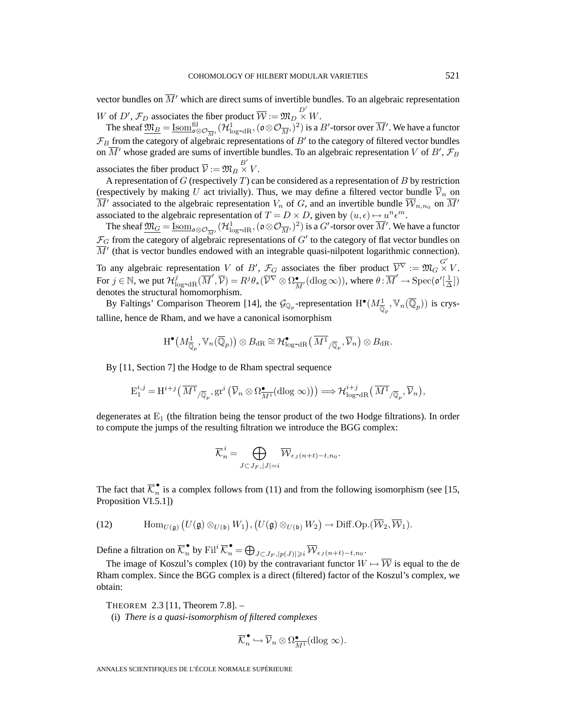vector bundles on  $\overline{M}'$  which are direct sums of invertible bundles. To an algebraic representation W of D',  $\mathcal{F}_D$  associates the fiber product  $\overline{\mathcal{W}} := \mathfrak{M}_D \overset{D'}{\times} W$ .

The sheaf  $\underline{\mathfrak{M}}_B = \underline{\mathrm{Isom}}_{\mathfrak{0} \otimes \mathcal{O}_{\overline{M}'}}^{\text{fil}}(\mathcal{H}^1_{\log^{-dR}}, (\mathfrak{0} \otimes \mathcal{O}_{\overline{M}'})^2)$  is a  $B'$ -torsor over  $\overline{M}'$ . We have a functor  $\mathcal{F}_B$  from the category of algebraic representations of  $B'$  to the category of filtered vector bundles on  $\overline{M}'$  whose graded are sums of invertible bundles. To an algebraic representation V of B',  $\mathcal{F}_B$ associates the fiber product  $\overline{\mathcal{V}} := \mathfrak{M}_B \overset{B'}{\times} V$ .

A representation of  $G$  (respectively  $T$ ) can be considered as a representation of  $B$  by restriction (respectively by making U act trivially). Thus, we may define a filtered vector bundle  $\overline{\mathcal{V}}_n$  on  $\overline{M}'$  associated to the algebraic representation  $V_n$  of G, and an invertible bundle  $\overline{W}_{n,n_0}$  on  $\overline{M}'$ associated to the algebraic representation of  $T = D \times D$ , given by  $(u, \epsilon) \mapsto u^n \epsilon^m$ .

The sheaf  $\underline{\mathfrak{M}}_{G} = \underline{\mathrm{Isom}}_{\mathfrak{0} \otimes \mathcal{O}_{\overline{M}'}} (\mathcal{H}^1_{\log^{-1}R}, (\mathfrak{0} \otimes \mathcal{O}_{\overline{M}'})^2)$  is a  $G'$ -torsor over  $\overline{M}'$ . We have a functor  $\mathcal{F}_G$  from the category of algebraic representations of  $G'$  to the category of flat vector bundles on  $\overline{M}'$  (that is vector bundles endowed with an integrable quasi-nilpotent logarithmic connection).

To any algebraic representation V of B',  $\mathcal{F}_G$  associates the fiber product  $\overline{\mathcal{V}}^{\nabla} := \mathfrak{M}_G \overset{G'}{\times} V$ . For  $j \in \mathbb{N}$ , we put  $\mathcal{H}^j_{\log^{-dR}}(\overline{M}', \overline{\mathcal{V}}) = R^j \theta_*(\overline{\mathcal{V}}^\nabla \otimes \Omega^\bullet_{\overline{M}'}(\text{dlog}\infty))$ , where  $\theta : \overline{M}' \to \text{Spec}(\mathfrak{o}'[\frac{1}{\Delta}])$ denotes the structural homomorphism.

By Faltings' Comparison Theorem [14], the  $\mathcal{G}_{\mathbb{Q}_p}$ -representation  $\mathrm{H}^\bullet(M^1_{\overline{\mathbb{Q}}_p}, \mathbb{V}_n(\overline{\mathbb{Q}}_p))$  is crystalline, hence de Rham, and we have a canonical isomorphism

$$
\mathrm{H}^{\bullet}\left(M^1_{\overline{\mathbb{Q}}_p}, \mathbb{V}_n(\overline{\mathbb{Q}}_p)\right) \otimes B_{\mathrm{dR}} \cong \mathcal{H}^{\bullet}_{\mathrm{log-dR}}\left(\overline{M^1}_{/\overline{\mathbb{Q}}_p}, \overline{\mathcal{V}}_n\right) \otimes B_{\mathrm{dR}}.
$$

By [11, Section 7] the Hodge to de Rham spectral sequence

$$
E_1^{i,j} = H^{i+j}(\overline{M^1}_{/\overline{\mathbb{Q}}_p},gr^i(\overline{\mathcal{V}}_n \otimes \Omega_{\overline{M^1}}^{\bullet}(\text{dlog }\infty))) \Longrightarrow \mathcal{H}_{\text{log-dR}}^{i+j}(\overline{M^1}_{/\overline{\mathbb{Q}}_p},\overline{\mathcal{V}}_n),
$$

degenerates at  $E_1$  (the filtration being the tensor product of the two Hodge filtrations). In order to compute the jumps of the resulting filtration we introduce the BGG complex:

$$
\overline{\mathcal{K}}_n^i = \bigoplus_{J \subset J_F, |J| = i} \overline{\mathcal{W}}_{\epsilon_J(n+t) - t, n_0}.
$$

The fact that  $\overline{\mathcal{K}}_n^{\bullet}$  is a complex follows from (11) and from the following isomorphism (see [15, Proposition VI.5.1])

(12) 
$$
\text{Hom}_{U(\mathfrak{g})}(U(\mathfrak{g}) \otimes_{U(\mathfrak{b})} W_1), (U(\mathfrak{g}) \otimes_{U(\mathfrak{b})} W_2) \to \text{Diff.Op.}(\overline{\mathcal{W}}_2, \overline{\mathcal{W}}_1).
$$

Define a filtration on  $\overline{\mathcal{K}}_n^{\bullet}$  by  $\textnormal{Fil}^i \overline{\mathcal{K}}_n^{\bullet} = \bigoplus_{J \subset J_F, |p(J)| \geqslant i} \overline{\mathcal{W}}_{\epsilon_J(n+t)-t, n_0}$ .

The image of Koszul's complex (10) by the contravariant functor  $W \mapsto \overline{W}$  is equal to the de Rham complex. Since the BGG complex is a direct (filtered) factor of the Koszul's complex, we obtain:

THEOREM 2.3 [11, Theorem 7.8]. –

(i) *There is a quasi-isomorphism of filtered complexes*

$$
\overline{\mathcal{K}}_n^{\bullet} \hookrightarrow \overline{\mathcal{V}}_n \otimes \Omega_{\overline{M^1}}^{\bullet}(\text{dlog }\infty).
$$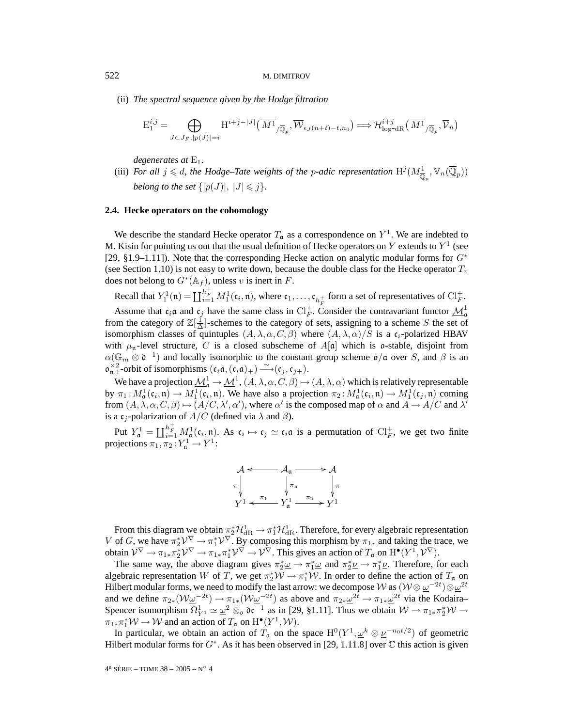(ii) *The spectral sequence given by the Hodge filtration*

$$
E_1^{i,j} = \bigoplus_{J \subset J_F, |p(J)| = i} H^{i+j-|J|}(\overline{M^1}_{/\overline{\mathbb{Q}}_p}, \overline{\mathcal{W}}_{\epsilon_J(n+t)-t, n_0}) \Longrightarrow \mathcal{H}_{\log^{-}dR}^{i+j}(\overline{M^1}_{/\overline{\mathbb{Q}}_p}, \overline{\mathcal{V}}_n)
$$

*degenerates at* E1*.*

(iii) *For all*  $j \le d$ , the Hodge–Tate weights of the *p*-adic representation  $H^j(M_{\overline{\mathbb{Q}}_p}^1, \mathbb{V}_n(\overline{\mathbb{Q}}_p))$ *belong to the set*  $\{|p(J)|, |J| \leq j\}$ *.* 

# **2.4. Hecke operators on the cohomology**

We describe the standard Hecke operator  $T_a$  as a correspondence on  $Y^1$ . We are indebted to M. Kisin for pointing us out that the usual definition of Hecke operators on Y extends to  $Y^1$  (see [29, §1.9–1.11]). Note that the corresponding Hecke action on analytic modular forms for  $G^*$ (see Section 1.10) is not easy to write down, because the double class for the Hecke operator  $T_v$ does not belong to  $G^*(\mathbb{A}_f)$ , unless v is inert in F.

Recall that  $Y_1^1(\mathfrak{n}) = \coprod_{i=1}^{h_F^+} M_1^1(\mathfrak{c}_i, \mathfrak{n})$ , where  $\mathfrak{c}_1, \ldots, \mathfrak{c}_{h_F^+}$  form a set of representatives of  $\mathrm{Cl}_F^+$ .

Assume that  $c_i$  a and  $c_j$  have the same class in  $Cl_F^+$ . Consider the contravariant functor  $\mathcal{M}^1_\mathfrak{a}$ from the category of  $\mathbb{Z}[\frac{1}{\Delta}]$ -schemes to the category of sets, assigning to a scheme S the set of isomorphism classes of quintuples  $(A, \lambda, \alpha, C, \beta)$  where  $(A, \lambda, \alpha)/S$  is a c<sub>i</sub>-polarized HBAV with  $\mu_n$ -level structure, C is a closed subscheme of  $A[\mathfrak{a}]$  which is  $\mathfrak{o}$ -stable, disjoint from  $\alpha(\mathbb{G}_m \otimes \mathfrak{d}^{-1})$  and locally isomorphic to the constant group scheme  $\mathfrak{o}/\mathfrak{a}$  over S, and  $\beta$  is an  $\mathfrak{o}_{\mathfrak{n},1}^{\times 2}$ -orbit of isomorphisms  $(\mathfrak{c}_i \mathfrak{a}, (\mathfrak{c}_i \mathfrak{a})_+) \stackrel{\sim}{\longrightarrow} (\mathfrak{c}_j, \mathfrak{c}_{j+}).$ 

We have a projection  $\underline{\mathcal{M}}^1_\mathfrak{a} \to \underline{\mathcal{M}}^1$ ,  $(A, \lambda, \alpha, C, \beta) \mapsto (A, \lambda, \alpha)$  which is relatively representable by  $\pi_1: M^1_{\frak{a}}(\frak{c}_i, \frak{n}) \to M^1_1(\frak{c}_i, \frak{n})$ . We have also a projection  $\pi_2: M^1_{\frak{a}}(\frak{c}_i, \frak{n}) \to M^1_1(\frak{c}_j, \frak{n})$  coming from  $(A, \lambda, \alpha, C, \beta) \mapsto (A/C, \lambda', \alpha')$ , where  $\alpha'$  is the composed map of  $\alpha$  and  $A \to A/C$  and  $\lambda'$ is a c<sub>j</sub>-polarization of  $A/C$  (defined via  $\lambda$  and  $\beta$ ).

Put  $Y^1_{\mathfrak{a}} = \coprod_{i=1}^{h_F^+} M^1_{\mathfrak{a}}(\mathfrak{c}_i, \mathfrak{n})$ . As  $\mathfrak{c}_i \mapsto \mathfrak{c}_j \simeq \mathfrak{c}_i \mathfrak{a}$  is a permutation of  $\mathrm{Cl}_F^+$ , we get two finite projections  $\pi_1, \pi_2: Y^1_{\mathfrak{a}} \to Y^1$ :



From this diagram we obtain  $\pi_2^* \mathcal{H}_{\rm dR}^1 \to \pi_1^* \mathcal{H}_{\rm dR}^1$ . Therefore, for every algebraic representation V of G, we have  $\pi_2^* V^\nabla \to \pi_1^* V^\nabla$ . By composing this morphism by  $\pi_{1*}$  and taking the trace, we obtain  $\mathcal{V}^{\nabla} \to \pi_{1*}\pi_2^*\mathcal{V}^{\nabla} \to \pi_{1*}\pi_1^*\mathcal{V}^{\nabla} \to \mathcal{V}^{\nabla}$ . This gives an action of  $T_{\mathfrak{a}}$  on  $\mathrm{H}^{\bullet}(Y^1, \mathcal{V}^{\nabla})$ .

The same way, the above diagram gives  $\pi_2^* \underline{\omega} \to \pi_1^* \underline{\omega}$  and  $\pi_2^* \underline{\nu} \to \pi_1^* \underline{\nu}$ . Therefore, for each algebraic representation W of T, we get  $\pi_2^* W \to \pi_1^* W$ . In order to define the action of  $T_a$  on Hilbert modular forms, we need to modify the last arrow: we decompose  ${\cal W}$  as  $({\cal W} \otimes \underline{\omega}^{-2t}) \otimes \underline{\omega}^{2t}$ and we define  $\pi_{2*}(\mathcal{W} \underline{\omega}^{-2t}) \to \pi_{1*}(\mathcal{W} \underline{\omega}^{-2t})$  as above and  $\pi_{2*} \underline{\omega}^{2t} \to \pi_{1*} \underline{\omega}^{2t}$  via the Kodaira– Spencer isomorphism  $\Omega^1_{Y^1} \simeq \underline{\omega}^2 \otimes_{\mathfrak{o}} \mathfrak{dc}^{-1}$  as in [29, §1.11]. Thus we obtain  $W \to \pi_{1*} \pi_2^* W \to$  $\pi_{1*}\pi_1^* \mathcal{W} \to \mathcal{W}$  and an action of  $T_a$  on  $\mathrm{H}^\bullet(Y^1, \mathcal{W})$ .

In particular, we obtain an action of  $T_a$  on the space  $H^0(Y^1, \underline{\omega}^k \otimes \underline{\nu}^{-n_0 t/2})$  of geometric Hilbert modular forms for  $G^*$ . As it has been observed in [29, 1.11.8] over  $\mathbb C$  this action is given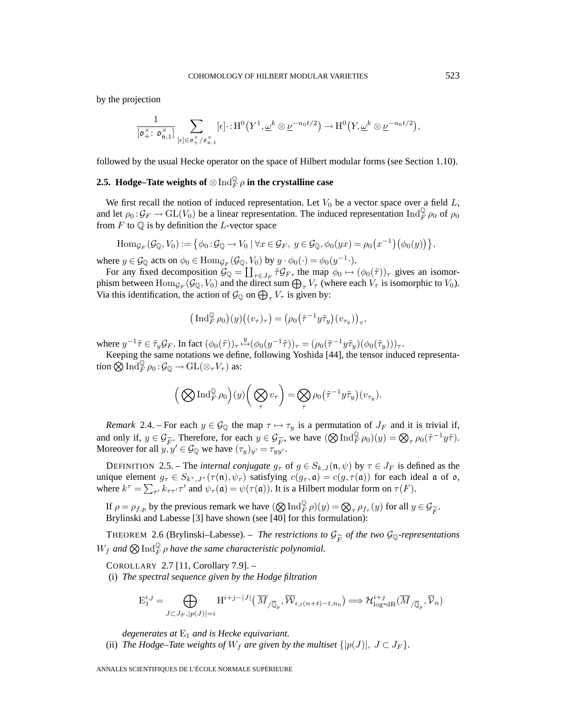by the projection

$$
\frac{1}{[\mathfrak{o}^{\times}_+ \colon \mathfrak{o}^{\times}_{\mathfrak{n},1}]} \sum_{[\epsilon] \in \mathfrak{o}^{\times}_+ / \mathfrak{o}^{\times}_{\mathfrak{n},1}} [\epsilon] \cdot H^0\big(Y^1, \underline{\omega}^k \otimes \underline{\nu}^{-n_0 t/2}\big) \to H^0\big(Y, \underline{\omega}^k \otimes \underline{\nu}^{-n_0 t/2}\big),
$$

followed by the usual Hecke operator on the space of Hilbert modular forms (see Section 1.10).

# **2.5.** Hodge–Tate weights of  $\otimes \operatorname{Ind}_F^{\mathbb Q} \rho$  in the crystalline case

We first recall the notion of induced representation. Let  $V_0$  be a vector space over a field  $L$ , and let  $\rho_0: \mathcal{G}_F \to GL(V_0)$  be a linear representation. The induced representation  $\text{Ind}_F^{\mathbb{Q}} \rho_0$  of  $\rho_0$ from  $F$  to  $\mathbb Q$  is by definition the L-vector space

$$
\mathrm{Hom}_{\mathcal{G}_F}(\mathcal{G}_\mathbb{Q}, V_0) := \big\{\phi_0 : \mathcal{G}_\mathbb{Q} \to V_0 \mid \forall x \in \mathcal{G}_F, \ y \in \mathcal{G}_\mathbb{Q}, \phi_0(yx) = \rho_0(x^{-1})\big(\phi_0(y)\big)\big\},\
$$

where  $y \in \mathcal{G}_{\mathbb{Q}}$  acts on  $\phi_0 \in \text{Hom}_{\mathcal{G}_F}(\mathcal{G}_{\mathbb{Q}}, V_0)$  by  $y \cdot \phi_0(\cdot) = \phi_0(y^{-1} \cdot)$ .

For any fixed decomposition  $\mathcal{G}_{\mathbb{Q}} = \coprod_{\tau \in J_F} \tilde{\tau} \mathcal{G}_F$ , the map  $\phi_0 \mapsto (\phi_0(\tilde{\tau}))_{\tau}$  gives an isomorphism between  $\text{Hom}_{\mathcal{G}_F}(\mathcal{G}_\mathbb{Q}, V_0)$  and the direct sum  $\bigoplus_{\tau} V_{\tau}$  (where each  $V_{\tau}$  is isomorphic to  $V_0$ ). Via this identification, the action of  $\mathcal{G}_{\mathbb{Q}}$  on  $\bigoplus_{\tau} V_{\tau}$  is given by:

$$
\left(\,\mathrm{Ind}_{F}^{\mathbb{Q}}\,\rho_{0}\right)(y)\big((v_{\tau})_{\tau}\big)=\left(\rho_{0}\big(\tilde{\tau}^{-1}y\tilde{\tau}_{y}\big)(v_{\tau_{y}})\right)_{\tau},
$$

where  $y^{-1}\tilde{\tau} \in \tilde{\tau}_y \mathcal{G}_F$ . In fact  $(\phi_0(\tilde{\tau}))_{\tau} \mapsto (\phi_0(y^{-1}\tilde{\tau}))_{\tau} = (\rho_0(\tilde{\tau}^{-1}y\tilde{\tau}_y)(\phi_0(\tilde{\tau}_y)))_{\tau}$ .

Keeping the same notations we define, following Yoshida [44], the tensor induced representation  $\bigotimes \text{Ind}_F^{\mathbb{Q}} \rho_0 \colon \mathcal{G}_{\mathbb{Q}} \to \text{GL}(\otimes_\tau V_\tau)$  as:

$$
\Big(\bigotimes\text{Ind}_F^{\mathbb{Q}}\rho_0\Big)(y)\bigg(\bigotimes_\tau v_\tau\bigg)=\bigotimes_\tau\rho_0\big(\tilde\tau^{-1}y\tilde\tau_y\big)(v_{\tau_y}).
$$

*Remark* 2.4. – For each  $y \in \mathcal{G}_{\mathbb{Q}}$  the map  $\tau \mapsto \tau_y$  is a permutation of  $J_F$  and it is trivial if, and only if,  $y \in \mathcal{G}_{\widetilde{F}}$ . Therefore, for each  $y \in \mathcal{G}_{\widetilde{F}}$ , we have  $(\mathcal{D} \operatorname{Ind}_F^{\mathbb{Q}} \rho_0)(y) = \mathcal{D}_{\tau} \rho_0(\tilde{\tau}^{-1} y \tilde{\tau})$ .<br>Moreover for all  $y, y' \in \mathcal{G}_{\mathbb{Q}}$  we have  $(\tau_w)_{w'} = \tau_{ww'}$ . Moreover for all  $y, y' \in \mathcal{G}_{\mathbb{Q}}$  we have  $(\tau_y)_{y'} = \tau_{yy'}^{\mathcal{G}}$ .

DEFINITION 2.5. – The *internal conjugate*  $g_{\tau}$  of  $g \in S_{k,J}(\mathfrak{n}, \psi)$  by  $\tau \in J_F$  is defined as the unique element  $g_{\tau} \in S_{k^{\tau},J^{\tau}}(\tau(\mathfrak{n}),\psi_{\tau})$  satisfying  $c(g_{\tau},\mathfrak{a}) = c(g,\tau(\mathfrak{a}))$  for each ideal  $\mathfrak{a}$  of  $\mathfrak{o}$ , where  $k^{\tau} = \sum_{\tau'} k_{\tau \tau'} \tau'$  and  $\psi_{\tau}(\mathfrak{a}) = \psi(\tau(\mathfrak{a}))$ . It is a Hilbert modular form on  $\tau(F)$ .

If  $\rho = \rho_{f,p}$  by the previous remark we have  $(\bigotimes \text{Ind}_F^{\mathbb{Q}} \rho)(y) = \bigotimes_{\tau} \rho_{f_{\tau}}(y)$  for all  $y \in \mathcal{G}_{\widetilde{F}}$ .<br>Brylinski and Labesse [3] have shown (see [40] for this formulation): Brylinski and Labesse [3] have shown (see [40] for this formulation):

THEOREM 2.6 (Brylinski–Labesse). – *The restrictions to*  $\mathcal{G}_{\widetilde{F}}$  *of the two*  $\mathcal{G}_{\mathbb{Q}}$ -representations  $W_f$  and  $\bigotimes \text{Ind}_F^{\mathbb Q} \rho$  have the same characteristic polynomial.

COROLLARY 2.7 [11, Corollary 7.9]. –

(i) *The spectral sequence given by the Hodge filtration*

$$
\mathrm{E}_{1}^{i,j}=\bigoplus_{J\subset J_{F}, |p(J)|=i}\mathrm{H}^{i+j-|J|}\left(\overline{M}_{/\overline{\mathbb{Q}}_{p}}, \overline{\mathcal{W}}_{\epsilon_{J}(n+t)-t, n_{0}}\right)\Longrightarrow \mathcal{H}_{\mathrm{log-dR}}^{i+j}(\overline{M}_{/\overline{\mathbb{Q}}_{p}}, \overline{\mathcal{V}}_{n})
$$

*degenerates at* E<sup>1</sup> *and is Hecke equivariant.*

(ii) *The Hodge–Tate weights of*  $W_f$  *are given by the multiset*  $\{|p(J)|, J \subset J_F\}$ *.*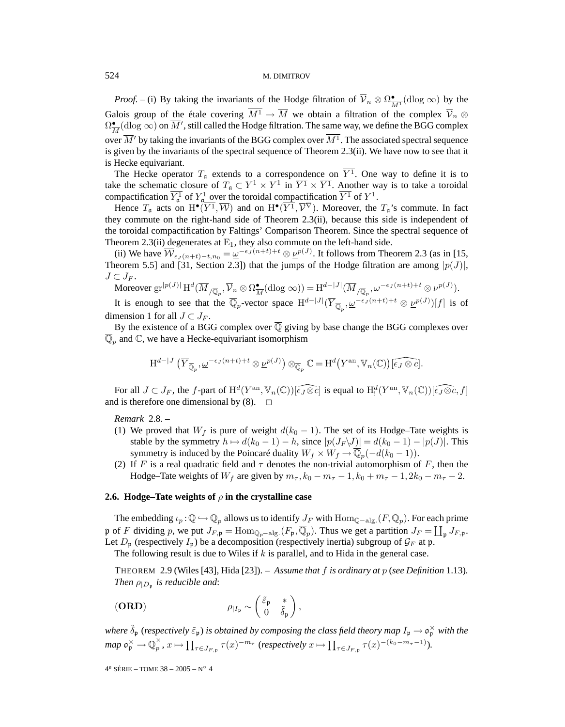*Proof.* – (i) By taking the invariants of the Hodge filtration of  $\overline{V}_n \otimes \Omega_{\overline{M}^1}^{\bullet}(\text{dlog }\infty)$  by the Galois group of the étale covering  $\overline{M^1} \to \overline{M}$  we obtain a filtration of the complex  $\overline{V}_n \otimes$  $\Omega^\bullet_{\overline{M}}(\mathrm{dlog}\propto)$  on  $\overline{M}',$  still called the Hodge filtration. The same way, we define the BGG complex over  $\overline{M}'$  by taking the invariants of the BGG complex over  $\overline{M^1}$  . The associated spectral sequence is given by the invariants of the spectral sequence of Theorem 2.3(ii). We have now to see that it is Hecke equivariant.

The Hecke operator  $T_a$  extends to a correspondence on  $Y^1$ . One way to define it is to take the schematic closure of  $T_a \subset Y^1 \times Y^1$  in  $\overline{Y^1} \times \overline{Y^1}$ . Another way is to take a toroidal compactification  $\overline{Y_a^1}$  of  $Y_a^1$  over the toroidal compactification  $\overline{Y^1}$  of  $Y^1$ .

Hence  $T_a$  acts on  $H^{\bullet}(\overline{Y^1}, \overline{W})$  and on  $H^{\bullet}(\overline{Y^1}, \overline{V^V})$ . Moreover, the  $T_a$ 's commute. In fact they commute on the right-hand side of Theorem 2.3(ii), because this side is independent of the toroidal compactification by Faltings' Comparison Theorem. Since the spectral sequence of Theorem 2.3(ii) degenerates at  $E_1$ , they also commute on the left-hand side.

(ii) We have  $\overline{\mathcal{W}}_{\epsilon_J(n+t)-t,n_0} = \underline{\omega}^{-\epsilon_J(n+t)+t} \otimes \underline{\nu}^{p(J)}$ . It follows from Theorem 2.3 (as in [15, Theorem 5.5] and [31, Section 2.3]) that the jumps of the Hodge filtration are among  $|p(J)|$ ,  $J\subset J_F$ .

Moreover  $\mathrm{gr}^{|p(J)|} \mathrm{H}^d(\overline{M}_{/\overline{\mathbb{Q}}_p}, \overline{\mathcal{V}}_n \otimes \Omega^{\bullet}_{\overline{M}}(\mathrm{dlog} \infty)) = \mathrm{H}^{d-|J|}(\overline{M}_{/\overline{\mathbb{Q}}_p}, \underline{\omega}^{-\epsilon_J (n+t)+t} \otimes \underline{\nu}^{p(J)}).$ 

It is enough to see that the  $\overline{\mathbb{Q}}_p$ -vector space  $H^{d-|J|}(\overline{Y}_{\overline{\mathbb{Q}}_p}, \underline{\omega}^{-\epsilon_J(n+t)+t} \otimes \underline{\nu}^{p(J)})[f]$  is of dimension 1 for all  $J \subset J_F$ .

By the existence of a BGG complex over  $\overline{Q}$  giving by base change the BGG complexes over  $\mathbb{Q}_p$  and  $\mathbb{C}$ , we have a Hecke-equivariant isomorphism

$$
\mathrm{H}^{d-|J|}(\overline{Y}_{\overline{\mathbb{Q}}_p}, \underline{\omega}^{-\epsilon_J(n+t)+t} \otimes \underline{\nu}^{p(J)}) \otimes_{\overline{\mathbb{Q}}_p} \mathbb{C} = \mathrm{H}^d(\overline{Y}^{\mathrm{an}}, \mathbb{V}_n(\mathbb{C}))[\widehat{\epsilon_J \otimes c}].
$$

For all  $J \subset J_F$ , the f-part of  $\mathrm{H}^d(Y^{\mathrm{an}}, \mathbb{V}_n(\mathbb{C}))$   $\widehat{[\epsilon_J \otimes c]}$  is equal to  $\mathrm{H}^d_!(Y^{\mathrm{an}}, \mathbb{V}_n(\mathbb{C}))$   $\widehat{[\epsilon_J \otimes c}, f]$ and is therefore one dimensional by  $(8)$ .  $\Box$ 

*Remark* 2.8. –

- (1) We proved that  $W_f$  is pure of weight  $d(k_0 1)$ . The set of its Hodge–Tate weights is stable by the symmetry  $h \mapsto d(k_0 - 1) - h$ , since  $|p(J_F \backslash J)| = d(k_0 - 1) - |p(J)|$ . This symmetry is induced by the Poincaré duality  $W_f \times W_f \rightarrow \overline{\mathbb{Q}}_p(-d(k_0 - 1)).$
- (2) If F is a real quadratic field and  $\tau$  denotes the non-trivial automorphism of F, then the Hodge–Tate weights of  $W_f$  are given by  $m_\tau$ ,  $k_0 - m_\tau - 1$ ,  $k_0 + m_\tau - 1$ ,  $2k_0 - m_\tau - 2$ .

# **2.6. Hodge–Tate weights of**  $\rho$  **in the crystalline case**

The embedding  $\iota_p : \overline{\mathbb{Q}} \hookrightarrow \overline{\mathbb{Q}}_p$  allows us to identify  $J_F$  with  $\text{Hom}_{\mathbb{Q}-\text{alg.}}(F, \overline{\mathbb{Q}}_p)$ . For each prime p of F dividing p, we put  $J_{F,\mathfrak{p}} = \text{Hom}_{\mathbb{Q}_p-\text{alg.}}(F_{\mathfrak{p}}, \overline{\mathbb{Q}}_p)$ . Thus we get a partition  $J_F = \coprod_{\mathfrak{p}} J_{F,\mathfrak{p}}$ . Let  $D_p$  (respectively  $I_p$ ) be a decomposition (respectively inertia) subgroup of  $\mathcal{G}_F$  at p. The following result is due to Wiles if  $k$  is parallel, and to Hida in the general case.

THEOREM 2.9 (Wiles [43], Hida [23]). – *Assume that* f *is ordinary at* p (*see Definition* 1.13)*. Then*  $\rho_{|D_n}$  *is reducible and:* 

(ORD) 
$$
\rho_{|I_{\mathfrak{p}}} \sim \begin{pmatrix} \tilde{\varepsilon}_{\mathfrak{p}} & * \\ 0 & \tilde{\delta}_{\mathfrak{p}} \end{pmatrix},
$$

where  $\tilde{\delta}_{\frak{p}}$  (respectively  $\tilde{\varepsilon}_{\frak{p}}$ ) is obtained by composing the class field theory map  $I_{\frak{p}}\to\frak{o}_{\frak{p}}^\times$  with the  $map \ \mathfrak{o}_\mathfrak{p}^\times \to \overline{\mathbb{Q}}_p^\times$ ,  $x \mapsto \prod_{\tau \in J_{F, \mathfrak{p}}} \tau(x)^{-m_\tau}$  (*respectively*  $x \mapsto \prod_{\tau \in J_{F, \mathfrak{p}}} \tau(x)^{-(k_0 - m_\tau - 1)}$ ).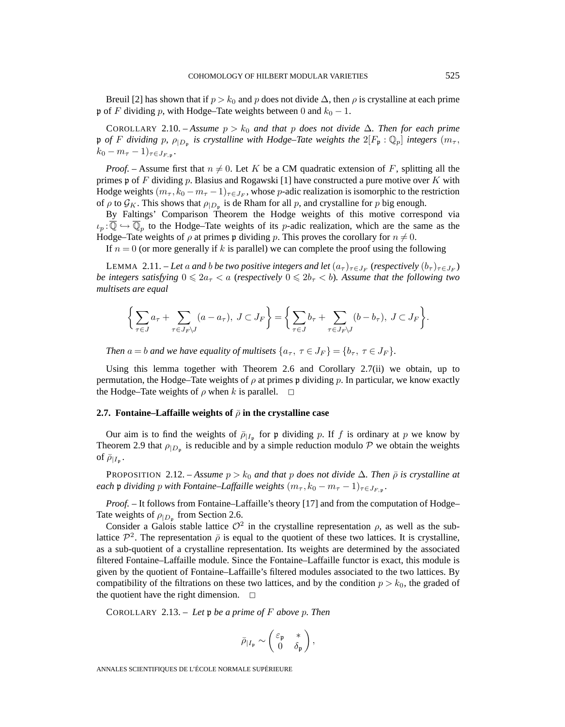Breuil [2] has shown that if  $p > k_0$  and p does not divide  $\Delta$ , then  $\rho$  is crystalline at each prime p of F dividing p, with Hodge–Tate weights between 0 and  $k_0 - 1$ .

COROLLARY 2.10. – *Assume*  $p > k_0$  *and that* p *does not divide*  $\Delta$ *. Then for each prime* p *of* F dividing p,  $\rho_{|D_p}$  is crystalline with Hodge–Tate weights the  $2|F_p : \mathbb{Q}_p|$  integers  $(m_\tau,$  $k_0 - m_\tau - 1)_{\tau \in J_{F,\mathfrak{n}}}.$ 

*Proof.* – Assume first that  $n \neq 0$ . Let K be a CM quadratic extension of F, splitting all the primes  $\mathfrak p$  of F dividing p. Blasius and Rogawski [1] have constructed a pure motive over K with Hodge weights  $(m_{\tau}, k_0 - m_{\tau} - 1)_{\tau \in J_F}$ , whose p-adic realization is isomorphic to the restriction of  $\rho$  to  $\mathcal{G}_K$ . This shows that  $\rho_{|D_p}$  is de Rham for all p, and crystalline for p big enough.

By Faltings' Comparison Theorem the Hodge weights of this motive correspond via  $\iota_p: \overline{\mathbb{Q}} \hookrightarrow \overline{\mathbb{Q}}_p$  to the Hodge–Tate weights of its *p*-adic realization, which are the same as the Hodge–Tate weights of  $\rho$  at primes p dividing p. This proves the corollary for  $n \neq 0$ .

If  $n = 0$  (or more generally if k is parallel) we can complete the proof using the following

LEMMA 2.11. – *Let* a and *b be two positive integers and let*  $(a_{\tau})_{\tau \in J_F}$  (*respectively*  $(b_{\tau})_{\tau \in J_F}$ ) *be integers satisfying*  $0 \leqslant 2a_\tau < a$  (*respectively*  $0 \leqslant 2b_\tau < b$ ). Assume that the following two *multisets are equal*

$$
\bigg\{\sum_{\tau\in J}a_\tau+\sum_{\tau\in J_F\backslash J}(a-a_\tau),\ J\subset J_F\bigg\}=\bigg\{\sum_{\tau\in J}b_\tau+\sum_{\tau\in J_F\backslash J}(b-b_\tau),\ J\subset J_F\bigg\}.
$$

*Then*  $a = b$  *and we have equality of multisets*  $\{a_{\tau}, \tau \in J_F\} = \{b_{\tau}, \tau \in J_F\}.$ 

Using this lemma together with Theorem 2.6 and Corollary 2.7(ii) we obtain, up to permutation, the Hodge–Tate weights of  $\rho$  at primes p dividing p. In particular, we know exactly the Hodge–Tate weights of  $\rho$  when k is parallel.  $\Box$ 

## **2.7. Fontaine–Laffaille weights of**  $\bar{\rho}$  **in the crystalline case**

Our aim is to find the weights of  $\bar{\rho}_{|I_p}$  for p dividing p. If f is ordinary at p we know by Theorem 2.9 that  $\rho_{|D_p}$  is reducible and by a simple reduction modulo P we obtain the weights of  $\bar{\rho}_{|I_{p}}$ .

**PROPOSITION** 2.12. – *Assume*  $p > k_0$  *and that* p *does not divide*  $\Delta$ *. Then*  $\bar{\rho}$  *is crystalline at each* **p** *dividing p with Fontaine–Laffaille weights*  $(m_\tau, k_0 - m_\tau - 1)_{\tau \in J_{F,p}}$ .

*Proof. –* It follows from Fontaine–Laffaille's theory [17] and from the computation of Hodge– Tate weights of  $\rho_{|D_n}$  from Section 2.6.

Consider a Galois stable lattice  $\mathcal{O}^2$  in the crystalline representation  $\rho$ , as well as the sublattice  $\mathcal{P}^2$ . The representation  $\bar{\rho}$  is equal to the quotient of these two lattices. It is crystalline, as a sub-quotient of a crystalline representation. Its weights are determined by the associated filtered Fontaine–Laffaille module. Since the Fontaine–Laffaille functor is exact, this module is given by the quotient of Fontaine–Laffaille's filtered modules associated to the two lattices. By compatibility of the filtrations on these two lattices, and by the condition  $p > k_0$ , the graded of the quotient have the right dimension.  $\Box$ 

COROLLARY 2.13. – *Let* p *be a prime of* F *above* p*. Then*

$$
\bar{\rho}_{|I_{\mathfrak{p}}} \sim \begin{pmatrix} \varepsilon_{\mathfrak{p}} & * \\ 0 & \delta_{\mathfrak{p}} \end{pmatrix},
$$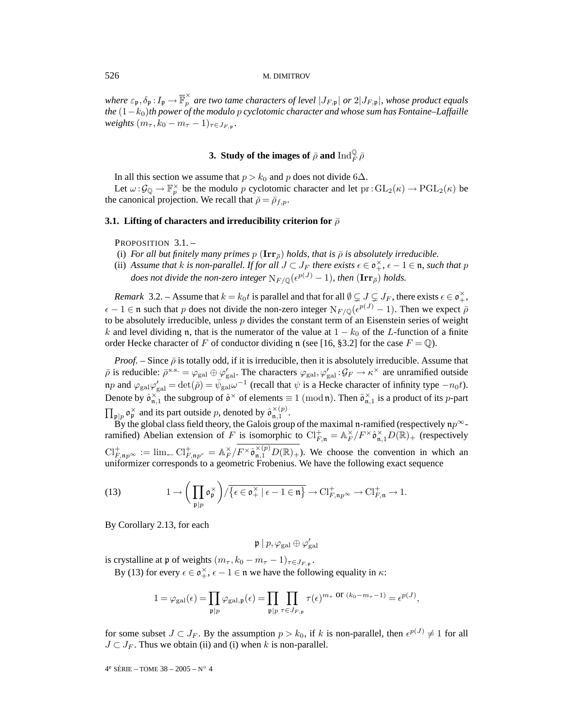where  $\varepsilon_p$  ,  $\delta_p$  :  $I_p \to \overline{\mathbb{F}}_p^\times$  are two tame characters of level  $|J_{F,\mathfrak{p}}|$  or  $2|J_{F,\mathfrak{p}}|$ , whose product equals *the* (1−k<sub>0</sub>)*th power of the modulo p cyclotomic character and whose sum has Fontaine–Laffaille weights*  $(m_{\tau}, k_0 - m_{\tau} - 1)_{\tau \in J_{F,n}}$ .

# **3.** Study of the images of  $\bar{\rho}$  and  $\mathrm{Ind}_F^\mathbb{Q} \bar{\rho}$

In all this section we assume that  $p > k_0$  and p does not divide 6∆.

Let  $\omega: \mathcal{G}_{\mathbb{Q}} \to \mathbb{F}_p^{\times}$  be the modulo p cyclotomic character and let  $\text{pr}: GL_2(\kappa) \to \text{PGL}_2(\kappa)$  be the canonical projection. We recall that  $\bar{\rho} = \bar{\rho}_{f,p}$ .

# **3.1. Lifting of characters and irreducibility criterion for**  $\bar{\rho}$

PROPOSITION 3.1. -

- (i) *For all but finitely many primes*  $p(\mathbf{Irr}_{\overline{\theta}})$  *holds, that is*  $\overline{\rho}$  *is absolutely irreducible.*
- (ii) Assume that *k* is non-parallel. If for all  $J \subset J_F$  there exists  $\epsilon \in \mathfrak{o}_+^{\times}$ ,  $\epsilon 1 \in \mathfrak{n}$ , such that p *does not divide the non-zero integer*  $N_{F/\mathbb{Q}}(e^{p(J)} - 1)$ *, then*  $(\mathbf{Irr}_{\overline{p}})$  *holds.*

*Remark* 3.2. – Assume that  $k = k_0 t$  is parallel and that for all  $\emptyset \subsetneq J \subsetneq J_F$ , there exists  $\epsilon \in \mathfrak{o}_+^{\times}$ ,  $\epsilon - 1 \in \mathfrak{n}$  such that p does not divide the non-zero integer  $N_{F/\mathbb{Q}}(\epsilon^{p(J)} - 1)$ . Then we expect  $\bar{\rho}$ to be absolutely irreducible, unless  $p$  divides the constant term of an Eisenstein series of weight k and level dividing n, that is the numerator of the value at  $1 - k_0$  of the L-function of a finite order Hecke character of F of conductor dividing n (see [16, §3.2] for the case  $F = \mathbb{Q}$ ).

*Proof.* – Since  $\bar{\rho}$  is totally odd, if it is irreducible, then it is absolutely irreducible. Assume that  $\bar{\rho}$  is reducible:  $\bar{\rho}^{\text{s.s.}} = \varphi_{\text{gal}} \oplus \varphi_{\text{gal}}'$ . The characters  $\varphi_{\text{gal}}$ ,  $\varphi_{\text{gal}}'$ :  $\mathcal{G}_F \to \kappa^\times$  are unramified outside np and  $\varphi_{\rm gal}\varphi_{\rm gal}' = \det(\bar{\rho}) = \bar{\psi}_{\rm gal}\omega^{-1}$  (recall that  $\psi$  is a Hecke character of infinity type  $-n_0t$ ). Denote by  $\hat{\mathfrak{o}}_{\mathfrak{n},1}^{\times}$  the subgroup of  $\hat{\mathfrak{o}}^{\times}$  of elements  $\equiv 1 \pmod{\mathfrak{n}}$ . Then  $\hat{\mathfrak{o}}_{\mathfrak{n},1}^{\times}$  is a product of its *p*-part  $\prod_{\mathfrak{p}|p} \mathfrak{o}_{\mathfrak{p}}^{\times}$  and its part outside p, denoted by  $\hat{\mathfrak{o}}_{\mathfrak{n},1}^{\times(p)}$ .

By the global class field theory, the Galois group of the maximal n-ramified (respectively  $np^{\infty}$ ramified) Abelian extension of F is isomorphic to  $\mathrm{Cl}_{F,\mathfrak{n}}^+ = \mathbb{A}_F^\times/F^\times \hat{\mathfrak{o}}_{\mathfrak{n},1}^\times D(\mathbb{R})_+$  (respectively  $\mathrm{Cl}_{F,\mathfrak{n}p^{\infty}}^{+} := \lim_{\leftarrow} \mathrm{Cl}_{F,\mathfrak{n}p^{r}}^{+} = \mathbb{A}_{F}^{\times}/F^{\times} \hat{\mathfrak{o}}_{\mathfrak{n},1}^{\times(p)} D(\mathbb{R})_{+}$ ). We choose the convention in which an uniformizer corresponds to a geometric Frobenius. We have the following exact sequence

(13) 
$$
1 \to \left(\prod_{\mathfrak{p}|p} \mathfrak{o}_{\mathfrak{p}}^{\times}\right) / \overline{\{\epsilon \in \mathfrak{o}_{+}^{\times} | \epsilon - 1 \in \mathfrak{n}\}} \to \mathrm{Cl}_{F,\mathfrak{n}p^{\infty}}^{+} \to \mathrm{Cl}_{F,\mathfrak{n}}^{+} \to 1.
$$

By Corollary 2.13, for each

$$
\mathfrak{p} \ | \ p, \varphi_{\rm gal} \oplus \varphi'_{\rm gal}
$$

is crystalline at p of weights  $(m_\tau, k_0 - m_\tau - 1)_{\tau \in J_{F, \mathfrak{p}}}$ .

By (13) for every  $\epsilon \in \mathfrak{o}_+^{\times}$ ,  $\epsilon - 1 \in \mathfrak{n}$  we have the following equality in  $\kappa$ :

$$
1 = \varphi_{\rm gal}(\epsilon) = \prod_{\mathfrak{p} \mid p} \varphi_{\rm gal, \mathfrak{p}}(\epsilon) = \prod_{\mathfrak{p} \mid p} \prod_{\tau \in J_{F, \mathfrak{p}}} \tau(\epsilon)^{m_{\tau}} \text{ or } (k_0 - m_{\tau} - 1) = \epsilon^{p(J)},
$$

for some subset  $J \subset J_F$ . By the assumption  $p > k_0$ , if k is non-parallel, then  $e^{p(J)} \neq 1$  for all  $J \subset J_F$ . Thus we obtain (ii) and (i) when k is non-parallel.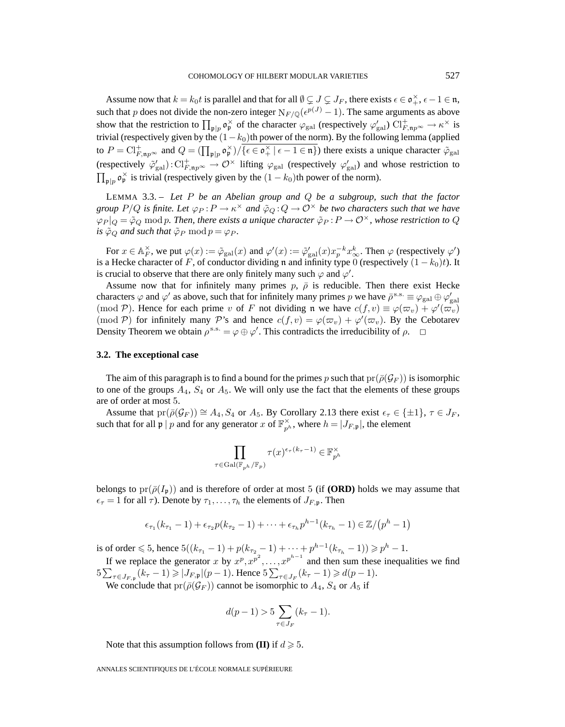Assume now that  $k = k_0 t$  is parallel and that for all  $\emptyset \subsetneq J \subsetneq J_F$ , there exists  $\epsilon \in \mathfrak{o}_+^{\times}, \epsilon - 1 \in \mathfrak{n}$ , such that p does not divide the non-zero integer  $N_{F/\mathbb{O}}(\epsilon^{p(J)} - 1)$ . The same arguments as above show that the restriction to  $\prod_{\mathfrak{p} \mid p} \mathfrak{o}_{\mathfrak{p}}^{\times}$  of the character  $\varphi_{\text{gal}}$  (respectively  $\varphi_{\text{gal}}'$ )  $\text{Cl}_{F,\mathfrak{n}p^{\infty}}^{+} \to \kappa^{\times}$  is trivial (respectively given by the  $(1-k_0)$ th power of the norm). By the following lemma (applied to  $P = \mathrm{Cl}_{F,\mathfrak{n}p^{\infty}}^+$  and  $Q = (\prod_{\mathfrak{p} \mid p} \mathfrak{o}_{\mathfrak{p}}^{\times}) / \overline{\{\epsilon \in \mathfrak{o}_{+}^{\times} \mid \epsilon - 1 \in \mathfrak{n}\}}$  there exists a unique character  $\tilde{\varphi}_{\text{gal}}$ (respectively  $\tilde{\varphi}'_{\rm gal}$ ):  $\text{Cl}_{F,\textbf{n}p^{\infty}}^+ \to \mathcal{O}^{\times}$  lifting  $\varphi_{\rm gal}$  (respectively  $\varphi'_{\rm gal}$ ) and whose restriction to  $\prod_{\mathfrak{p} | p} \mathfrak{o}_{\mathfrak{p}}^{\times}$  is trivial (respectively given by the  $(1 - k_0)$ th power of the norm).

LEMMA 3.3. – *Let* P *be an Abelian group and* Q *be a subgroup, such that the factor group*  $P/Q$  *is finite. Let*  $\varphi_P : P \to \kappa^\times$  *and*  $\tilde{\varphi}_Q : Q \to \mathcal{O}^\times$  *be two characters such that we have*  $\varphi_P|_Q = \tilde{\varphi}_Q \bmod p$ . Then, there exists a unique character  $\tilde{\varphi}_P : P \to \mathcal{O}^\times$ , whose restriction to Q *is*  $\tilde{\varphi}_Q$  *and such that*  $\tilde{\varphi}_P$  mod  $p = \varphi_P$ *.* 

For  $x \in A_F^{\times}$ , we put  $\varphi(x) := \tilde{\varphi}_{gal}(x)$  and  $\varphi'(x) := \tilde{\varphi}_{gal}'(x) x_p^{-k} x_{\infty}^k$ . Then  $\varphi$  (respectively  $\varphi'$ ) is a Hecke character of F, of conductor dividing n and infinity type 0 (respectively  $(1 - k_0)t$ ). It is crucial to observe that there are only finitely many such  $\varphi$  and  $\varphi'$ .

Assume now that for infinitely many primes  $p, \bar{\rho}$  is reducible. Then there exist Hecke characters  $\varphi$  and  $\varphi'$  as above, such that for infinitely many primes p we have  $\bar{\rho}^{s.s.} \equiv \varphi_{gal} \oplus \varphi'_{gal}$ (mod P). Hence for each prime v of F not dividing n we have  $c(f, v) \equiv \varphi(\varpi_v) + \varphi'(\varpi_v)$ (mod P) for infinitely many P's and hence  $c(f, v) = \varphi(\varpi_v) + \varphi'(\varpi_v)$ . By the Cebotarev Density Theorem we obtain  $\rho^{s.s.} = \varphi \oplus \varphi'$ . This contradicts the irreducibility of  $\rho$ .  $\Box$ 

#### **3.2. The exceptional case**

The aim of this paragraph is to find a bound for the primes p such that  $pr(\bar{\rho}(G_F))$  is isomorphic to one of the groups  $A_4$ ,  $S_4$  or  $A_5$ . We will only use the fact that the elements of these groups are of order at most 5.

Assume that  $pr(\bar{\rho}(\mathcal{G}_F)) \cong A_4$ ,  $S_4$  or  $A_5$ . By Corollary 2.13 there exist  $\epsilon_{\tau} \in \{\pm 1\}$ ,  $\tau \in J_F$ , such that for all  $\mathfrak{p} \mid p$  and for any generator x of  $\mathbb{F}_{p^h}^{\times}$ , where  $h = |J_{F,\mathfrak{p}}|$ , the element

$$
\prod_{\tau \in \text{Gal}(\mathbb{F}_{p^h}/\mathbb{F}_p)} \tau(x)^{\epsilon_{\tau}(k_{\tau}-1)} \in \mathbb{F}_{p^h}^{\times}
$$

belongs to  $pr(\bar{\rho}(I_n))$  and is therefore of order at most 5 (if **(ORD)** holds we may assume that  $\epsilon_{\tau} = 1$  for all  $\tau$ ). Denote by  $\tau_1, \ldots, \tau_h$  the elements of  $J_{F,\mathfrak{p}}$ . Then

$$
\epsilon_{\tau_1}(k_{\tau_1}-1)+\epsilon_{\tau_2}p(k_{\tau_2}-1)+\cdots+\epsilon_{\tau_h}p^{h-1}(k_{\tau_h}-1)\in\mathbb{Z}/(p^h-1)
$$

is of order  $\leq 5$ , hence  $5((k_{\tau_1}-1) + p(k_{\tau_2}-1) + \cdots + p^{h-1}(k_{\tau_h}-1)) \geq p^h - 1$ .

If we replace the generator x by  $x^p, x^{p^2}, \ldots, x^{p^{h-1}}$  and then sum these inequalities we find  $5\sum_{\tau \in J_F, p} (k_{\tau} - 1) \geqslant |J_{F, \mathfrak{p}}|(p-1)$ . Hence  $5\sum_{\tau \in J_F} (k_{\tau} - 1) \geqslant d(p-1)$ . We conclude that  $pr(\bar{\rho}(\mathcal{G}_F))$  cannot be isomorphic to  $A_4$ ,  $S_4$  or  $A_5$  if

$$
d(p-1) > 5 \sum_{\tau \in J_F} (k_{\tau} - 1).
$$

Note that this assumption follows from **(II)** if  $d \ge 5$ .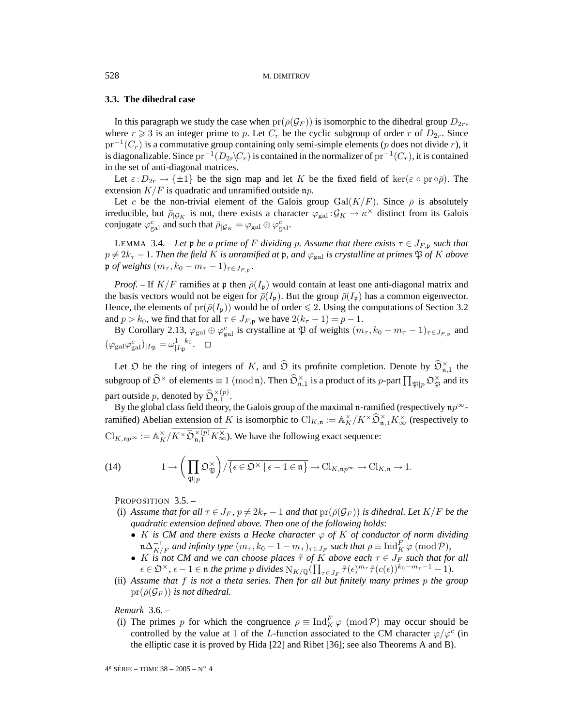# **3.3. The dihedral case**

In this paragraph we study the case when  $pr(\bar{\rho}(\mathcal{G}_F))$  is isomorphic to the dihedral group  $D_{2r}$ , where  $r \geq 3$  is an integer prime to p. Let  $C_r$  be the cyclic subgroup of order r of  $D_{2r}$ . Since  $pr^{-1}(C_r)$  is a commutative group containing only semi-simple elements (p does not divide r), it is diagonalizable. Since  $pr^{-1}(D_{2r}\setminus C_r)$  is contained in the normalizer of  $pr^{-1}(C_r)$ , it is contained in the set of anti-diagonal matrices.

Let  $\varepsilon: D_{2r} \to {\pm 1}$  be the sign map and let K be the fixed field of ker( $\varepsilon \circ pr \circ \overline{\rho}$ ). The extension  $K/F$  is quadratic and unramified outside np.

Let c be the non-trivial element of the Galois group  $Gal(K/F)$ . Since  $\bar{\rho}$  is absolutely irreducible, but  $\bar{\rho}_{|\mathcal{G}_K}$  is not, there exists a character  $\varphi_{\text{gal}} : \mathcal{G}_K \to \kappa^\times$  distinct from its Galois conjugate  $\varphi_{gal}^c$  and such that  $\bar{\rho}_{\vert \mathcal{G}_K} = \varphi_{gal} \oplus \varphi_{gal}^c$ .

LEMMA 3.4. – Let p be a prime of F dividing p. Assume that there exists  $\tau \in J_{F,\mathfrak{p}}$  such that  $p \neq 2k_{\tau} - 1$ . Then the field K is unramified at  $\mathfrak{p}$ , and  $\varphi_{\text{gal}}$  *is crystalline at primes*  $\mathfrak{P}$  of K above  $\mathfrak{p}$  *of weights*  $(m_{\tau}, k_0 - m_{\tau} - 1)_{\tau \in J_{F, \mathfrak{p}}}.$ 

*Proof.* – If  $K/F$  ramifies at p then  $\bar{\rho}(I_p)$  would contain at least one anti-diagonal matrix and the basis vectors would not be eigen for  $\bar{\rho}(I_p)$ . But the group  $\bar{\rho}(I_p)$  has a common eigenvector. Hence, the elements of  $pr(\bar{\rho}(I_p))$  would be of order  $\leq 2$ . Using the computations of Section 3.2 and  $p > k_0$ , we find that for all  $\tau \in J_{F,\mathfrak{p}}$  we have  $2(k_{\tau} - 1) = p - 1$ .

By Corollary 2.13,  $\varphi_{gal} \oplus \varphi_{gal}^c$  is crystalline at  $\mathfrak P$  of weights  $(m_\tau, k_0 - m_\tau - 1)_{\tau \in J_{F, \mathfrak p}}$  and  $(\varphi_{\rm gal}\varphi_{\rm gal}^c)_{|I_{\mathfrak{P}}}=\omega_{|I_{\mathfrak{P}}}^{1-k_0}$ .  $\Box$ 

Let  $\mathfrak D$  be the ring of integers of K, and  $\widehat{\mathfrak D}$  its profinite completion. Denote by  $\widehat{\mathfrak O}_{\mathfrak n,1}^\times$  the subgroup of  $\widehat{\mathfrak{O}}^{\times}$  of elements  $\equiv 1\ ({\rm mod}\,\mathfrak{n}).$  Then  $\widehat{\mathfrak{O}}_{\mathfrak{n},1}^{\times}$  is a product of its  $p$ -part  $\prod_{\mathfrak{P} \mid p} \mathfrak{O}_{\mathfrak{P}}^{\times}$  and its part outside p, denoted by  $\widehat{\mathfrak{O}}_{\mathfrak{n},1}^{\times (p)}$ .

By the global class field theory, the Galois group of the maximal n-ramified (respectively  $np^{\infty}$ ramified) Abelian extension of K is isomorphic to  $\text{Cl}_{K,\mathfrak{n}} := \mathbb{A}_K^{\times}/K^{\times} \widehat{\mathfrak{O}}_{\mathfrak{n},1}^{\times} K_{\infty}^{\times}$  (respectively to  $\mathrm{Cl}_{K,\mathfrak{n}p^{\infty}} := \mathbb{A}_K^{\times}/K^{\times}\widehat{\mathfrak{O}}_{\mathfrak{n},1}^{\times(p)}K_{\infty}^{\times}$ . We have the following exact sequence:

(14) 
$$
1 \to \left(\prod_{\mathfrak{P} \mid p} \mathfrak{O}_{\mathfrak{P}}^{\times}\right) / \overline{\{\epsilon \in \mathfrak{O}^{\times} \mid \epsilon - 1 \in \mathfrak{n}\}} \to \mathrm{Cl}_{K, \mathfrak{n}p^{\infty}} \to \mathrm{Cl}_{K, \mathfrak{n}} \to 1.
$$

PROPOSITION 3.5. -

- (i) *Assume that for all*  $\tau \in J_F$ ,  $p \neq 2k_{\tau} 1$  *and that*  $pr(\bar{\rho}(\mathcal{G}_F))$  *is dihedral. Let*  $K/F$  *be the quadratic extension defined above. Then one of the following holds*:
	- K *is CM and there exists a Hecke character*  $\varphi$  *of* K *of conductor of norm dividing*  $\mathfrak{m}\Delta_{K/F}^{-1}$  *and infinity type*  $(m_\tau, k_0 - 1 - m_\tau)_{\tau \in J_F}$  *such that*  $\rho \equiv \text{Ind}_K^F \varphi \pmod{\mathcal{P}}$ *,*
	- K *is* not CM and we can choose places  $\tilde{\tau}$  of K above each  $\tau \in J_F$  such that for all  $\epsilon \in \mathfrak{O}^\times$ ,  $\epsilon - 1 \in \mathfrak{n}$  *the prime p divides*  $N_{K/\mathbb{Q}}(\prod_{\tau \in J_F} \tilde{\tau}(\epsilon)^{m_{\tau}} \tilde{\tau}(c(\epsilon))^{k_0 - m_{\tau} - 1} - 1)$ .
- (ii) *Assume that* f *is not a theta series. Then for all but finitely many primes* p *the group*  $pr(\bar{\rho}(\mathcal{G}_F))$  *is not dihedral.*

*Remark* 3.6. –

(i) The primes p for which the congruence  $\rho \equiv \text{Ind}_K^F \varphi \pmod{P}$  may occur should be controlled by the value at 1 of the L-function associated to the CM character  $\varphi/\varphi^c$  (in the elliptic case it is proved by Hida [22] and Ribet [36]; see also Theorems A and B).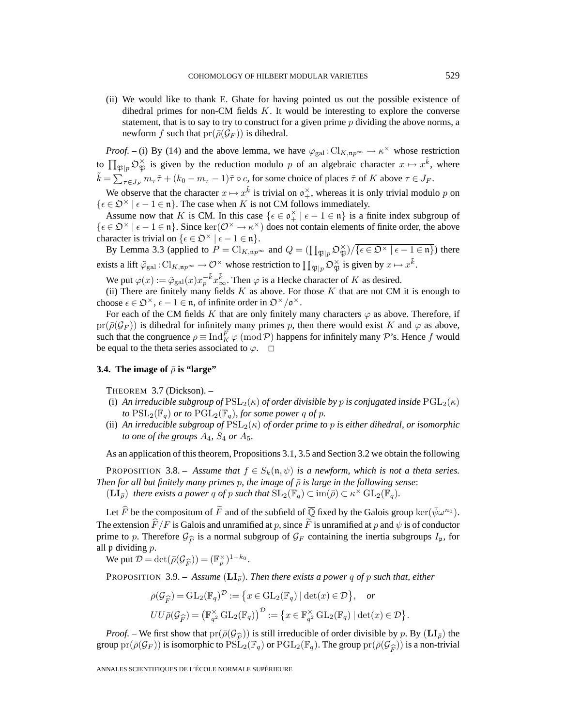(ii) We would like to thank E. Ghate for having pointed us out the possible existence of dihedral primes for non-CM fields  $K$ . It would be interesting to explore the converse statement, that is to say to try to construct for a given prime  $p$  dividing the above norms, a newform f such that  $pr(\bar{\rho}(\mathcal{G}_F))$  is dihedral.

*Proof.* – (i) By (14) and the above lemma, we have  $\varphi_{gal}:Cl_{K,np^{\infty}} \to \kappa^{\times}$  whose restriction to  $\prod_{\mathfrak{P}\mid p} \mathfrak{O}_{\mathfrak{P}}^{\times}$  is given by the reduction modulo p of an algebraic character  $x \mapsto x^{\tilde{k}}$ , where  $\tilde{k} = \sum_{\tau \in J_F} m_{\tau} \tilde{\tau} + (k_0 - m_{\tau} - 1) \tilde{\tau} \circ c$ , for some choice of places  $\tilde{\tau}$  of K above  $\tau \in J_F$ .

We observe that the character  $x \mapsto x^{\tilde{k}}$  is trivial on  $\mathfrak{o}_+^{\times}$ , whereas it is only trivial modulo p on  $\{\epsilon \in \mathfrak{O}^\times \mid \epsilon - 1 \in \mathfrak{n}\}.$  The case when K is not CM follows immediately.

Assume now that K is CM. In this case  $\{\epsilon \in \mathfrak{o}_+^{\times} \mid \epsilon - 1 \in \mathfrak{n}\}\)$  is a finite index subgroup of  $\{\epsilon \in \mathcal{D}^{\times} \mid \epsilon - 1 \in \mathfrak{n}\}\$ . Since  $\ker(\mathcal{O}^{\times} \to \kappa^{\times})$  does not contain elements of finite order, the above character is trivial on  $\{\epsilon \in \mathfrak{O}^\times \mid \epsilon - 1 \in \mathfrak{n}\}.$ 

By Lemma 3.3 (applied to  $P = \text{Cl}_{K,np^{\infty}}$  and  $Q = (\prod_{\mathfrak{P} \mid p} \mathfrak{O}_{\mathfrak{P}}^{\times}) / \sqrt{\{\epsilon \in \mathfrak{O}^{\times} \mid \epsilon - 1 \in \mathfrak{n} \}}$ ) there exists a lift  $\tilde{\varphi}_{\rm gal}$  :  $\mathrm{Cl}_{K,\mathfrak{n}p^\infty}\to \mathcal{O}^\times$  whose restriction to  $\prod_{\mathfrak{P}\mid p} \mathfrak{O}_\mathfrak{P}^\times$  is given by  $x\mapsto x^{\tilde{k}}.$ 

We put  $\varphi(x) := \tilde{\varphi}_{gal}(x) x_p^{-\tilde{k}} x_\infty^{\tilde{k}}$ . Then  $\varphi$  is a Hecke character of K as desired.

(ii) There are finitely many fields  $K$  as above. For those  $K$  that are not CM it is enough to choose  $\epsilon \in \mathfrak{D}^{\times}$ ,  $\epsilon - 1 \in \mathfrak{n}$ , of infinite order in  $\mathfrak{D}^{\times}/\mathfrak{o}^{\times}$ .

For each of the CM fields K that are only finitely many characters  $\varphi$  as above. Therefore, if  $pr(\bar{\rho}(\mathcal{G}_F))$  is dihedral for infinitely many primes p, then there would exist K and  $\varphi$  as above, such that the congruence  $\rho \equiv \text{Ind}_K^F \varphi \pmod{\mathcal{P}}$  happens for infinitely many  $\mathcal{P}$ 's. Hence f would be equal to the theta series associated to  $\varphi$ .  $\Box$ 

# **3.4.** The image of  $\bar{\rho}$  is "large"

THEOREM 3.7 (Dickson). –

- (i) *An irreducible subgroup of*  $PSL_2(\kappa)$  *of order divisible by p is conjugated inside*  $PGL_2(\kappa)$ *to*  $PSL_2(\mathbb{F}_q)$  *or to*  $PGL_2(\mathbb{F}_q)$ *, for some power q of p*.
- (ii) An irreducible subgroup of  $\widehat{PSL}_2(\kappa)$  of order prime to p is either dihedral, or isomorphic *to one of the groups*  $A_4$ ,  $S_4$  *or*  $A_5$ .

As an application of this theorem, Propositions 3.1, 3.5 and Section 3.2 we obtain the following

**PROPOSITION** 3.8. – *Assume that*  $f \in S_k(\mathfrak{n}, \psi)$  *is a newform, which is not a theta series. Then for all but finitely many primes p, the image of*  $\bar{\rho}$  *is large in the following sense*:

 $(\mathbf{LI}_{\overline{\rho}})$  *there exists a power q of p such that*  $\mathrm{SL}_2(\mathbb{F}_q) \subset \mathrm{im}(\overline{\rho}) \subset \kappa^{\times} \mathrm{GL}_2(\mathbb{F}_q)$ *.* 

Let  $\hat{F}$  be the compositum of  $\tilde{F}$  and of the subfield of  $\overline{\mathbb{Q}}$  fixed by the Galois group ker( $\bar{\psi}\omega^{n_0}$ ). The extension  $\hat{F}/F$  is Galois and unramified at p, since F is unramified at p and  $\psi$  is of conductor prime to p. Therefore  $\mathcal{G}_{\widehat{F}}$  is a normal subgroup of  $\mathcal{G}_F$  containing the inertia subgroups  $I_p$ , for all p dividing p.

We put  $\mathcal{D} = \det(\bar{\rho}(\mathcal{G}_{\widehat{F}})) = (\mathbb{F}_p^{\times})^{1-k_0}$ .

**PROPOSITION** 3.9. – *Assume* ( $LI_{\overline{p}}$ )*. Then there exists a power q of p such that, either* 

$$
\bar{\rho}(\mathcal{G}_{\widehat{F}}) = \mathrm{GL}_2(\mathbb{F}_q)^{\mathcal{D}} := \left\{ x \in \mathrm{GL}_2(\mathbb{F}_q) \mid \det(x) \in \mathcal{D} \right\}, \text{ or}
$$
  

$$
UU\bar{\rho}(\mathcal{G}_{\widehat{F}}) = \left( \mathbb{F}_{q^2}^{\times} \mathrm{GL}_2(\mathbb{F}_q) \right)^{\mathcal{D}} := \left\{ x \in \mathbb{F}_{q^2}^{\times} \mathrm{GL}_2(\mathbb{F}_q) \mid \det(x) \in \mathcal{D} \right\}.
$$

*Proof.* – We first show that  $pr(\bar{\rho}(\mathcal{G}_{\widehat{\mathcal{F}}}))$  is still irreducible of order divisible by p. By  $(\mathbf{LI}_{\overline{\rho}})$  the group  $pr(\bar{\rho}(\mathcal{G}_F))$  is isomorphic to  $PSL_2(\mathbb{F}_q)$  or  $PGL_2(\mathbb{F}_q)$ . The group  $pr(\bar{\rho}(\mathcal{G}_{\widehat{F}}))$  is a non-trivial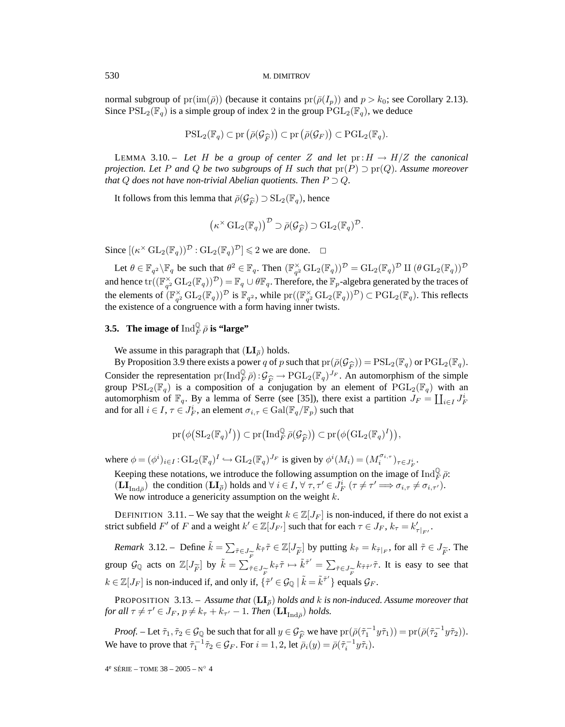normal subgroup of  $pr(\text{im}(\bar{\rho}))$  (because it contains  $pr(\bar{\rho}(I_p))$  and  $p > k_0$ ; see Corollary 2.13). Since  $PSL_2(\mathbb{F}_q)$  is a simple group of index 2 in the group  $PGL_2(\mathbb{F}_q)$ , we deduce

$$
\mathrm{PSL}_2(\mathbb{F}_q) \subset \mathrm{pr}\left(\bar{\rho}(\mathcal{G}_{\widehat{F}})\right) \subset \mathrm{pr}\left(\bar{\rho}(\mathcal{G}_F)\right) \subset \mathrm{PGL}_2(\mathbb{F}_q).
$$

LEMMA 3.10. – Let H be a group of center Z and let  $pr:H \to H/Z$  the canonical *projection. Let* P *and* Q *be two subgroups of* H *such that*  $pr(P) \supset pr(Q)$ *. Assume moreover that*  $Q$  *does not have non-trivial Abelian quotients. Then*  $P \supset Q$ .

It follows from this lemma that  $\bar{\rho}(\mathcal{G}_{\widehat{F}}) \supset \text{SL}_2(\mathbb{F}_q)$ , hence

$$
(\kappa^{\times} \operatorname{GL}_2(\mathbb{F}_q))^{D} \supset \bar{\rho}(\mathcal{G}_{\widehat{F}}) \supset \operatorname{GL}_2(\mathbb{F}_q)^{D}.
$$

Since  $[(\kappa^{\times} GL_2(\mathbb{F}_q))^{\mathcal{D}} : GL_2(\mathbb{F}_q)^{\mathcal{D}}] \leq 2$  we are done.  $\Box$ 

Let  $\theta \in \mathbb{F}_{q^2} \backslash \mathbb{F}_q$  be such that  $\theta^2 \in \mathbb{F}_q$ . Then  $(\mathbb{F}_q^{\times} \text{GL}_2(\mathbb{F}_q))^{\mathcal{D}} = \text{GL}_2(\mathbb{F}_q)^{\mathcal{D}}$  II  $(\theta \text{GL}_2(\mathbb{F}_q))^{\mathcal{D}}$ and hence  $\text{tr}((\mathbb{F}_{q^2}^{\times}\text{GL}_2(\mathbb{F}_q))^{\mathcal{D}})=\mathbb{F}_q\cup\theta\mathbb{F}_q.$  Therefore, the  $\mathbb{F}_p$ -algebra generated by the traces of the elements of  $(\mathbb{F}_{q^2}^{\times} GL_2(\mathbb{F}_q))^{\mathcal{D}}$  is  $\mathbb{F}_{q^2}$ , while  $\text{pr}((\mathbb{F}_{q^2}^{\times} GL_2(\mathbb{F}_q))^{\mathcal{D}}) \subset \text{PGL}_2(\mathbb{F}_q)$ . This reflects the existence of a congruence with a form having inner twists.

# **3.5.** The image of  $\operatorname{Ind}_F^\mathbb{Q} \bar{\rho}$  is "large"

We assume in this paragraph that  $(LI_{\overline{\rho}})$  holds.

By Proposition 3.9 there exists a power q of p such that  $pr(\bar{\rho}(\mathcal{G}_{\widehat{F}})) = PSL_2(\mathbb{F}_q)$  or  $PGL_2(\mathbb{F}_q)$ . Consider the representation  $pr(\text{Ind}_{F}^{\mathbb{Q}} \bar{\rho}) : \mathcal{G}_{\widehat{F}} \to \text{PGL}_{2}(\mathbb{F}_{q})^{J_{F}}$ . An automorphism of the simple group  $PSL_{2}(\mathbb{F}_{q})$  is a composition of a conjugation by an element of  $PGL_{2}(\mathbb{F}_{q})$  with an group  $PSL_2(\mathbb{F}_q)$  is a composition of a conjugation by an element of  $PGL_2(\mathbb{F}_q)$  with an automorphism of  $\mathbb{F}_q$ . By a lemma of Serre (see [35]), there exist a partition  $J_F = \coprod_{i \in I} J_F^i$ and for all  $i \in I, \tau \in J_F^i$ , an element  $\sigma_{i,\tau} \in \mathrm{Gal}(\mathbb{F}_q/\mathbb{F}_p)$  such that

$$
\mathrm{pr}(\phi\big(\mathrm{SL}_2(\mathbb{F}_q)^I\big)\big)\subset\mathrm{pr}\big(\mathrm{Ind}_F^{\mathbb{Q}}\bar{\rho}(\mathcal{G}_{\widehat{F}})\big)\subset\mathrm{pr}\big(\phi\big(\mathrm{GL}_2(\mathbb{F}_q)^I\big)\big),
$$

where  $\phi = (\phi^i)_{i \in I} : \text{GL}_2(\mathbb{F}_q)^I \hookrightarrow \text{GL}_2(\mathbb{F}_q)^{J_F}$  is given by  $\phi^i(M_i) = (M_i^{\sigma_{i,\tau}})_{\tau \in J_F^i}$ .

Keeping these notations, we introduce the following assumption on the image of  $\text{Ind}_F^{\mathbb{Q}} \bar{\rho}$ :  $(\mathbf{LI}_{\text{Ind}\bar{\rho}})$  the condition  $(\mathbf{LI}_{\bar{\rho}})$  holds and  $\forall i \in I, \forall \tau, \tau' \in J_F^i$   $(\tau \neq \tau' \Longrightarrow \sigma_{i,\tau} \neq \sigma_{i,\tau'}).$ We now introduce a genericity assumption on the weight  $k$ .

DEFINITION 3.11. – We say that the weight  $k \in \mathbb{Z}[J_F]$  is non-induced, if there do not exist a strict subfield  $F'$  of  $F$  and a weight  $k' \in \mathbb{Z}[J_{F'}]$  such that for each  $\tau \in J_F$ ,  $k_{\tau} = k'_{\tau|_{F'}}$ .

*Remark* 3.12. – Define  $\tilde{k} = \sum_{\tilde{r} \in J_{\tilde{F}}} k_{\tilde{r}} \tilde{r} \in \mathbb{Z}[J_{\tilde{F}}]$  by putting  $k_{\tilde{r}} = k_{\tilde{r}|F}$ , for all  $\tilde{r} \in J_{\tilde{F}}$ . The group  $\mathcal{G}_{\mathbb{Q}}$  acts on  $\mathbb{Z}[J_{\widetilde{F}}]$  by  $\tilde{k} = \sum_{\tilde{\tau} \in J_{\widetilde{F}}} k_{\tilde{\tau}} \tilde{\tau} \mapsto \tilde{k}^{\tilde{\tau}'} = \sum_{\tilde{\tau} \in J_{\widetilde{F}}} k_{\tilde{\tau}} \tilde{\tau}$ . It is easy to see that  $k \in \mathbb{Z}[J_F]$  is non-induced if, and only if,  $\{\tilde{\tau}' \in \mathcal{G}_{\mathbb{Q}} \mid \tilde{k} = \tilde{k}^{\tilde{\tau}'}\}$  equals  $\mathcal{G}_F$ .

**PROPOSITION** 3.13. – *Assume that*  $(LI_{\overline{\rho}})$  *holds and k is non-induced. Assume moreover that for all*  $\tau \neq \tau' \in J_F$ ,  $p \neq k_{\tau} + k_{\tau'} - 1$ . *Then*  $(\mathbf{LI}_{\text{Ind}_{\overline{\rho}}})$  *holds.* 

*Proof.* – Let  $\tilde{\tau}_1, \tilde{\tau}_2 \in \mathcal{G}_{\mathbb{Q}}$  be such that for all  $y \in \mathcal{G}_{\widehat{F}}$  we have  $\text{pr}(\bar{\rho}(\tilde{\tau}_1^{-1}y\tilde{\tau}_1)) = \text{pr}(\bar{\rho}(\tilde{\tau}_2^{-1}y\tilde{\tau}_2)).$ <br>a have to prove that  $\tilde{\tau}_1^{-1}\tilde{\tau}_2 \in \mathcal{G}_{\mathbb{Q}}$ . For  $i = 1,$ We have to prove that  $\tilde{\tau}_1^{-1} \tilde{\tau}_2 \in \mathcal{G}_F$ . For  $i = 1, 2$ , let  $\bar{\rho}_i(y) = \bar{\rho}(\tilde{\tau}_i^{-1} y \tilde{\tau}_i)$ .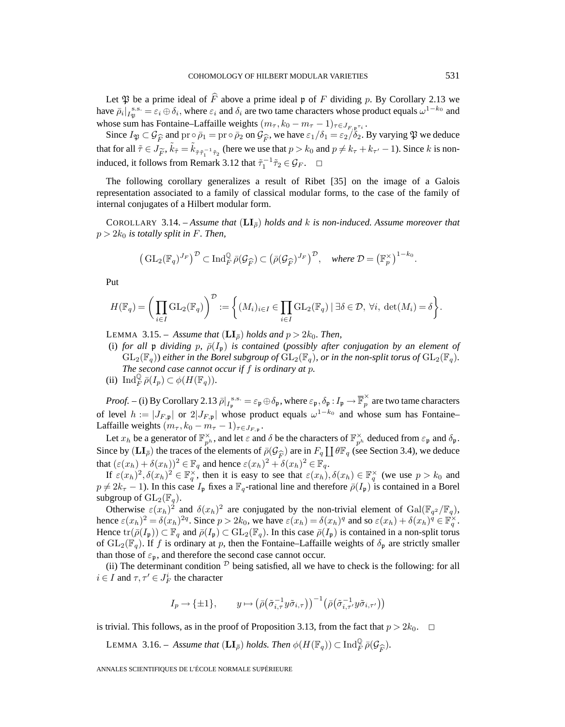Let  $\mathfrak P$  be a prime ideal of  $\hat F$  above a prime ideal  $\mathfrak p$  of  $F$  dividing  $p$ . By Corollary 2.13 we have  $\bar{\rho}_i|_{I_{\mathfrak{R}}}^{s.s.} = \varepsilon_i \oplus \delta_i$ , where  $\varepsilon_i$  and  $\delta_i$  are two tame characters whose product equals  $\omega^{1-k_0}$  and whose sum has Fontaine–Laffaille weights  $(m_\tau, k_0 - m_\tau - 1)_{\tau \in J_{F, \mathfrak{p}^{\tau_i}}}$ .

Since  $I_{\mathfrak{P}} \subset \mathcal{G}_{\widehat{F}}$  and  $\text{pr} \circ \overline{\rho}_1 = \text{pr} \circ \overline{\rho}_2$  on  $\mathcal{G}_{\widehat{F}}$ , we have  $\varepsilon_1/\delta_1 = \varepsilon_2/\delta_2$ . By varying  $\mathfrak{P}$  we deduce that for all  $\tilde{\tau} \in J_{\tilde{F}}, \tilde{k}_{\tilde{\tau}} = \tilde{k}_{\tilde{\tau}\tilde{\tau}_1^{-1}\tilde{\tau}_2}$  (here we use that  $p > k_0$  and  $p \neq k_{\tau} + k_{\tau'} - 1$ ). Since k is noninduced, it follows from Remark 3.12 that  $\tilde{\tau}_1^{-1} \tilde{\tau}_2 \in \mathcal{G}_F$ .  $\Box$ 

The following corollary generalizes a result of Ribet [35] on the image of a Galois representation associated to a family of classical modular forms, to the case of the family of internal conjugates of a Hilbert modular form.

COROLLARY 3.14. – *Assume that*  $(LI<sub>z</sub>)$  *holds and* k *is non-induced. Assume moreover that*  $p > 2k_0$  *is totally split in F. Then,* 

$$
\left(\mathrm{GL}_2(\mathbb{F}_q)^{J_F}\right)^{\mathcal{D}} \subset \mathrm{Ind}_{F}^{\mathbb{Q}}\bar{\rho}(\mathcal{G}_{\widehat{F}}) \subset (\bar{\rho}(\mathcal{G}_{\widehat{F}})^{J_F})^{\mathcal{D}}, \quad \text{where } \mathcal{D} = \left(\mathbb{F}_p^{\times}\right)^{1-k_0}.
$$

Put

$$
H(\mathbb{F}_q) = \bigg(\prod_{i \in I} \mathrm{GL}_2(\mathbb{F}_q)\bigg)^{\mathcal{D}} := \bigg\{(M_i)_{i \in I} \in \prod_{i \in I} \mathrm{GL}_2(\mathbb{F}_q) \mid \exists \delta \in \mathcal{D}, \ \forall i, \ \det(M_i) = \delta\bigg\}.
$$

**LEMMA** 3.15. – *Assume that*  $(LI_{\overline{p}})$  *holds and*  $p > 2k_0$ *. Then,* 

(i) *for all*  $\upphi$  *dividing*  $p$ *,*  $\bar{\rho}(I_p)$  *is contained* (*possibly after conjugation by an element of*  $GL_2(\mathbb{F}_q)$ ) *either in the Borel subgroup of*  $GL_2(\mathbb{F}_q)$ *, or in the non-split torus of*  $GL_2(\mathbb{F}_q)$ *.* 

*The second case cannot occur if* f *is ordinary at* p*.*

(ii)  $\text{Ind}_F^{\mathbb{Q}} \overline{\rho}(I_p) \subset \phi(H(\mathbb{F}_q)).$ 

*Proof.* – (i) By Corollary 2.13  $\bar{\rho}|_{I_{\mathfrak{p}}}^{s.s.} = \varepsilon_{\mathfrak{p}} \oplus \delta_{\mathfrak{p}}$ , where  $\varepsilon_{\mathfrak{p}}, \delta_{\mathfrak{p}} : I_{\mathfrak{p}} \to \overline{\mathbb{F}}_p^{\times}$  are two tame characters of level  $h := |J_{F,\mathfrak{p}}|$  or  $2|J_{F,\mathfrak{p}}|$  whose product equals  $\omega^{1-k_0}$  and whose sum has Fontaine– Laffaille weights  $(m_{\tau}, k_0 - m_{\tau} - 1)_{\tau \in J_{F, \mathfrak{p}}}$ .

Let  $x_h$  be a generator of  $\mathbb{F}_{p^h}^{\times}$ , and let  $\varepsilon$  and  $\delta$  be the characters of  $\mathbb{F}_{p^h}^{\times}$  deduced from  $\varepsilon_{\mathfrak{p}}$  and  $\delta_{\mathfrak{p}}$ . Since by  $(\mathbf{LI}_{\overline{\rho}})$  the traces of the elements of  $\overline{\rho}(\mathcal{G}_{\widehat{F}})$  are in  $F_q \coprod \theta \mathbb{F}_q$  (see Section 3.4), we deduce that  $(\varepsilon(r_1) + \delta(r_1))^2 \in \mathbb{F}$  and hence  $\varepsilon(r_1)^2 + \delta(r_1)^2 \in \mathbb{F}$ that  $(\varepsilon(x_h) + \delta(x_h))^2 \in \mathbb{F}_q$  and hence  $\varepsilon(x_h)^2 + \delta(x_h)^2 \in \mathbb{F}_q$ .

If  $\varepsilon(x_h)^2, \delta(x_h)^2 \in \mathbb{F}_q^{\times}$ , then it is easy to see that  $\varepsilon(x_h), \delta(x_h) \in \mathbb{F}_q^{\times}$  (we use  $p > k_0$  and  $p \neq 2k_{\tau}-1$ ). In this case  $I_p$  fixes a  $\mathbb{F}_q$ -rational line and therefore  $\bar{\rho}(I_p)$  is contained in a Borel subgroup of  $\mathrm{GL}_2(\mathbb{F}_q)$ .

Otherwise  $\varepsilon(x_h)^2$  and  $\delta(x_h)^2$  are conjugated by the non-trivial element of  $Gal(\mathbb{F}_{q^2}/\mathbb{F}_q)$ , hence  $\varepsilon(x_h)^2 = \delta(x_h)^{2q}$ . Since  $p > 2k_0$ , we have  $\varepsilon(x_h) = \delta(x_h)^q$  and so  $\varepsilon(x_h) + \delta(x_h)^{\hat{q}} \in \mathbb{F}_q^{\times}$ . Hence  $\text{tr}(\bar{\rho}(I_p)) \subset \mathbb{F}_q$  and  $\bar{\rho}(I_p) \subset \text{GL}_2(\mathbb{F}_q)$ . In this case  $\bar{\rho}(I_p)$  is contained in a non-split torus of  $GL_2(\mathbb{F}_q)$ . If f is ordinary at p, then the Fontaine–Laffaille weights of  $\delta_p$  are strictly smaller than those of  $\varepsilon_p$ , and therefore the second case cannot occur.

(ii) The determinant condition  $<sup>D</sup>$  being satisfied, all we have to check is the following: for all</sup>  $i \in I$  and  $\tau, \tau' \in J_F^i$  the character

$$
I_p \to \{\pm 1\}, \qquad y \mapsto (\bar{\rho}(\tilde{\sigma}_{i,\tau}^{-1} y \tilde{\sigma}_{i,\tau}))^{-1} (\bar{\rho}(\tilde{\sigma}_{i,\tau'}^{-1} y \tilde{\sigma}_{i,\tau'}))
$$

is trivial. This follows, as in the proof of Proposition 3.13, from the fact that  $p > 2k_0$ .  $\Box$ 

LEMMA 3.16. – *Assume that*  $(\mathbf{LI}_{\overline{\rho}})$  *holds. Then*  $\phi(H(\mathbb{F}_q)) \subset \text{Ind}_{F}^{\mathbb{Q}} \overline{\rho}(\mathcal{G}_{\widehat{F}})$ *.*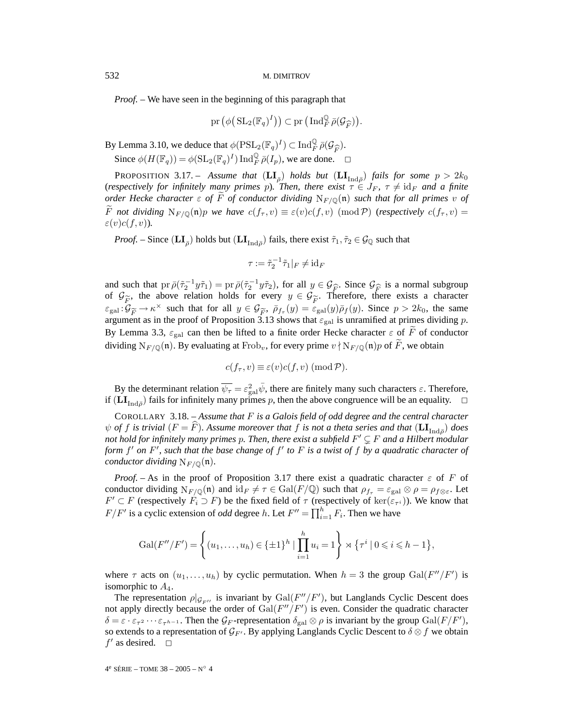*Proof. –* We have seen in the beginning of this paragraph that

$$
\mathrm{pr}\left(\phi\big(\operatorname{SL}_2(\mathbb{F}_q)^I\big)\right) \subset \mathrm{pr}\left(\operatorname{Ind}_F^{\mathbb{Q}} \overline{\rho}(\mathcal{G}_{\widehat{F}})\right).
$$

By Lemma 3.10, we deduce that  $\phi(\text{PSL}_2(\mathbb{F}_q)^I) \subset \text{Ind}_{\mathbb{F}}^{\mathbb{Q}} \bar{\rho}(\mathcal{G}_{\widehat{F}})$ .<br>Since  $\phi(H(\mathbb{F})) = \phi(\text{SL}_2(\mathbb{F}_q)^I) \text{Ind}_{\mathbb{Z}}^{\mathbb{Q}} \bar{\rho}(I)$ , we are done Since  $\phi(H(\mathbb{F}_q)) = \phi(\mathrm{SL}_2(\mathbb{F}_q)^I) \operatorname{Ind}_F^{\mathbb{Q}} \overline{\rho}(I_p)$ , we are done.  $\Box$ 

**PROPOSITION** 3.17. – *Assume that*  $(LI_{\bar{\rho}})$  *holds but*  $(LI_{\text{Ind}_{\bar{\rho}}})$  *fails for some*  $p > 2k_0$ (*respectively for infinitely many primes p*). Then, there exist  $\tau \in J_F$ ,  $\tau \neq id_F$  and a finite *order Hecke character*  $\varepsilon$  *of*  $\widetilde{F}$  *of conductor dividing*  $N_{F/\mathbb{Q}}(\mathfrak{n})$  *such that for all primes* v *of* F not dividing  $N_{F/\mathbb{Q}}(\mathfrak{n})p$  *we have*  $c(f_\tau,v) \equiv \varepsilon(v)c(f,v) \pmod{\mathcal{P}}$  (*respectively*  $c(f_\tau,v)$ )  $\varepsilon(v)c(f,v)$ *)*.

*Proof.* – Since  $(LI_{\bar{\rho}})$  holds but  $(LI_{\text{Ind}\bar{\rho}})$  fails, there exist  $\tilde{\tau}_1, \tilde{\tau}_2 \in \mathcal{G}_{\mathbb{Q}}$  such that

$$
\tau := \tilde{\tau}_2^{-1} \tilde{\tau}_1|_F \neq \mathrm{id}_F
$$

and such that  $pr \bar{\rho}(\tilde{\tau}_2^{-1} y \tilde{\tau}_1) = pr \bar{\rho}(\tilde{\tau}_2^{-1} y \tilde{\tau}_2)$ , for all  $y \in \mathcal{G}_{\widehat{F}}$ . Since  $\mathcal{G}_{\widehat{F}}$  is a normal subgroup of  $\mathcal{G}_{\widetilde{\infty}}$ , the above relation holds for every  $y \in \mathcal{G}_{\widetilde{\infty}}$ . Theref of  $\mathcal{G}_{\widetilde{F}}$ , the above relation holds for every  $y \in \mathcal{G}_{\widetilde{F}}$ . Therefore, there exists a character  $\varepsilon_{\text{gal}}: \mathcal{G}_{\widetilde{F}} \to \kappa^\times$  such that for all  $y \in \mathcal{G}_{\widetilde{F}}$ ,  $\overline{\rho}_{f_\tau}(y) = \varepsilon_{\text{gal}}(y)\overline{\rho}_f(y)$ . Since  $p > 2k_0$ , the same argument as in the proof of Proposition 3.13 shows that  $\varepsilon_{\text{gal}}$  is unramified at p By Lemma 3.3,  $\varepsilon_{\text{gal}}$  can then be lifted to a finite order Hecke character  $\varepsilon$  of  $\tilde{F}$  of conductor dividing  $N_{F/\mathbb{Q}}(\mathfrak{n})$ . By evaluating at  $Frob_v$ , for every prime  $v \nmid N_{F/\mathbb{Q}}(\mathfrak{n})p$  of  $\widetilde{F}$ , we obtain

$$
c(f_{\tau}, v) \equiv \varepsilon(v)c(f, v) \; (\text{mod } \mathcal{P}).
$$

By the determinant relation  $\overline{\psi_{\tau}} = \varepsilon_{\text{gal}}^2 \overline{\psi}$ , there are finitely many such characters  $\varepsilon$ . Therefore, if  $(LI<sub>Ind<sub>o</sub></sub>)$  fails for infinitely many primes p, then the above congruence will be an equality.  $\Box$ 

COROLLARY 3.18. – *Assume that* F *is a Galois field of odd degree and the central character*  $\psi$  *of* f *is trivial* ( $F = \hat{F}$ ). Assume moreover that f *is not a theta series and that* ( $\text{LI}_{\text{Ind}\bar{\rho}}$ ) *does not hold for infinitely many primes* p*. Then, there exist a subfield* F- F *and a Hilbert modular form*  $f'$  *on*  $F'$ , such that the base change of  $f'$  to  $F$  is a twist of  $f$  by a quadratic character of *conductor dividing*  $N_{F/\mathbb{Q}}(\mathfrak{n})$ *.* 

*Proof.* – As in the proof of Proposition 3.17 there exist a quadratic character  $\varepsilon$  of F of conductor dividing  $N_{F/\mathbb{Q}}(\mathfrak{n})$  and  $\mathrm{id}_F \neq \tau \in \mathrm{Gal}(F/\mathbb{Q})$  such that  $\rho_{f_\tau} = \varepsilon_{\mathrm{gal}} \otimes \rho = \rho_{f \otimes \varepsilon}$ . Let  $F' \subset F$  (respectively  $F_i \supset F$ ) be the fixed field of  $\tau$  (respectively of ker $(\varepsilon_{\tau}^i)$ ). We know that  $F/F'$  is a cyclic extension of *odd* degree h. Let  $F'' = \prod_{i=1}^{h} F_i$ . Then we have

$$
\mathrm{Gal}(F''/F') = \left\{ (u_1, \ldots, u_h) \in \{\pm 1\}^h \mid \prod_{i=1}^h u_i = 1 \right\} \rtimes \left\{ \tau^i \mid 0 \leq i \leq h-1 \right\},\
$$

where  $\tau$  acts on  $(u_1, \ldots, u_h)$  by cyclic permutation. When  $h = 3$  the group  $Gal(F''/F')$  is isomorphic to  $A_4$ .

The representation  $\rho|_{\mathcal{G}_{F''}}$  is invariant by  $Gal(F''/F')$ , but Langlands Cyclic Descent does not apply directly because the order of  $Gal(F''/F')$  is even. Consider the quadratic character  $\delta = \varepsilon \cdot \varepsilon_{\tau^2} \cdots \varepsilon_{\tau^{h-1}}$ . Then the  $\mathcal{G}_F$ -representation  $\delta_{\text{gal}} \otimes \rho$  is invariant by the group  $\text{Gal}(F/F')$ , so extends to a representation of  $\mathcal{G}_{F'}$ . By applying Langlands Cyclic Descent to  $\delta\otimes f$  we obtain  $f'$  as desired.  $\square$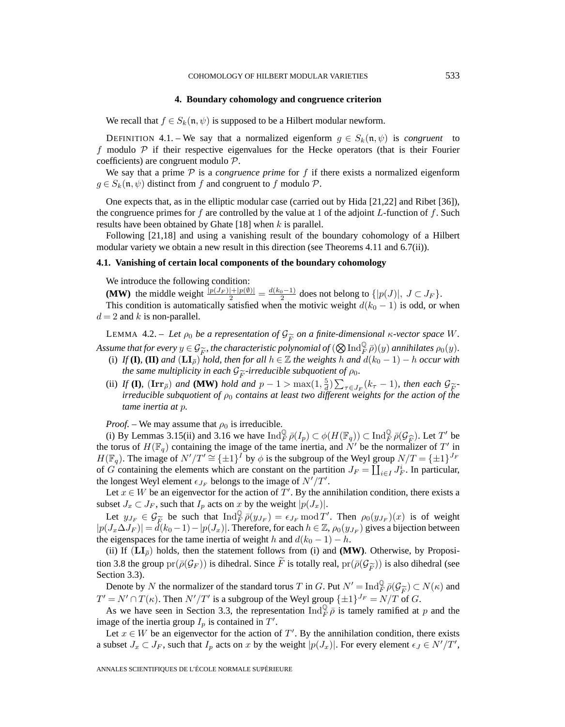#### **4. Boundary cohomology and congruence criterion**

We recall that  $f \in S_k(\mathfrak{n}, \psi)$  is supposed to be a Hilbert modular newform.

DEFINITION 4.1. – We say that a normalized eigenform  $g \in S_k(\mathfrak{n}, \psi)$  is *congruent* to f modulo  $\mathcal P$  if their respective eigenvalues for the Hecke operators (that is their Fourier coefficients) are congruent modulo P.

We say that a prime  $P$  is a *congruence prime* for f if there exists a normalized eigenform  $g \in S_k(\mathfrak{n}, \psi)$  distinct from f and congruent to f modulo  $\mathcal{P}$ .

One expects that, as in the elliptic modular case (carried out by Hida [21,22] and Ribet [36]), the congruence primes for f are controlled by the value at 1 of the adjoint  $L$ -function of f. Such results have been obtained by Ghate  $[18]$  when k is parallel.

Following [21,18] and using a vanishing result of the boundary cohomology of a Hilbert modular variety we obtain a new result in this direction (see Theorems 4.11 and 6.7(ii)).

#### **4.1. Vanishing of certain local components of the boundary cohomology**

We introduce the following condition:

**(MW)** the middle weight  $\frac{|p(J_F)|+|p(\emptyset)|}{2} = \frac{d(k_0-1)}{2}$  does not belong to  $\{|p(J)|, J \subset J_F\}$ .

This condition is automatically satisfied when the motivic weight  $d(k_0 - 1)$  is odd, or when  $d = 2$  and k is non-parallel.

LEMMA 4.2. – Let  $\rho_0$  be a representation of  $\mathcal{G}_{\widetilde{F}}$  on a finite-dimensional  $\kappa$ -vector space W. *Assume that for every*  $y \in \mathcal{G}_{\widetilde{F}}$ , the characteristic polynomial of  $(\bigotimes \text{Ind}_{\widetilde{F}}^{\mathbb{Q}} \overline{\rho})(y)$  annihilates  $\rho_0(y)$ .<br>
(i) If (**I**), (**II**) and (**LI**<sub> $\overline{a}$ </sub>) hold, then for all  $h \in \mathbb{Z}$  the weights h

- (i) *If* **(I)**, **(II)** and  $(L\mathbf{I}_{\bar{\rho}})^{\dagger}$  *hold, then for all*  $h \in \mathbb{Z}$  *the weights* h and  $d(k_0 1) h$  *occur with the same multiplicity in each*  $\mathcal{G}_{\widetilde{F}}$ -irreducible subquotient of  $\rho_0$ .
- (ii) *If* **(I)**,  $(\mathbf{Irr_{\bar{\rho}}})$  *and* **(MW)** *hold and*  $p 1 > \max(1, \frac{5}{d}) \sum_{\tau \in J_F} (k_{\tau} 1)$ *, then each*  $\mathcal{G}_{\widetilde{F}}$ -<br>*irreducible subauctient* of  $\rho_0$  contains at least two different weights for the action of *irreducible subquotient of*  $\rho_0$  *contains at least two different weights for the action of the tame inertia at* p*.*

*Proof.* – We may assume that  $\rho_0$  is irreducible.

(i) By Lemmas 3.15(ii) and 3.16 we have  $\text{Ind}_{\overline{F}}^{\mathbb{Q}} \overline{\rho}(I_p) \subset \phi(H(\mathbb{F}_q)) \subset \text{Ind}_{\overline{F}}^{\mathbb{Q}} \overline{\rho}(\mathcal{G}_{\widehat{F}})$ . Let T' be torus of  $H(\mathbb{F}_q)$  containing the image of the tame inertia, and N' be the normalizer the torus of  $H(\mathbb{F}_q)$  containing the image of the tame inertia, and  $N'$  be the normalizer of  $T'$  in  $H(\mathbb{F}_q)$ . The image of  $N'/T' \cong {\pm 1}^T$  by  $\phi$  is the subgroup of the Weyl group  $N/T = {\pm 1}^{\int_F}$ of G containing the elements which are constant on the partition  $J_F = \coprod_{i \in I} J_F^i$ . In particular, the longest Weyl element  $\epsilon_{J_F}$  belongs to the image of  $N'/T'$ .

Let  $x \in W$  be an eigenvector for the action of T'. By the annihilation condition, there exists a subset  $J_x \subset J_F$ , such that  $I_p$  acts on x by the weight  $|p(J_x)|$ .

Let  $y_{J_F} \in \mathcal{G}_{\widetilde{F}}$  be such that  $\text{Ind}_{F}^{\mathbb{Q}} \overline{\rho}(y_{J_F}) = \epsilon_{J_F} \text{ mod } T'$ . Then  $\rho_0(y_{J_F})(x)$  is of weight  $(J_{\alpha} \Delta J_F)| = d(k_0 - 1) - |\eta(J_{\alpha})|$ . Therefore, for each  $h \in \mathbb{Z}$ ,  $\rho_0(y_{J_F})$  gives a bijection between  $|p(J_x \Delta J_F)| = d(k_0 - 1) - |p(J_x)|$ . Therefore, for each  $h \in \mathbb{Z}$ ,  $\rho_0(y_{J_F})$  gives a bijection between the eigenspaces for the tame inertia of weight h and  $d(k_0 - 1) - h$ .

(ii) If  $(LI_{\overline{\rho}})$  holds, then the statement follows from (i) and **(MW)**. Otherwise, by Proposition 3.8 the group  $pr(\bar{\rho}(\mathcal{G}_F))$  is dihedral. Since F is totally real,  $pr(\bar{\rho}(\mathcal{G}_{\widetilde{F}}))$  is also dihedral (see Section 3.3).

Denote by N the normalizer of the standard torus T in G. Put  $N' = \text{Ind}_{\overline{F}}^{\mathbb{Q}} \overline{\rho}(\mathcal{G}_{\widetilde{F}}) \subset N(\kappa)$  and  $- N' \cap T(\kappa)$ . Then  $N'/T'$  is a subgroup of the Weyl group  $\{\pm 1\}^{J_F} - N/T$  of G.  $T' = N' \cap T(\kappa)$ . Then  $N'/T'$  is a subgroup of the Weyl group  $\{\pm 1\}^{J_F} = N/T$  of G.

As we have seen in Section 3.3, the representation  $\text{Ind}_F^{\mathbb{Q}} \bar{\rho}$  is tamely ramified at p and the image of the inertia group  $I_p$  is contained in  $T'$ .

Let  $x \in W$  be an eigenvector for the action of T'. By the annihilation condition, there exists a subset  $J_x \subset J_F$ , such that  $I_p$  acts on x by the weight  $|p(J_x)|$ . For every element  $\epsilon_J \in N'/T'$ ,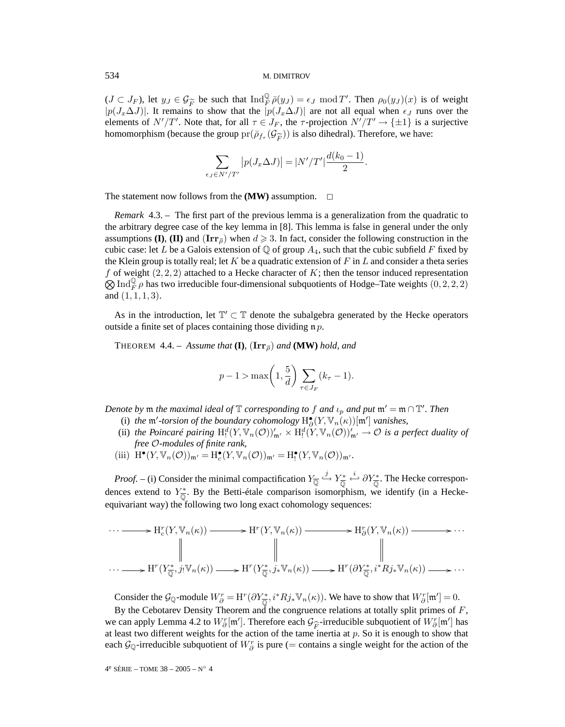$(J \subset J_F)$ , let  $y_J \in \mathcal{G}_{\widetilde{F}}$  be such that  $\text{Ind}_F^{\mathbb{Q}} \overline{\rho}(y_J) = \epsilon_J \mod T'$ . Then  $\rho_0(y_J)(x)$  is of weight  $|p(J \cap \Lambda J)|$ . It remains to show that the  $|p(J \cap \Lambda J)|$  are not all equal when  $\epsilon_J$  runs over the  $|p(J_x\Delta J)|$ . It remains to show that the  $|p(J_x\Delta J)|$  are not all equal when  $\epsilon_J$  runs over the elements of  $N'/T'$ . Note that, for all  $\tau \in J_F$ , the  $\tau$ -projection  $N'/T' \to {\pm 1}$  is a surjective homomorphism (because the group  $pr(\bar{\rho}_{f_{\tau}}(\mathcal{G}_{\widetilde{F}}))$  is also dihedral). Therefore, we have:

$$
\sum_{\epsilon_J \in N'/T'} \left| p(J_x \Delta J) \right| = |N'/T'| \frac{d(k_0 - 1)}{2}.
$$

The statement now follows from the  $(MW)$  assumption.  $\Box$ 

*Remark* 4.3. – The first part of the previous lemma is a generalization from the quadratic to the arbitrary degree case of the key lemma in [8]. This lemma is false in general under the only assumptions **(I), <b>(II)** and  $(\text{Irr}_{\bar{\rho}})$  when  $d \geq 3$ . In fact, consider the following construction in the cubic case: let L be a Galois extension of  $\mathbb Q$  of group  $A_4$ , such that the cubic subfield F fixed by the Klein group is totally real; let K be a quadratic extension of F in L and consider a theta series f of weight  $(2, 2, 2)$  attached to a Hecke character of K; then the tensor induced representation  $\otimes$ Ind $_{F}^{\mathbb{Q}}$  *p* has two irreducible four-dimensional subquotients of Hodge–Tate weights  $(0, 2, 2, 2)$ and  $(1, 1, 1, 3)$ .

As in the introduction, let  $\mathbb{T}' \subset \mathbb{T}$  denote the subalgebra generated by the Hecke operators outside a finite set of places containing those dividing  $\mathfrak n p$ .

**THEOREM** 4.4. – *Assume that* **(I)***,*  $(\text{Irr}_{\overline{p}})$  *and* **(MW)** *hold, and* 

$$
p-1 > \max\left(1, \frac{5}{d}\right) \sum_{\tau \in J_F} (k_{\tau} - 1).
$$

*Denote by*  $\mathfrak m$  *the maximal ideal of*  $\mathbb T$  *corresponding to*  $f$  *and*  $\iota_p$  *and*  $p$ *ut*  $\mathfrak m' = \mathfrak m \cap \mathbb T'$ *. Then* 

- (i) *the*  $\mathfrak{m}'$ -torsion of the boundary cohomology  $H^{\bullet}_{\partial}(Y, \mathbb{V}_n(\kappa))[\mathfrak{m}']$  *vanishes,*
- (ii) the Poincaré pairing  $H_!^d(Y, \mathbb{V}_n(\mathcal{O}))'_{\mathfrak{m}'} \times H_!^d(Y, \mathbb{V}_n(\mathcal{O}))'_{\mathfrak{m}'} \to \mathcal{O}$  is a perfect duality of *free* O*-modules of finite rank,*
- (iii)  $H^{\bullet}(Y, \mathbb{V}_n(\mathcal{O}))_{\mathfrak{m}'} = H^{\bullet}_{c}(Y, \mathbb{V}_n(\mathcal{O}))_{\mathfrak{m}'} = H^{\bullet}_{f}(Y, \mathbb{V}_n(\mathcal{O}))_{\mathfrak{m}'}$ .

*Proof.* – (i) Consider the minimal compactification  $Y_{\overline{\mathbb{Q}}} \stackrel{j}{\hookrightarrow} Y_{\overline{\mathbb{Q}}}^* \stackrel{i}{\hookleftarrow} \partial Y_{\overline{\mathbb{Q}}}^*$ . The Hecke correspondences extend to  $Y_{\overline{Q}}^*$ . By the Betti-étale comparison isomorphism, we identify (in a Heckeequivariant way) the following two long exact cohomology sequences:

$$
\cdots \longrightarrow H_c^r(Y, \mathbb{V}_n(\kappa)) \longrightarrow H^r(Y, \mathbb{V}_n(\kappa)) \longrightarrow H_c^r(Y, \mathbb{V}_n(\kappa)) \longrightarrow H_c^r(Y, \mathbb{V}_n(\kappa)) \longrightarrow \cdots
$$
  
\n
$$
\parallel \qquad \qquad \parallel \qquad \qquad \parallel
$$
  
\n
$$
\cdots \longrightarrow H^r(Y_{\overline{\mathbb{Q}}}^*, j_! \mathbb{V}_n(\kappa)) \longrightarrow H^r(Y_{\overline{\mathbb{Q}}}^*, j_* \mathbb{V}_n(\kappa)) \longrightarrow H^r(\partial Y_{\overline{\mathbb{Q}}}^*, i^* R j_* \mathbb{V}_n(\kappa)) \longrightarrow \cdots
$$

Consider the  $\mathcal{G}_{\mathbb{Q}}$ -module  $W^r_{\partial} = \mathrm{H}^r(\partial Y^*_{\overline{\mathbb{Q}}}, i^*Rj_*\mathbb{V}_n(\kappa)).$  We have to show that  $W^r_{\partial}[\mathfrak{m}'] = 0$ .

By the Cebotarev Density Theorem and the congruence relations at totally split primes of  $F$ , we can apply Lemma 4.2 to  $W_0^r[m']$ . Therefore each  $\mathcal{G}_{\widehat{F}}$ -irreducible subquotient of  $W_0^r[m']$  has at least two different weights for the action of the tame inertia at *n*. So it is enough to show that at least two different weights for the action of the tame inertia at  $p$ . So it is enough to show that each  $\mathcal{G}_{\mathbb{Q}}$ -irreducible subquotient of  $W^r_{\partial}$  is pure (= contains a single weight for the action of the

4e SÉRIE – TOME 38 – 2005 – N◦ 4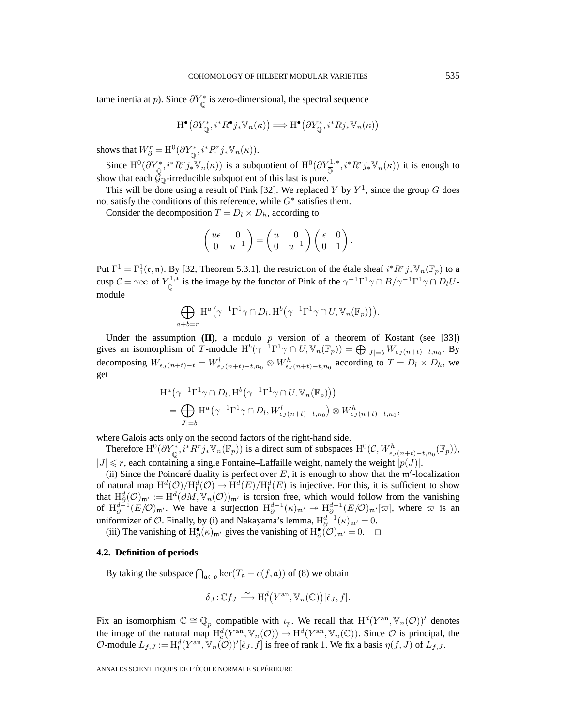tame inertia at *p*). Since  $\partial Y^*_{\overline{Q}}$  is zero-dimensional, the spectral sequence

$$
\mathrm{H}^{\bullet}\big(\partial Y^*_{\overline{\mathbb{Q}}}, i^*R^{\bullet}j_*\mathbb{V}_n(\kappa)\big) \Longrightarrow \mathrm{H}^{\bullet}\big(\partial Y^*_{\overline{\mathbb{Q}}}, i^*Rj_*\mathbb{V}_n(\kappa)\big)
$$

shows that  $W_{\partial}^r = \mathrm{H}^0(\partial Y_{\overline{\mathbb{Q}}}^*, i^*R^r j_* \mathbb{V}_n(\kappa)).$ 

Since  $\mathrm{H}^{0}(\partial Y_{\overline{\mathbb{Q}}}^{*}, i^{*}R^{r}j_{*}\mathbb{V}_{n}(\kappa))$  is a subquotient of  $\mathrm{H}^{0}(\partial Y_{\overline{\mathbb{Q}}}^{1,*}, i^{*}R^{r}j_{*}\mathbb{V}_{n}(\kappa))$  it is enough to show that each  $\check{\mathcal{G}}_{\mathbb{Q}}$ -irreducible subquotient of this last is pure.

This will be done using a result of Pink [32]. We replaced Y by  $Y^1$ , since the group G does not satisfy the conditions of this reference, while  $G^*$  satisfies them.

Consider the decomposition  $T = D_l \times D_h$ , according to

$$
\begin{pmatrix} u\epsilon & 0 \\ 0 & u^{-1} \end{pmatrix} = \begin{pmatrix} u & 0 \\ 0 & u^{-1} \end{pmatrix} \begin{pmatrix} \epsilon & 0 \\ 0 & 1 \end{pmatrix}.
$$

Put  $\Gamma^1 = \Gamma_1^1(\mathfrak{c}, \mathfrak{n})$ . By [32, Theorem 5.3.1], the restriction of the étale sheaf  $i^* R^r j_* \mathbb{V}_n(\mathbb{F}_p)$  to a cusp  $C = \gamma \infty$  of  $Y_{\overline{Q}}^{1,*}$  is the image by the functor of Pink of the  $\gamma^{-1} \Gamma^1 \gamma \cap B/\gamma^{-1} \Gamma^1 \gamma \cap D_l U$ module

$$
\bigoplus_{a+b=r} H^a(\gamma^{-1}\Gamma^1\gamma \cap D_l, H^b(\gamma^{-1}\Gamma^1\gamma \cap U, \mathbb{V}_n(\mathbb{F}_p))).
$$

Under the assumption  $(II)$ , a modulo p version of a theorem of Kostant (see [33]) gives an isomorphism of T-module  $H^b(\gamma^{-1}\Gamma^1\gamma \cap U, \mathbb{V}_n(\mathbb{F}_p)) = \bigoplus_{|J|=b} W_{\epsilon_J(n+t)-t,n_0}$ . By decomposing  $W_{\epsilon}$ <sub>J</sub>(n+t)−t =  $W_{\epsilon}$ <sub>J</sub>(n+t)−t,n<sub>0</sub>  $\otimes W_{\epsilon}$ <sub>J</sub>(n+t)−t,n<sub>0</sub> according to  $T = D_l \times D_h$ , we get

$$
H^{a}(\gamma^{-1}\Gamma^{1}\gamma \cap D_{l}, H^{b}(\gamma^{-1}\Gamma^{1}\gamma \cap U, \mathbb{V}_{n}(\mathbb{F}_{p})))
$$
  
= 
$$
\bigoplus_{|J|=b} H^{a}(\gamma^{-1}\Gamma^{1}\gamma \cap D_{l}, W^{l}_{\epsilon_{J}(n+t)-t,n_{0}}) \otimes W^{h}_{\epsilon_{J}(n+t)-t,n_{0}},
$$

where Galois acts only on the second factors of the right-hand side.

Therefore  $\mathrm{H}^{0}(\partial Y_{\overline{\mathbb{Q}}}^{*}, i^{*}R^{r}j_{*}\mathbb{V}_{n}(\mathbb{F}_{p}))$  is a direct sum of subspaces  $\mathrm{H}^{0}(\mathcal{C}, W_{\epsilon_{J}(n+t)-t,n_{0}}^{h}(\mathbb{F}_{p})),$  $|J| \le r$ , each containing a single Fontaine–Laffaille weight, namely the weight  $|p(J)|$ .

(ii) Since the Poincaré duality is perfect over  $E$ , it is enough to show that the m'-localization of natural map  $H^d(\mathcal{O})/H_!^d(\mathcal{O}) \to H^d(E)/H_!^d(E)$  is injective. For this, it is sufficient to show that  $H^d_{\partial}(\mathcal{O})_{\mathfrak{m}'} := H^d(\partial M, \mathbb{V}_n(\mathcal{O}))_{\mathfrak{m}'}$  is torsion free, which would follow from the vanishing of  $H_{\partial}^{d-1}(E/\mathcal{O})_{\mathfrak{m}'}$ . We have a surjection  $H_{\partial}^{d-1}(\kappa)_{\mathfrak{m}'} \to H_{\partial}^{d-1}(E/\mathcal{O})_{\mathfrak{m}'}[\varpi]$ , where  $\varpi$  is an uniformizer of  $\mathcal O$ . Finally, by (i) and Nakayama's lemma,  $\mathrm H^{d-1}_{\partial}(\kappa)_{\mathfrak m'}=0$ .

(iii) The vanishing of  $H^{\bullet}_{\partial}(\kappa)_{\mathfrak{m}'}$  gives the vanishing of  $H^{\bullet}_{\partial}(\mathcal{O})_{\mathfrak{m}'}=0$ .  $\Box$ 

# **4.2. Definition of periods**

By taking the subspace  $\bigcap_{\mathfrak{a}\subset\mathfrak{o}} \ker(T_{\mathfrak{a}} - c(f, \mathfrak{a}))$  of (8) we obtain

$$
\delta_J:\mathbb{C}f_J\stackrel{\sim}{\longrightarrow} \mathrm{H}^d_!(Y^\mathrm{an},\mathbb{V}_n(\mathbb{C}))[\hat{\epsilon}_J,f].
$$

Fix an isomorphism  $\mathbb{C} \cong \overline{\mathbb{Q}}_p$  compatible with  $\iota_p$ . We recall that  $H_!^d(Y^{\text{an}}, \mathbb{V}_n(\mathcal{O}))'$  denotes the image of the natural map  $H_c^d(Y^{\text{an}}, \mathbb{V}_n(\mathcal{O})) \to H^d(Y^{\text{an}}, \mathbb{V}_n(\mathbb{C}))$ . Since  $\mathcal O$  is principal, the O-module  $L_{f,J} := H^d_!(Y^{\text{an}}, \mathbb{V}_n(\mathcal{O}))'[\hat{\epsilon}_J, f]$  is free of rank 1. We fix a basis  $\eta(f, J)$  of  $L_{f,J}$ .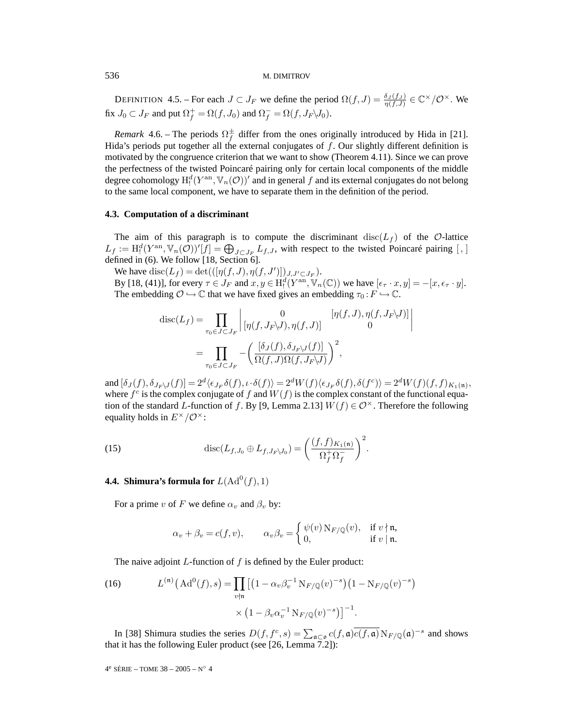DEFINITION 4.5. – For each  $J \subset J_F$  we define the period  $\Omega(f, J) = \frac{\delta_J(f, J)}{\eta(f, J)} \in \mathbb{C}^\times/\mathcal{O}^\times$ . We fix  $J_0 \subset J_F$  and put  $\Omega_f^+ = \Omega(f, J_0)$  and  $\Omega_f^- = \Omega(f, J_F \backslash J_0)$ .

*Remark* 4.6. – The periods  $\Omega_f^{\pm}$  differ from the ones originally introduced by Hida in [21]. Hida's periods put together all the external conjugates of f. Our slightly different definition is motivated by the congruence criterion that we want to show (Theorem 4.11). Since we can prove the perfectness of the twisted Poincaré pairing only for certain local components of the middle degree cohomology  $\mathrm{H}^d_!(Y^\mathrm{an},\mathbb{V}_n(\mathcal{O}))'$  and in general  $f$  and its external conjugates do not belong to the same local component, we have to separate them in the definition of the period.

# **4.3. Computation of a discriminant**

The aim of this paragraph is to compute the discriminant  $\text{disc}(L_f)$  of the O-lattice  $L_f := H_!^d(Y^{\text{an}}, \mathbb{V}_n(\mathcal{O}))'[f] = \bigoplus_{J \subset J_F} L_{f,J}$ , with respect to the twisted Poincaré pairing [,] defined in (6). We follow [18, Section 6].

We have  $\text{disc}(L_f) = \text{det}(([\eta(f, J), \eta(f, J')])_{J, J' \subset J_F}).$ 

By [18, (41)], for every  $\tau \in J_F$  and  $x, y \in H^d_!(Y^{\text{an}}, \mathbb{V}_n(\mathbb{C}))$  we have  $[\epsilon_\tau \cdot x, y] = -[x, \epsilon_\tau \cdot y]$ . The embedding  $\mathcal{O} \hookrightarrow \mathbb{C}$  that we have fixed gives an embedding  $\tau_0 : F \hookrightarrow \mathbb{C}$ .

$$
\begin{split} \text{disc}(L_f) &= \prod_{\tau_0 \in J \subset J_F} \left| \begin{matrix} 0 & [\eta(f,J), \eta(f,J_F \backslash J)] \\ [\eta(f,J_F \backslash J), \eta(f,J)] & 0 \end{matrix} \right| \\ &= \prod_{\tau_0 \in J \subset J_F} -\left( \frac{[\delta_J(f), \delta_{J_F \backslash J}(f)]}{\Omega(f,J)\Omega(f,J_F \backslash J)} \right)^2, \end{split}
$$

and  $[\delta_J(f), \delta_{J_F\setminus J}(f)] = 2^d \langle \epsilon_{J_F} \delta(f), \iota \cdot \delta(f) \rangle = 2^d W(f) \langle \epsilon_{J_F} \delta(f), \delta(f^c) \rangle = 2^d W(f)(f, f)_{K_1(\mathfrak{n})},$ where  $f^c$  is the complex conjugate of f and  $W(f)$  is the complex constant of the functional equation of the standard L-function of f. By [9, Lemma 2.13]  $W(f) \in \mathcal{O}^{\times}$ . Therefore the following equality holds in  $E^{\times}/\mathcal{O}^{\times}$ :

(15) 
$$
\operatorname{disc}(L_{f,J_0} \oplus L_{f,J_F\setminus J_0}) = \left(\frac{(f,f)_{K_1(\mathfrak{n})}}{\Omega_f^+ \Omega_f^-}\right)^2.
$$

**4.4. Shimura's formula for**  $L(\text{Ad}^0(f), 1)$ 

For a prime v of F we define  $\alpha_v$  and  $\beta_v$  by:

$$
\alpha_v + \beta_v = c(f, v), \qquad \alpha_v \beta_v = \begin{cases} \psi(v) \, \text{N}_{F/\mathbb{Q}}(v), & \text{if } v \nmid \mathfrak{n}, \\ 0, & \text{if } v \mid \mathfrak{n}. \end{cases}
$$

The naive adjoint  $L$ -function of  $f$  is defined by the Euler product:

(16) 
$$
L^{(n)}(Ad^{0}(f), s) = \prod_{v \nmid n} \left[ \left( 1 - \alpha_{v} \beta_{v}^{-1} N_{F/\mathbb{Q}}(v)^{-s} \right) \left( 1 - N_{F/\mathbb{Q}}(v)^{-s} \right) \right] \times \left( 1 - \beta_{v} \alpha_{v}^{-1} N_{F/\mathbb{Q}}(v)^{-s} \right) \right]^{-1}.
$$

In [38] Shimura studies the series  $D(f, f^c, s) = \sum_{\mathfrak{a} \subset \mathfrak{o}} c(f, \mathfrak{a}) \overline{c(f, \mathfrak{a})} N_{F/\mathbb{Q}}(\mathfrak{a})^{-s}$  and shows that it has the following Euler product (see [26, Lemma 7.2]):

4e SÉRIE – TOME 38 – 2005 – N◦ 4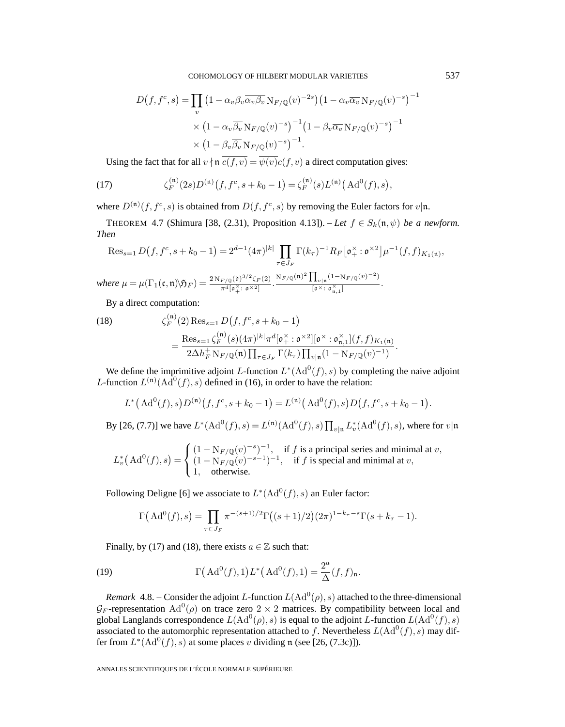$$
D(f, f^c, s) = \prod_v \left(1 - \alpha_v \beta_v \overline{\alpha_v \beta_v} N_{F/\mathbb{Q}}(v)^{-2s}\right) \left(1 - \alpha_v \overline{\alpha_v} N_{F/\mathbb{Q}}(v)^{-s}\right)^{-1}
$$

$$
\times \left(1 - \alpha_v \overline{\beta_v} N_{F/\mathbb{Q}}(v)^{-s}\right)^{-1} \left(1 - \beta_v \overline{\alpha_v} N_{F/\mathbb{Q}}(v)^{-s}\right)^{-1}
$$

$$
\times \left(1 - \beta_v \overline{\beta_v} N_{F/\mathbb{Q}}(v)^{-s}\right)^{-1}.
$$

Using the fact that for all  $v \nmid \mathfrak{n}$   $\overline{c(f,v)} = \overline{\psi(v)}c(f,v)$  a direct computation gives:

(17) 
$$
\zeta_F^{(\mathfrak{n})}(2s)D^{(\mathfrak{n})}(f,f^c,s+k_0-1)=\zeta_F^{(\mathfrak{n})}(s)L^{(\mathfrak{n})}(\mathrm{Ad}^0(f),s),
$$

where  $D^{(n)}(f, f^c, s)$  is obtained from  $D(f, f^c, s)$  by removing the Euler factors for  $v|\mathfrak{n}$ .

THEOREM 4.7 (Shimura [38, (2.31), Proposition 4.13]). – Let  $f \in S_k(\mathfrak{n}, \psi)$  be a newform. *Then*

$$
\operatorname{Res}_{s=1} D(f, f^c, s+k_0-1) = 2^{d-1} (4\pi)^{|k|} \prod_{\tau \in J_F} \Gamma(k_\tau)^{-1} R_F [\mathfrak{o}_+^{\times} : \mathfrak{o}^{\times 2}] \mu^{-1}(f, f)_{K_1(\mathfrak{n})},
$$
  
where  $\mu = \mu(\Gamma_1(\mathfrak{c}, \mathfrak{n}) \setminus \mathfrak{H}_F) = \frac{2N_{F/\mathbb{Q}}(\mathfrak{d})^{3/2} \zeta_F(2)}{\pi^d [\mathfrak{o}_+^{\times} : \mathfrak{o}^{\times 2}]} \cdot \frac{N_{F/\mathbb{Q}}(\mathfrak{n})^2 \prod_{v \mid \mathfrak{n}} (1 - N_{F/\mathbb{Q}}(v)^{-2})}{[\mathfrak{o}^{\times} : \mathfrak{o}_{\mathfrak{n},1}^{\times}]}.$ 

By a direct computation:

(18) 
$$
\zeta_F^{(\mathfrak{n})}(2) \operatorname{Res}_{s=1} D(f, f^c, s+k_0-1)
$$

$$
= \frac{\operatorname{Res}_{s=1} \zeta_F^{(\mathfrak{n})}(s) (4\pi)^{|k|} \pi^d [\mathfrak{o}^{\times}_+ : \mathfrak{o}^{\times 2}] [\mathfrak{o}^{\times} : \mathfrak{o}^{\times}_{\mathfrak{n},1}](f, f)_{K_1(\mathfrak{n})}}{2\Delta h_F^+ \operatorname{N}_{F/\mathbb{Q}}(\mathfrak{n}) \prod_{\tau \in J_F} \Gamma(k_{\tau}) \prod_{v | \mathfrak{n}} (1 - \operatorname{N}_{F/\mathbb{Q}}(v)^{-1})}.
$$

We define the imprimitive adjoint L-function  $L^*(\text{Ad}^0(f), s)$  by completing the naive adjoint L-function  $L^{(n)}(A\bar{d}^0(f), s)$  defined in (16), in order to have the relation:

$$
L^{\ast}(\mathrm{Ad}^0(f), s)D^{(\mathfrak{n})}(f, f^c, s + k_0 - 1) = L^{(\mathfrak{n})}(\mathrm{Ad}^0(f), s)D(f, f^c, s + k_0 - 1).
$$

By [26, (7.7)] we have  $L^*(\text{Ad}^0(f), s) = L^{(\mathfrak{n})}(\text{Ad}^0(f), s) \prod_{v| \mathfrak{n}} L_v^*(\text{Ad}^0(f), s)$ , where for  $v | \mathfrak{n}$ 

$$
L_v^*\left(\text{Ad}^0(f),s\right) = \begin{cases} (1 - \mathcal{N}_{F/\mathbb{Q}}(v)^{-s})^{-1}, & \text{if } f \text{ is a principal series and minimal at } v, \\ (1 - \mathcal{N}_{F/\mathbb{Q}}(v)^{-s-1})^{-1}, & \text{if } f \text{ is special and minimal at } v, \\ 1, & \text{otherwise.} \end{cases}
$$

Following Deligne [6] we associate to  $L^*(\text{Ad}^0(f), s)$  an Euler factor:

$$
\Gamma\big(\operatorname{Ad}^0(f),s\big) = \prod_{\tau \in J_F} \pi^{-(s+1)/2} \Gamma\big((s+1)/2\big)(2\pi)^{1-k_{\tau}-s} \Gamma(s+k_{\tau}-1).
$$

Finally, by (17) and (18), there exists  $a \in \mathbb{Z}$  such that:

(19) 
$$
\Gamma\left(\mathrm{Ad}^0(f),1\right)L^*\left(\mathrm{Ad}^0(f),1\right)=\frac{2^a}{\Delta}(f,f)_\mathfrak{n}.
$$

*Remark* 4.8. – Consider the adjoint L-function  $L(\text{Ad}^0(\rho), s)$  attached to the three-dimensional  $\mathcal{G}_F$ -representation Ad<sup>0</sup>( $\rho$ ) on trace zero 2 × 2 matrices. By compatibility between local and global Langlands correspondence  $L(\text{Ad}^0(\rho), s)$  is equal to the adjoint L-function  $L(\text{Ad}^0(f), s)$ associated to the automorphic representation attached to f. Nevertheless  $L(\text{Ad}^0(f), s)$  may differ from  $L^*(\text{Ad}^0(f), s)$  at some places v dividing n (see [26, (7.3c)]).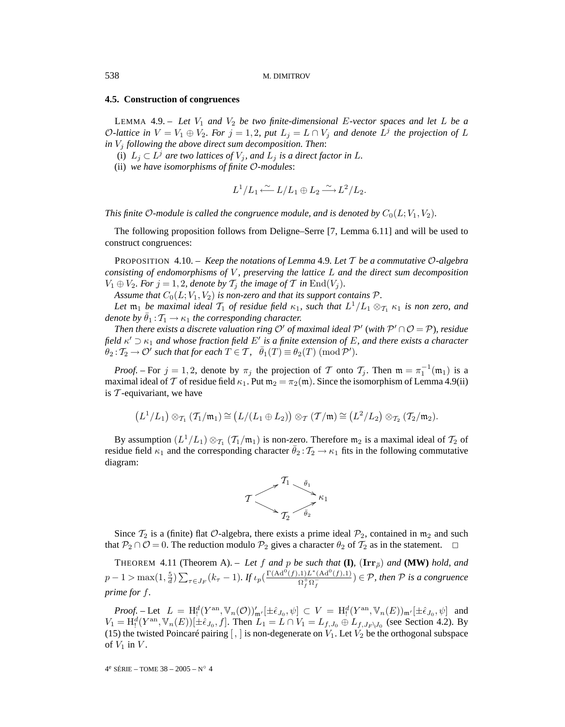# **4.5. Construction of congruences**

LEMMA 4.9. – Let  $V_1$  and  $V_2$  be two finite-dimensional E-vector spaces and let L be a O-lattice in  $V = V_1 \oplus V_2$ *. For*  $j = 1, 2$ *, put*  $L_j = L \cap V_j$  *and denote*  $L^j$  *the projection of* L *in*  $V_i$  *following the above direct sum decomposition. Then:* 

- (i)  $L_j \subset L^j$  are two lattices of  $V_j$ , and  $L_j$  is a direct factor in L.
- (ii) *we have isomorphisms of finite* O*-modules*:

$$
L^1/L_1 \xleftarrow{\sim} L/L_1 \oplus L_2 \xrightarrow{\sim} L^2/L_2.
$$

*This finite*  $\mathcal{O}\text{-}$ *module is called the congruence module, and is denoted by*  $C_0(L;V_1,V_2)$ *.* 

The following proposition follows from Deligne–Serre [7, Lemma 6.11] and will be used to construct congruences:

PROPOSITION 4.10. – *Keep the notations of Lemma* 4.9*. Let* T *be a commutative* O*-algebra consisting of endomorphisms of* V *, preserving the lattice* L *and the direct sum decomposition*  $V_1 \oplus V_2$ *. For*  $j = 1, 2$ *, denote by*  $\mathcal{T}_i$  *the image of*  $\mathcal{T}$  *in* End $(V_i)$ *.* 

*Assume that*  $C_0(L;V_1,V_2)$  *is non-zero and that its support contains*  $\mathcal{P}$ *.* 

*Let*  $\mathfrak{m}_1$  *be maximal ideal*  $\mathcal{T}_1$  *of residue field*  $\kappa_1$ *, such that*  $L^1/L_1 \otimes_{\mathcal{T}_1} \kappa_1$  *is non zero, and denote by*  $\bar{\theta}_1 : T_1 \rightarrow \kappa_1$  *the corresponding character.* 

*Then there exists a discrete valuation ring*  $O'$  *of maximal ideal*  $P'$  (*with*  $P' \cap O = P$ *), residue* field  $\kappa' \supset \kappa_1$  and whose fraction field  $E'$  is a finite extension of E, and there exists a character  $\theta_2: \mathcal{T}_2 \to \mathcal{O}'$  such that for each  $T \in \mathcal{T}$ ,  $\overline{\theta}_1(T) \equiv \theta_2(T) \; (\text{mod } \mathcal{P}').$ 

*Proof.* – For  $j = 1, 2$ , denote by  $\pi_j$  the projection of T onto  $\mathcal{T}_j$ . Then  $\mathfrak{m} = \pi_1^{-1}(\mathfrak{m}_1)$  is a maximal ideal of T of residue field  $\kappa_1$ . Put  $m_2 = \pi_2(m)$ . Since the isomorphism of Lemma 4.9(ii) is  $T$ -equivariant, we have

$$
\left( L^1/L_1 \right) \otimes_{\mathcal{T}_1} \left( \mathcal{T}_1/\mathfrak{m}_1 \right) \cong \left( L/(L_1 \oplus L_2) \right) \otimes_{\mathcal{T}} \left( \mathcal{T}/\mathfrak{m} \right) \cong \left( L^2/L_2 \right) \otimes_{\mathcal{T}_2} \left( \mathcal{T}_2/\mathfrak{m}_2 \right).
$$

By assumption  $(L^1/L_1) \otimes_{\mathcal{T}_1} (\mathcal{T}_1/\mathfrak{m}_1)$  is non-zero. Therefore  $\mathfrak{m}_2$  is a maximal ideal of  $\mathcal{T}_2$  of residue field  $\kappa_1$  and the corresponding character  $\hat{\theta}_2 : \mathcal{T}_2 \to \kappa_1$  fits in the following commutative diagram:



Since  $T_2$  is a (finite) flat O-algebra, there exists a prime ideal  $P_2$ , contained in  $m_2$  and such that  $P_2 \cap O = 0$ . The reduction modulo  $P_2$  gives a character  $\theta_2$  of  $T_2$  as in the statement.  $\Box$ 

THEOREM 4.11 (Theorem A). – Let f and p be such that  $(I)$ ,  $(Irr_{\overline{\rho}})$  and  $(MW)$  hold, and  $p-1 > \max(1, \frac{5}{d}) \sum_{\tau \in J_F} (k_{\tau} - 1)$ . If  $\iota_p(\frac{\Gamma(\mathrm{Ad}^0(f), 1)L^*(\mathrm{Ad}^0(f), 1)}{\Omega_f^+\Omega_f^-}) \in \mathcal{P}$ , then  $\mathcal P$  is a congruence *prime for* f*.*

 $Proof.$  – Let  $L = H_!^d(Y^{\text{an}}, \mathbb{V}_n(\mathcal{O}))'_{\mathfrak{m}'}[\pm \hat{\epsilon}_{J_0}, \psi] \subset V = H_!^d(Y^{\text{an}}, \mathbb{V}_n(E))_{\mathfrak{m}'}[\pm \hat{\epsilon}_{J_0}, \psi]$  and  $V_1 = H_1^d(Y^{\text{an}}, \mathbb{V}_n(E))[\pm \hat{\epsilon}_{J_0}, f]$ . Then  $L_1 = L \cap V_1 = L_{f, J_0} \oplus L_{f, J_F \setminus J_0}$  (see Section 4.2). By (15) the twisted Poincaré pairing  $\lceil$ , is non-degenerate on  $V_1$ . Let  $V_2$  be the orthogonal subspace of  $V_1$  in  $V$ .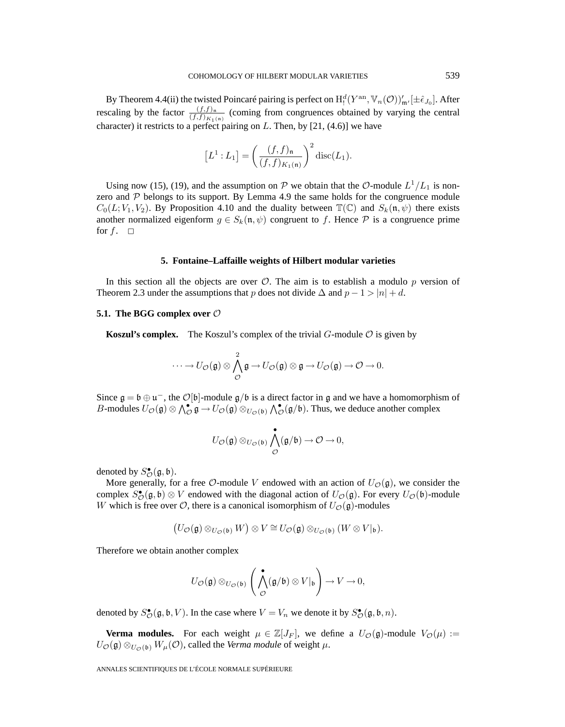By Theorem 4.4(ii) the twisted Poincaré pairing is perfect on  $H^d_!(Y^{\rm an}, \mathbb{V}_n(\mathcal{O}))'_{\mathfrak{m}'}[\pm \hat{\epsilon}_{J_0}]$ . After rescaling by the factor  $\frac{(f,f)_n}{(f,f)_{K_1(n)}}$  (coming from congruences obtained by varying the central character) it restricts to a perfect pairing on  $L$ . Then, by [21, (4.6)] we have

$$
[L1 : L1] = \left(\frac{(f, f)n}{(f, f)K1(n)}\right)^{2} \operatorname{disc}(L1).
$$

Using now (15), (19), and the assumption on P we obtain that the O-module  $L^1/L_1$  is nonzero and  $P$  belongs to its support. By Lemma 4.9 the same holds for the congruence module  $C_0(L;V_1,V_2)$ . By Proposition 4.10 and the duality between  $\mathbb{T}(\mathbb{C})$  and  $S_k(\mathfrak{n}, \psi)$  there exists another normalized eigenform  $g \in S_k(\mathfrak{n}, \psi)$  congruent to f. Hence  $P$  is a congruence prime for  $f. \square$ 

#### **5. Fontaine–Laffaille weights of Hilbert modular varieties**

In this section all the objects are over  $\mathcal{O}$ . The aim is to establish a modulo p version of Theorem 2.3 under the assumptions that p does not divide  $\Delta$  and  $p - 1 > |n| + d$ .

# **5.1. The BGG complex over**  $\mathcal{O}$

**Koszul's complex.** The Koszul's complex of the trivial  $G$ -module  $\mathcal O$  is given by

$$
\cdots \longrightarrow U_{\mathcal{O}}(\mathfrak{g}) \otimes \bigwedge^2_{\mathcal{O}} \mathfrak{g} \longrightarrow U_{\mathcal{O}}(\mathfrak{g}) \otimes \mathfrak{g} \longrightarrow U_{\mathcal{O}}(\mathfrak{g}) \longrightarrow \mathcal{O} \longrightarrow 0.
$$

Since  $\mathfrak{g} = \mathfrak{b} \oplus \mathfrak{u}^-$ , the  $\mathcal{O}[\mathfrak{b}]$ -module  $\mathfrak{g}/\mathfrak{b}$  is a direct factor in g and we have a homomorphism of B-modules  $U_{\mathcal{O}}(\mathfrak{g}) \otimes \bigwedge_{\mathcal{O}}^{\bullet} \mathfrak{g} \to U_{\mathcal{O}}(\mathfrak{g}) \otimes_{U_{\mathcal{O}}(\mathfrak{b})} \bigwedge_{\mathcal{O}}^{\bullet}(\mathfrak{g}/\mathfrak{b})$ . Thus, we deduce another complex

$$
U_{\mathcal{O}}(\mathfrak{g})\otimes_{U_{\mathcal{O}}(\mathfrak{b})}\bigwedge_{\mathcal{O}}^{\bullet}(\mathfrak{g}/\mathfrak{b})\rightarrow \mathcal{O}\rightarrow 0,
$$

denoted by  $S_{\mathcal{O}}^{\bullet}(\mathfrak{g}, \mathfrak{b}).$ 

More generally, for a free  $\mathcal{O}\text{-module } V$  endowed with an action of  $U_{\mathcal{O}}(\mathfrak{g})$ , we consider the complex  $S^{\bullet}_{\mathcal{O}}(\mathfrak{g}, \mathfrak{b}) \otimes V$  endowed with the diagonal action of  $U_{\mathcal{O}}(\mathfrak{g})$ . For every  $U_{\mathcal{O}}(\mathfrak{b})$ -module W which is free over  $\mathcal{O}$ , there is a canonical isomorphism of  $U_{\mathcal{O}}(\mathfrak{g})$ -modules

$$
\big(U_{\mathcal{O}}(\mathfrak{g})\otimes_{U_{\mathcal{O}}(\mathfrak{b})}W\big)\otimes V\cong U_{\mathcal{O}}(\mathfrak{g})\otimes_{U_{\mathcal{O}}(\mathfrak{b})}(W\otimes V|_{\mathfrak{b}}).
$$

Therefore we obtain another complex

$$
U_{\mathcal{O}}(\mathfrak{g}) \otimes_{U_{\mathcal{O}}(\mathfrak{b})} \left( \bigwedge_{\mathcal{O}}^{\bullet} (\mathfrak{g}/\mathfrak{b}) \otimes V|_{\mathfrak{b}} \right) \to V \to 0,
$$

denoted by  $S^{\bullet}_{\mathcal{O}}(\mathfrak{g}, \mathfrak{b}, V)$ . In the case where  $V = V_n$  we denote it by  $S^{\bullet}_{\mathcal{O}}(\mathfrak{g}, \mathfrak{b}, n)$ .

**Verma modules.** For each weight  $\mu \in \mathbb{Z}[J_F]$ , we define a  $U_{\mathcal{O}}(\mathfrak{g})$ -module  $V_{\mathcal{O}}(\mu)$  :=  $U_{\mathcal{O}}(\mathfrak{g}) \otimes_{U_{\mathcal{O}}(\mathfrak{b})} W_{\mu}(\mathcal{O})$ , called the *Verma module* of weight  $\mu$ .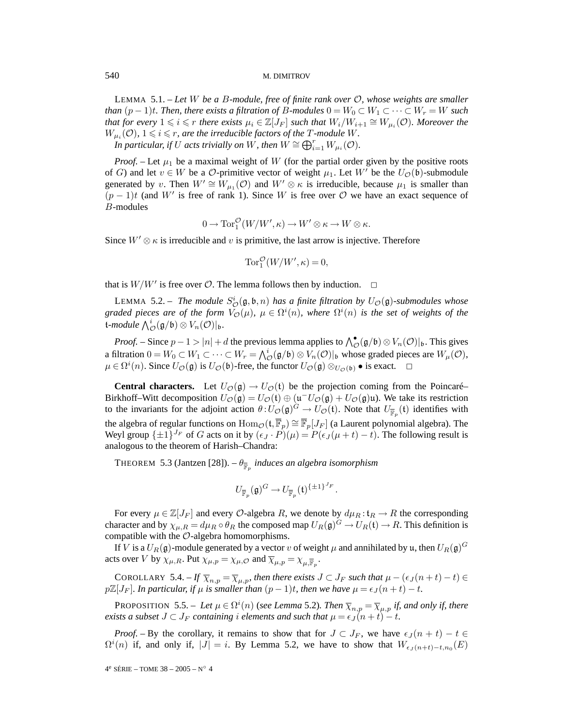LEMMA 5.1. – *Let* W *be a* B*-module, free of finite rank over* O*, whose weights are smaller than*  $(p-1)t$ *. Then, there exists a filtration of B-modules*  $0 = W_0 \subset W_1 \subset \cdots \subset W_r = W$  *such* that for every  $1 \leqslant i \leqslant r$  there exists  $\mu_i \in \mathbb{Z}[J_F]$  such that  $W_i/W_{i+1} \cong W_{\mu_i}(\mathcal{O})$ . Moreover the  $W_{\mu_i}(\mathcal{O}),\,1\leqslant i\leqslant r,$  are the irreducible factors of the  $T$  -module  $W.$ 

*In particular, if* U *acts trivially on* W, then  $W \cong \bigoplus_{i=1}^r W_{\mu_i}(\mathcal{O})$ .

*Proof.* – Let  $\mu_1$  be a maximal weight of W (for the partial order given by the positive roots of G) and let  $v \in W$  be a O-primitive vector of weight  $\mu_1$ . Let W' be the  $U_{\mathcal{O}}(\mathfrak{b})$ -submodule generated by v. Then  $W' \cong W_{\mu_1}(\mathcal{O})$  and  $W' \otimes \kappa$  is irreducible, because  $\mu_1$  is smaller than  $(p-1)t$  (and W' is free of rank 1). Since W is free over  $\mathcal O$  we have an exact sequence of B-modules

$$
0 \to \operatorname{Tor}_1^{\mathcal{O}}(W/W', \kappa) \to W' \otimes \kappa \to W \otimes \kappa.
$$

Since  $W' \otimes \kappa$  is irreducible and v is primitive, the last arrow is injective. Therefore

$$
\operatorname{Tor}_1^{\mathcal{O}}(W/W', \kappa) = 0,
$$

that is  $W/W'$  is free over  $O$ . The lemma follows then by induction.  $\Box$ 

LEMMA 5.2. – The module  $S^i_{\mathcal{O}}(\mathfrak{g}, \mathfrak{b}, n)$  has a finite filtration by  $U_{\mathcal{O}}(\mathfrak{g})$ -submodules whose graded pieces are of the form  $V_{\mathcal{O}}(\mu)$ ,  $\mu \in \Omega^i(n)$ , where  $\Omega^i(n)$  is the set of weights of the t-module  $\bigwedge^i_{\mathcal{O}}(\mathfrak{g}/\mathfrak{b}) \otimes V_n(\mathcal{O})|_{\mathfrak{b}}.$ 

*Proof.* – Since  $p-1 > |n| + d$  the previous lemma applies to  $\bigwedge^{\bullet}(\mathfrak{g}/\mathfrak{b}) \otimes V_n(\mathcal{O})|_{\mathfrak{b}}$ . This gives a filtration  $0 = W_0 \subset W_1 \subset \cdots \subset W_r = \bigwedge^i_{\mathcal{O}}(\mathfrak{g}/\mathfrak{b}) \otimes V_n(\mathcal{O})|_{\mathfrak{b}}$  whose graded pieces are  $W_\mu(\mathcal{O})$ ,  $\mu \in \Omega^i(n)$ . Since  $U_{\mathcal{O}}(\mathfrak{g})$  is  $U_{\mathcal{O}}(\mathfrak{b})$ -free, the functor  $U_{\mathcal{O}}(\mathfrak{g}) \otimes_{U_{\mathcal{O}}(\mathfrak{b})} \bullet$  is exact.  $\Box$ 

**Central characters.** Let  $U_{\mathcal{O}}(\mathfrak{g}) \to U_{\mathcal{O}}(\mathfrak{t})$  be the projection coming from the Poincaré– Birkhoff–Witt decomposition  $U_{\mathcal{O}}(\mathfrak{g}) = U_{\mathcal{O}}(\mathfrak{t}) \oplus (\mathfrak{u}^- U_{\mathcal{O}}(\mathfrak{g}) + U_{\mathcal{O}}(\mathfrak{g})\mathfrak{u})$ . We take its restriction to the invariants for the adjoint action  $\theta:U_{\mathcal{O}}(\mathfrak{g})^G\to U_{\mathcal{O}}(\mathfrak{t})$ . Note that  $U_{\overline{\mathbb{F}}_p}(\mathfrak{t})$  identifies with the algebra of regular functions on  $\text{Hom}_{\mathcal{O}}(\mathfrak{t}, \overline{\mathbb{F}}_p) \cong \overline{\mathbb{F}}_p[J_F]$  (a Laurent polynomial algebra). The Weyl group  $\{\pm 1\}^{J_F}$  of G acts on it by  $(\epsilon_J \cdot P)(\mu) = P(\epsilon_J (\mu + t) - t)$ . The following result is analogous to the theorem of Harish–Chandra:

THEOREM 5.3 (Jantzen [28]). –  $\theta_{\overline{\mathbb{F}}_p}$  *induces an algebra isomorphism* 

$$
U_{\overline{\mathbb{F}}_p}(\mathfrak{g})^G \to U_{\overline{\mathbb{F}}_p}(\mathfrak{t})^{\{\pm 1\}^{J_F}}.
$$

For every  $\mu \in \mathbb{Z}[J_F]$  and every  $\mathcal{O}$ -algebra R, we denote by  $d\mu_R : t_R \to R$  the corresponding character and by  $\chi_{\mu,R} = d\mu_R \circ \theta_R$  the composed map  $U_R(\mathfrak{g})^G \to U_R(\mathfrak{t}) \to R$ . This definition is compatible with the  $\mathcal{O}$ -algebra homomorphisms.

If V is a  $U_R(\mathfrak{g})$ -module generated by a vector v of weight  $\mu$  and annihilated by u, then  $U_R(\mathfrak{g})^G$ acts over V by  $\chi_{\mu,R}$ . Put  $\chi_{\mu,p} = \chi_{\mu,O}$  and  $\overline{\chi}_{\mu,p} = \chi_{\mu,\overline{\mathbb{F}}_n}$ .

COROLLARY 5.4. – If  $\overline{\chi}_{n,p} = \overline{\chi}_{\mu,p}$ , then there exists  $J \subset J_F$  such that  $\mu - (\epsilon_J (n + t) - t) \in$  $p\mathbb{Z}[J_F]$ *. In particular, if*  $\mu$  *is smaller than*  $(p-1)t$ *, then we have*  $\mu = \epsilon_J (n+t) - t$ *.* 

PROPOSITION 5.5. – Let  $\mu \in \Omega^i(n)$  (see Lemma 5.2). Then  $\overline{\chi}_{n,p} = \overline{\chi}_{\mu,p}$  if, and only if, there *exists a subset*  $J \subset J_F$  *containing i elements and such that*  $\mu = \epsilon_J (n + t) - t$ *.* 

*Proof.* – By the corollary, it remains to show that for  $J \subset J_F$ , we have  $\epsilon_J(n + t) - t \in$  $\Omega^{i}(n)$  if, and only if,  $|J| = i$ . By Lemma 5.2, we have to show that  $W_{\epsilon}$ <sub> $(j(n+t)-t,n_0(E))$ </sub>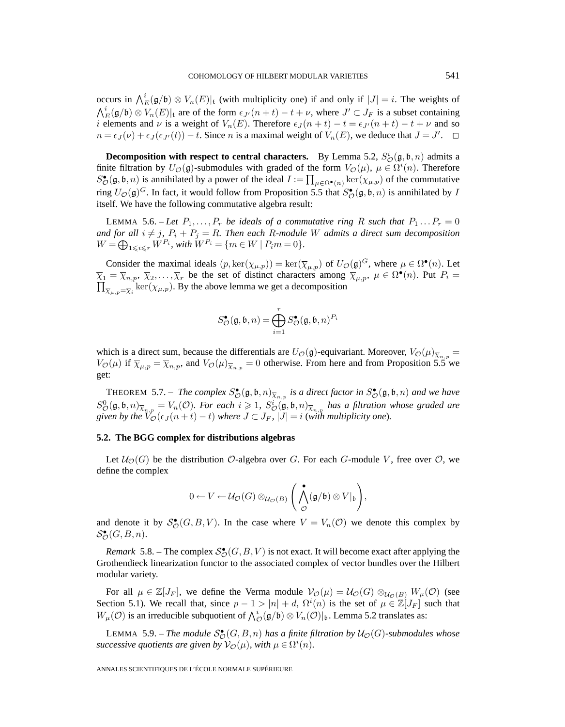occurs in  $\bigwedge_E^i(\mathfrak{g}/\mathfrak{b}) \otimes V_n(E)|_t$  (with multiplicity one) if and only if  $|J| = i$ . The weights of  $\bigwedge^i_{E}(\mathfrak{g}/\mathfrak{b}) \otimes V_n(E)|_{\mathfrak{t}}$  are of the form  $\epsilon_{J'}(n+t) - t + \nu$ , where  $J' \subset J_F$  is a subset containing *i* elements and  $\nu$  is a weight of  $V_n(E)$ . Therefore  $\epsilon_J (n + t) - t = \epsilon_{J'} (n + t) - t + \nu$  and so  $n = \epsilon_J (\nu) + \epsilon_J (\epsilon_{J'}(t)) - t$ . Since *n* is a maximal weight of  $V_n(E)$ , we deduce that  $J = J'$ .  $\Box$ 

**Decomposition with respect to central characters.** By Lemma 5.2,  $S^i_{\mathcal{O}}(\mathfrak{g}, \mathfrak{b}, n)$  admits a finite filtration by  $U_{\mathcal{O}}(\mathfrak{g})$ -submodules with graded of the form  $V_{\mathcal{O}}(\mu)$ ,  $\mu \in \Omega^{i}(n)$ . Therefore  $S_{\mathcal{O}}^{\bullet}(\mathfrak{g}, \mathfrak{b}, n)$  is annihilated by a power of the ideal  $I := \prod_{\mu \in \Omega^{\bullet}(n)} \ker(\chi_{\mu, p})$  of the commutative ring  $U_{\mathcal{O}}(\mathfrak{g})^G$ . In fact, it would follow from Proposition 5.5 that  $S_{\mathcal{O}}^{\bullet}(\mathfrak{g}, \mathfrak{b}, n)$  is annihilated by I itself. We have the following commutative algebra result:

LEMMA 5.6. – Let  $P_1, \ldots, P_r$  be ideals of a commutative ring R such that  $P_1 \ldots P_r = 0$ *and for all*  $i \neq j$ ,  $P_i + P_j = R$ . Then each R-module W admits a direct sum decomposition  $W = \bigoplus_{1 \leq i \leq r} W^{P_i}$ , with  $W^{P_i} = \{m \in W \mid P_i m = 0\}.$ 

Consider the maximal ideals  $(p, \ker(\chi_{\mu,p})) = \ker(\overline{\chi}_{\mu,p})$  of  $U_{\mathcal{O}}(\mathfrak{g})^G$ , where  $\mu \in \Omega^{\bullet}(n)$ . Let  $\overline{\chi}_1 = \overline{\chi}_{n,p}, \ \overline{\chi}_2, \ldots, \overline{\chi}_r$  be the set of distinct characters among  $\overline{\chi}_{\mu,p}, \ \mu \in \Omega^{\bullet}(n)$ . Put  $P_i =$  $\prod_{\overline{\chi}_{\mu,p}=\overline{\chi}_i} \ker(\chi_{\mu,p})$ . By the above lemma we get a decomposition

$$
S_{\mathcal{O}}^{\bullet}(\mathfrak{g},\mathfrak{b},n)=\bigoplus_{i=1}^rS_{\mathcal{O}}^{\bullet}(\mathfrak{g},\mathfrak{b},n)^{P_i}
$$

which is a direct sum, because the differentials are  $U_{\mathcal{O}}(\mathfrak{g})$ -equivariant. Moreover,  $V_{\mathcal{O}}(\mu)_{\overline{X}_{n,p}} =$  $V_{\mathcal{O}}(\mu)$  if  $\overline{\chi}_{\mu,p} = \overline{\chi}_{n,p}$ , and  $V_{\mathcal{O}}(\mu)_{\overline{\chi}_{n,p}} = 0$  otherwise. From here and from Proposition 5.5 we get:

**THEOREM** 5.7. – *The complex*  $S^{\bullet}_{\mathcal{O}}(\mathfrak{g}, \mathfrak{b}, n)_{\overline{\chi}_{n,p}}$  *is a direct factor in*  $S^{\bullet}_{\mathcal{O}}(\mathfrak{g}, \mathfrak{b}, n)$  *and we have*  $S^0_{\mathcal{O}}(\mathfrak{g}, \mathfrak{b}, n)_{\overline{\chi}_{n,p}} = V_n(\mathcal{O})$ . For each  $i \geq 1$ ,  $S^i_{\mathcal{O}}(\mathfrak{g}, \mathfrak{b}, n)_{\overline{\chi}_{n,p}}$  has a filtration whose graded are *given by the*  $V_{\mathcal{O}}(\epsilon_J (n + t) - t)$  *where*  $J \subset J_F$ *,*  $|J| = i$  *(with multiplicity one).* 

#### **5.2. The BGG complex for distributions algebras**

Let  $\mathcal{U}_{\mathcal{O}}(G)$  be the distribution  $\mathcal{O}$ -algebra over G. For each G-module V, free over  $\mathcal{O}$ , we define the complex

$$
0 \leftarrow V \leftarrow \mathcal{U}_{\mathcal{O}}(G) \otimes_{\mathcal{U}_{\mathcal{O}}(B)} \left( \bigwedge_{\mathcal{O}}^{\bullet}(\mathfrak{g}/\mathfrak{b}) \otimes V|_{\mathfrak{b}} \right),
$$

and denote it by  $S^{\bullet}_{\mathcal{O}}(G, B, V)$ . In the case where  $V = V_n(\mathcal{O})$  we denote this complex by  $\mathcal{S}_{\mathcal{O}}^{\bullet}(G,B,n).$ 

*Remark* 5.8. – The complex  $S_{\mathcal{O}}^{\bullet}(G, B, V)$  is not exact. It will become exact after applying the Grothendieck linearization functor to the associated complex of vector bundles over the Hilbert modular variety.

For all  $\mu \in \mathbb{Z}[J_F]$ , we define the Verma module  $\mathcal{V}_{\mathcal{O}}(\mu) = \mathcal{U}_{\mathcal{O}}(G) \otimes_{\mathcal{U}_{\mathcal{O}}(B)} W_{\mu}(\mathcal{O})$  (see Section 5.1). We recall that, since  $p-1 > |n| + d$ ,  $\Omega^{i}(n)$  is the set of  $\mu \in \mathbb{Z}[J_F]$  such that  $W_\mu(\mathcal{O})$  is an irreducible subquotient of  $\bigwedge^i_{\mathcal{O}}(\mathfrak{g}/\mathfrak{b}) \otimes V_n(\mathcal{O})|_{\mathfrak{b}}$ . Lemma 5.2 translates as:

LEMMA 5.9. – *The module*  $S_{\mathcal{O}}^{\bullet}(G, B, n)$  *has a finite filtration by*  $\mathcal{U}_{\mathcal{O}}(G)$ -submodules whose *successive quotients are given by*  $\mathcal{V}_{\mathcal{O}}(\mu)$ *, with*  $\mu \in \Omega^i(n)$ *.*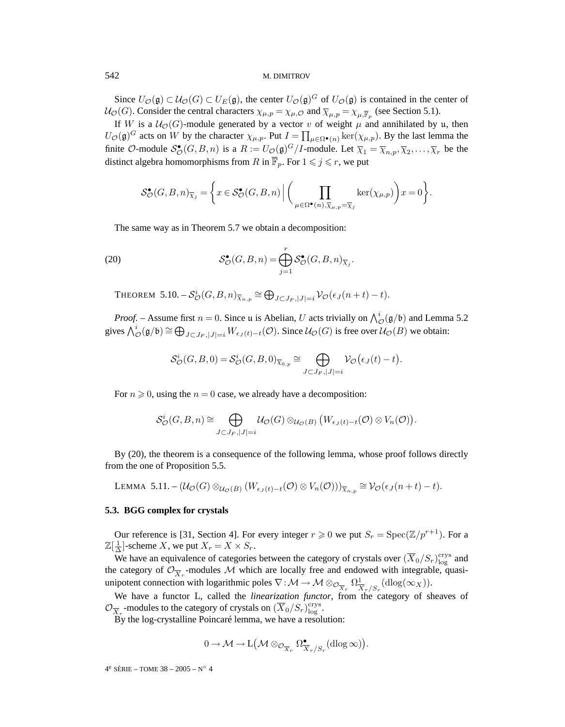Since  $U_{\mathcal{O}}(\mathfrak{g}) \subset \mathcal{U}_{\mathcal{O}}(G) \subset U_E(\mathfrak{g})$ , the center  $U_{\mathcal{O}}(\mathfrak{g})^G$  of  $U_{\mathcal{O}}(\mathfrak{g})$  is contained in the center of  $U_{\mathcal{O}}(G)$ . Consider the central characters  $\chi_{\mu,p} = \chi_{\mu,0}$  and  $\overline{\chi}_{\mu,p} = \chi_{\mu,\overline{\mathbb{F}}_p}$  (see Section 5.1).

If W is a  $U_{\mathcal{O}}(G)$ -module generated by a vector v of weight  $\mu$  and annihilated by u, then  $U_{\mathcal{O}}(\mathfrak{g})^G$  acts on W by the character  $\chi_{\mu,p}$ . Put  $I = \prod_{\mu \in \Omega^{\bullet}(n)} \ker(\chi_{\mu,p})$ . By the last lemma the finite O-module  $S^{\bullet}_{\mathcal{O}}(G, B, n)$  is a  $R := U_{\mathcal{O}}(\mathfrak{g})^G / I$ -module. Let  $\overline{\chi}_1 = \overline{\chi}_{n,p}, \overline{\chi}_2, \ldots, \overline{\chi}_r$  be the distinct algebra homomorphisms from  $R$  in  $\mathbb{F}_p$ . For  $1 \leqslant j \leqslant r$ , we put

$$
\mathcal{S}_{\mathcal{O}}^{\bullet}(G,B,n)_{\overline{\chi}_j} = \bigg\{ x \in \mathcal{S}_{\mathcal{O}}^{\bullet}(G,B,n) \, \Big| \, \bigg( \prod_{\mu \in \Omega^{\bullet}(n), \overline{\chi}_{\mu, p} = \overline{\chi}_j} \ker(\chi_{\mu, p}) \bigg) x = 0 \bigg\}.
$$

The same way as in Theorem 5.7 we obtain a decomposition:

(20) 
$$
\mathcal{S}_{\mathcal{O}}^{\bullet}(G, B, n) = \bigoplus_{j=1}^{r} \mathcal{S}_{\mathcal{O}}^{\bullet}(G, B, n)_{\overline{\chi}_{j}}.
$$

THEOREM 5.10.  $-\mathcal{S}_{\mathcal{O}}^i(G, B, n)_{\overline{\chi}_{n,p}} \cong \bigoplus_{J \subset J_F, |J|=i} \mathcal{V}_{\mathcal{O}}(\epsilon_J(n+t)-t)$ .

*Proof.* – Assume first  $n = 0$ . Since u is Abelian, U acts trivially on  $\bigwedge^i_{\mathcal{O}}(\mathfrak{g}/\mathfrak{b})$  and Lemma 5.2 gives  $\bigwedge^i_{\mathcal{O}}(\mathfrak{g}/\mathfrak{b}) \cong \bigoplus_{J \subset J_F, |J|=i} W_{\epsilon_J(t)-t}(\mathcal{O}).$  Since  $\mathcal{U}_{\mathcal{O}}(G)$  is free over  $\mathcal{U}_{\mathcal{O}}(B)$  we obtain:

$$
\mathcal{S}_{\mathcal{O}}^{i}(G, B, 0) = \mathcal{S}_{\mathcal{O}}^{i}(G, B, 0)_{\overline{\chi}_{0,p}} \cong \bigoplus_{J \subset J_F, |J| = i} \mathcal{V}_{\mathcal{O}}(\epsilon_J(t) - t).
$$

For  $n \geq 0$ , using the  $n = 0$  case, we already have a decomposition:

$$
\mathcal{S}_{\mathcal{O}}^{i}(G, B, n) \cong \bigoplus_{J \subset J_{F}, |J|=i} \mathcal{U}_{\mathcal{O}}(G) \otimes_{\mathcal{U}_{\mathcal{O}}(B)} \big(W_{\epsilon_{J}(t)-t}(\mathcal{O})\otimes V_{n}(\mathcal{O})\big).
$$

By (20), the theorem is a consequence of the following lemma, whose proof follows directly from the one of Proposition 5.5.

LEMMA 5.11. –  $(\mathcal{U}_{\mathcal{O}}(G) \otimes_{\mathcal{U}_{\mathcal{O}}(B)} (W_{\epsilon_J(t)-t}(\mathcal{O}) \otimes V_n(\mathcal{O})))_{\overline{\chi}_{n,p}} \cong \mathcal{V}_{\mathcal{O}}(\epsilon_J(n+t)-t)$ .

# **5.3. BGG complex for crystals**

Our reference is [31, Section 4]. For every integer  $r \ge 0$  we put  $S_r = \text{Spec}(\mathbb{Z}/p^{r+1})$ . For a  $\mathbb{Z}[\frac{1}{\Delta}]$ -scheme X, we put  $X_r = X \times S_r$ .

We have an equivalence of categories between the category of crystals over  $(\overline{X}_0/S_r)_{log}^{crys}$  and the category of  $\mathcal{O}_{\overline{X}_r}$ -modules M which are locally free and endowed with integrable, quasiunipotent connection with logarithmic poles  $\nabla : \mathcal{M} \to \mathcal{M} \otimes_{\mathcal{O}_{\overline{X}_r}} \Omega^1_{\overline{X}_r/S_r}(\text{dlog}(\infty_X)).$ 

We have a functor L, called the *linearization functor*, from the category of sheaves of  $\mathcal{O}_{\overline{X}_r}$ -modules to the category of crystals on  $(\overline{X}_0/S_r)^{\text{crys}}_{\log}$ .

 $\overline{B}y$  the log-crystalline Poincaré lemma, we have a resolution:

$$
0\rightarrow \mathcal{M}\rightarrow \mathrm{L}\left(\mathcal{M}\otimes_{\mathcal{O}_{\overline{X}_r}}\Omega^{\bullet}_{\overline{X}_r/S_r}(\mathrm{dlog}\,\infty)\right).
$$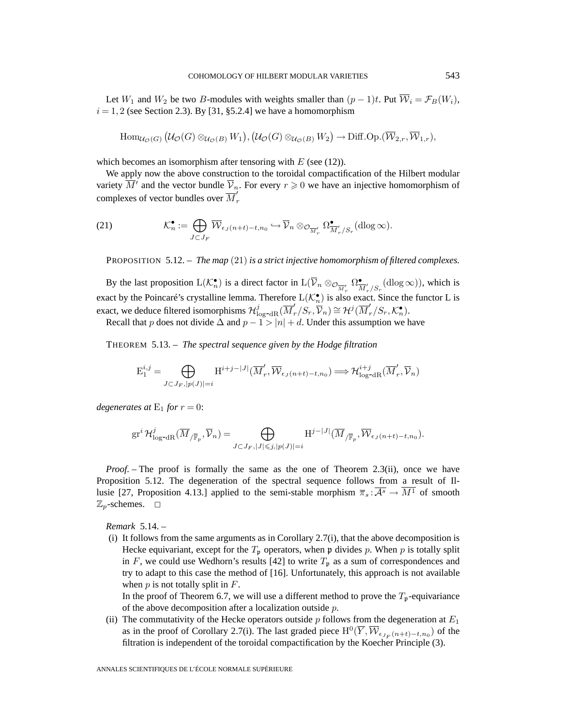Let  $W_1$  and  $W_2$  be two B-modules with weights smaller than  $(p-1)t$ . Put  $\overline{W}_i = \mathcal{F}_B(W_i)$ ,  $i = 1, 2$  (see Section 2.3). By [31, §5.2.4] we have a homomorphism

$$
\text{Hom}_{\mathcal{U}_{\mathcal{O}}(G)}(\mathcal{U}_{\mathcal{O}}(G)\otimes_{\mathcal{U}_{\mathcal{O}}(B)} W_1), (\mathcal{U}_{\mathcal{O}}(G)\otimes_{\mathcal{U}_{\mathcal{O}}(B)} W_2) \to \text{Diff.Op.}(\overline{\mathcal{W}}_{2,r}, \overline{\mathcal{W}}_{1,r}),
$$

which becomes an isomorphism after tensoring with  $E$  (see (12)).

We apply now the above construction to the toroidal compactification of the Hilbert modular variety  $\overline{M}'$  and the vector bundle  $\overline{V}_n$ . For every  $r \geqslant 0$  we have an injective homomorphism of complexes of vector bundles over  $\overline{M}'_r$ 

(21) 
$$
\mathcal{K}_n^{\bullet} := \bigoplus_{J \subset J_F} \overline{\mathcal{W}}_{\epsilon_J(n+t)-t,n_0} \hookrightarrow \overline{\mathcal{V}}_n \otimes_{\mathcal{O}_{\overline{\mathcal{M}}_r}'} \Omega_{\overline{\mathcal{M}}_r'/S_r}^{\bullet}(\text{dlog}\infty).
$$

PROPOSITION 5.12. – *The map* (21) *is a strict injective homomorphism of filtered complexes.*

By the last proposition  $L(\mathcal{K}_n^{\bullet})$  is a direct factor in  $L(\overline{\mathcal{V}}_n \otimes_{\mathcal{O}_{\overline{M}'_r}} \Omega_{\overline{M}'_r/S_r}^{\bullet}(\text{dlog}\infty))$ , which is exact by the Poincaré's crystalline lemma. Therefore  $L(\mathcal{K}_n^{\bullet})$  is also exact. Since the functor L is exact, we deduce filtered isomorphisms  $\mathcal{H}^j_{\log^{-dR}}(\overline{M}'_r/S_r, \overline{\mathcal{V}}_n) \cong \mathcal{H}^j(\overline{M}'_r/S_r, \mathcal{K}^{\bullet}_n)$ .

Recall that p does not divide  $\Delta$  and  $p-1 > |n| + d$ . Under this assumption we have

THEOREM 5.13. – *The spectral sequence given by the Hodge filtration*

$$
\mathcal{E}^{i,j}_1 = \bigoplus_{J \subset J_F, |p(J)| = i} \mathcal{H}^{i+j-|J|}(\overline{M}'_r, \overline{\mathcal{W}}_{\epsilon_J(n+t)-t, n_0}) \Longrightarrow \mathcal{H}^{i+j}_{\log^{-dR}}(\overline{M}'_r, \overline{\mathcal{V}}_n)
$$

*degenerates at*  $E_1$  *for*  $r = 0$ :

$$
\mathrm{gr}^i \, \mathcal{H}^j_{\log^{-dR}}(\overline{M}_{/\overline{\mathbb{F}}_p}, \overline{\mathcal{V}}_n) = \bigoplus_{J \subset J_F, |J| \leqslant j, |p(J)| = i} \mathrm{H}^{j - |J|}(\overline{M}_{/\overline{\mathbb{F}}_p}, \overline{\mathcal{W}}_{\epsilon_J(n+t)-t, n_0}).
$$

*Proof.* – The proof is formally the same as the one of Theorem 2.3(ii), once we have Proposition 5.12. The degeneration of the spectral sequence follows from a result of Illusie [27, Proposition 4.13.] applied to the semi-stable morphism  $\overline{\pi}_s : \overline{A^s} \to M^1$  of smooth  $\mathbb{Z}_p$ -schemes.  $\Box$ 

*Remark* 5.14. –

(i) It follows from the same arguments as in Corollary 2.7(i), that the above decomposition is Hecke equivariant, except for the  $T_p$  operators, when p divides p. When p is totally split in F, we could use Wedhorn's results [42] to write  $T_p$  as a sum of correspondences and try to adapt to this case the method of [16]. Unfortunately, this approach is not available when  $p$  is not totally split in  $F$ .

In the proof of Theorem 6.7, we will use a different method to prove the  $T_p$ -equivariance of the above decomposition after a localization outside  $p$ .

(ii) The commutativity of the Hecke operators outside  $p$  follows from the degeneration at  $E_1$ as in the proof of Corollary 2.7(i). The last graded piece  $H^0(\overline{Y}, \overline{W}_{\epsilon_{J_{\nu}}(n+t)-t,n_0})$  of the filtration is independent of the toroidal compactification by the Koecher Principle (3).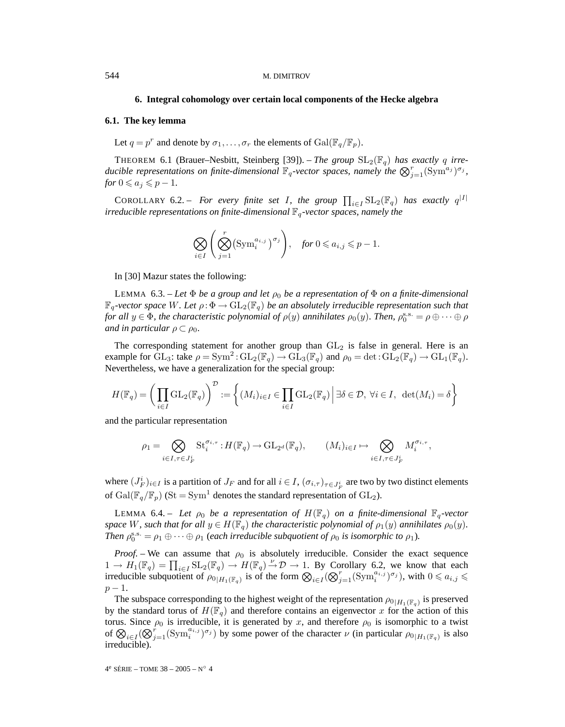#### **6. Integral cohomology over certain local components of the Hecke algebra**

# **6.1. The key lemma**

Let  $q = p^r$  and denote by  $\sigma_1, \ldots, \sigma_r$  the elements of  $Gal(\mathbb{F}_q/\mathbb{F}_p)$ .

THEOREM 6.1 (Brauer–Nesbitt, Steinberg [39]). – *The group*  $SL_2(\mathbb{F}_q)$  *has exactly q irreducible representations on finite-dimensional*  $\mathbb{F}_q$ -vector spaces, namely the  $\bigotimes_{j=1}^r (\text{Sym}^{a_j})^{\sigma_j}$ ,  $for 0 \leqslant a_j \leqslant p-1.$ 

COROLLARY 6.2. – For every finite set I, the group  $\prod_{i\in I} SL_2(\mathbb{F}_q)$  has exactly  $q^{|I|}$ *irreducible representations on finite-dimensional*  $\mathbb{F}_q$ -vector spaces, namely the

$$
\bigotimes_{i\in I}\left(\bigotimes_{j=1}^r(\text{Sym}_i^{a_{i,j}})^{\sigma_j}\right), \quad \text{for } 0\leqslant a_{i,j}\leqslant p-1.
$$

In [30] Mazur states the following:

LEMMA 6.3. – Let  $\Phi$  be a group and let  $\rho_0$  be a representation of  $\Phi$  on a finite-dimensional  $\mathbb{F}_q$ -vector space W. Let  $\rho : \Phi \to GL_2(\mathbb{F}_q)$  be an absolutely irreducible representation such that *for all*  $y \in \Phi$ *, the characteristic polynomial of*  $\rho(y)$  *annihilates*  $\rho_0(y)$ *. Then,*  $\rho_0^{s.s.} = \rho \oplus \cdots \oplus \rho$ *and in particular*  $\rho \subset \rho_0$ *.* 

The corresponding statement for another group than  $GL_2$  is false in general. Here is an example for  $GL_3$ : take  $\rho = Sym^2$ :  $GL_2(\mathbb{F}_q) \to GL_3(\mathbb{F}_q)$  and  $\rho_0 = \det$ :  $GL_2(\mathbb{F}_q) \to GL_1(\mathbb{F}_q)$ . Nevertheless, we have a generalization for the special group:

$$
H(\mathbb{F}_q) = \left(\prod_{i \in I} \mathrm{GL}_2(\mathbb{F}_q)\right)^{\mathcal{D}} := \left\{ (M_i)_{i \in I} \in \prod_{i \in I} \mathrm{GL}_2(\mathbb{F}_q) \, \middle| \, \exists \delta \in \mathcal{D}, \, \forall i \in I, \, \det(M_i) = \delta \right\}
$$

and the particular representation

$$
\rho_1=\bigotimes_{i\in I,\tau\in J_F^i}\operatorname{St}_i^{\sigma_{i,\tau}}:H(\mathbb{F}_q)\to \operatorname{GL}_{2^d}(\mathbb{F}_q),\qquad (M_i)_{i\in I}\mapsto \bigotimes_{i\in I,\tau\in J_F^i}M_i^{\sigma_{i,\tau}},
$$

where  $(J_F^i)_{i \in I}$  is a partition of  $J_F$  and for all  $i \in I$ ,  $(\sigma_{i,\tau})_{\tau \in J_F^i}$  are two by two distinct elements of Gal( $\mathbb{F}_q/\mathbb{F}_p$ ) (St = Sym<sup>1</sup> denotes the standard representation of GL<sub>2</sub>).

LEMMA 6.4. – Let  $\rho_0$  be a representation of  $H(\mathbb{F}_q)$  on a finite-dimensional  $\mathbb{F}_q$ -vector *space* W, such that for all  $y \in H(\mathbb{F}_q)$  the characteristic polynomial of  $\rho_1(y)$  annihilates  $\rho_0(y)$ . *Then*  $\rho_0^{\text{s.s.}} = \rho_1 \oplus \cdots \oplus \rho_1$  (*each irreducible subquotient of*  $\rho_0$  *is isomorphic to*  $\rho_1$ *).* 

*Proof.* – We can assume that  $\rho_0$  is absolutely irreducible. Consider the exact sequence  $1 \to H_1(\mathbb{F}_q) = \prod_{i \in I} \mathrm{SL}_2(\mathbb{F}_q) \to H(\mathbb{F}_q) \to \mathcal{D} \to 1$ . By Corollary 6.2, we know that each irreducible subquotient of  $\rho_{0|H_1(\mathbb{F}_q)}$  is of the form  $\bigotimes_{i\in I} (\bigotimes_{j=1}^r (\text{Sym}_i^{a_{i,j}})^{\sigma_j})$ , with  $0 \leq a_{i,j} \leq$  $p-1$ .

The subspace corresponding to the highest weight of the representation  $\rho_{0|H_1(\mathbb{F}_q)}$  is preserved by the standard torus of  $H(\mathbb{F}_q)$  and therefore contains an eigenvector x for the action of this torus. Since  $\rho_0$  is irreducible, it is generated by x, and therefore  $\rho_0$  is isomorphic to a twist of  $\bigotimes_{i\in I} (\bigotimes_{j=1}^r (\text{Sym}_i^{a_{i,j}})^{\sigma_j})$  by some power of the character  $\nu$  (in particular  $\rho_{0|H_1(\mathbb{F}_q)}$  is also irreducible).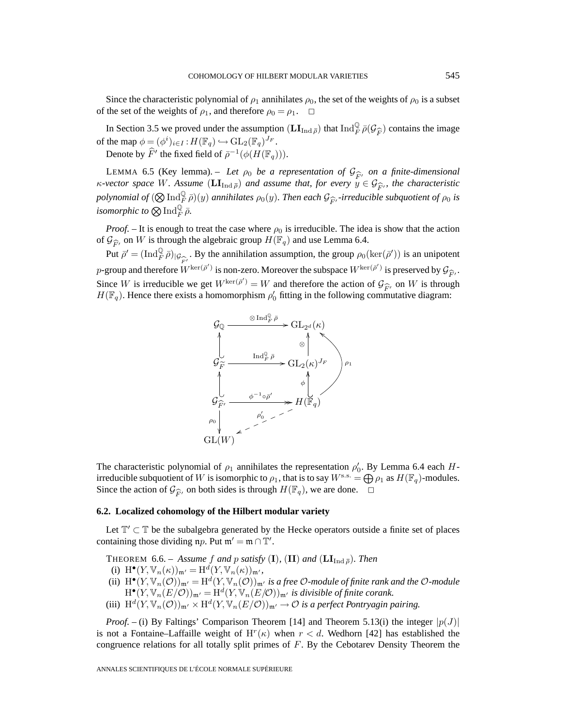Since the characteristic polynomial of  $\rho_1$  annihilates  $\rho_0$ , the set of the weights of  $\rho_0$  is a subset of the set of the weights of  $\rho_1$ , and therefore  $\rho_0 = \rho_1$ .  $\Box$ 

In Section 3.5 we proved under the assumption  $(\mathbf{LI}_{\text{Ind}\bar{\rho}})$  that  $\text{Ind}_{F}^{\mathbb{Q}}\bar{\rho}(\mathcal{G}_{\widehat{F}})$  contains the image the man  $\phi = (\phi^i)_{i\in\mathcal{I}} \colon H(\mathbb{F}) \hookrightarrow \text{GL}_{\mathbb{Q}}(\mathbb{F})^{J_F}$ of the map  $\phi = (\phi^i)_{i \in I} : H(\mathbb{F}_q) \hookrightarrow \mathrm{GL}_2(\mathbb{F}_q)^{J_F}.$ Denote by  $\widehat{F}'$  the fixed field of  $\bar{\rho}^{-1}(\phi(H(\mathbb{F}_q)))$ .

LEMMA 6.5 (Key lemma). – Let  $\rho_0$  be a representation of  $\mathcal{G}_{\widehat{F}_t}$  on a finite-dimensional vector space W. Assume (LI<sub>kpd  $\overline{z}$ </sub>) and assume that, for every  $y \in \mathcal{G}_{\widehat{F}_t}$ , the characteristic  $\kappa$ -vector space W. Assume  $(\mathbf{LI}_{\text{Ind}\bar{\rho}})$  and assume that, for every  $y \in \mathcal{G}_{\widehat{F}}$ , the characteristic nobvoomial of  $(\mathcal{D}, \text{Ind}^{\mathbb{Q}} \bar{\rho})$  *(v)* annihilates  $\varrho_1(x)$ . Then each  $G_2$  irreducible subquatient *polynomial of*  $(Q\operatorname{Ind}_F^Q \bar{\rho})(y)$  *annihilates*  $\rho_0(y)$ *. Then each*  $\mathcal{G}_{\widehat{F}'}$ -irreducible subquotient of  $\rho_0$  is isomorphic to  $Q\operatorname{Ind}_F^Q \bar{\rho}$ isomorphic to  $\bigotimes \operatorname{Ind}_F^{\mathbb Q} \bar{\rho}.$ 

*Proof.* – It is enough to treat the case where  $\rho_0$  is irreducible. The idea is show that the action of  $\mathcal{G}_{\widehat{F}'}$  on W is through the algebraic group  $H(\mathbb{F}_q)$  and use Lemma 6.4.<br>But  $\bar{g}' = (\text{Ind}_{\mathbb{F}}^{\mathbb{Q}} \bar{g})$ . By the enrihilation assumption the group  $g_{\mathbb{F}}(g)$ .

Put  $\bar{\rho}' = (\text{Ind}_{\bar{F}}^{\mathbb{Q}} \bar{\rho})_{|\mathcal{G}_{\widehat{F}'}}$ . By the annihilation assumption, the group  $\rho_0(\ker(\bar{\rho}'))$  is an unipotent aroun and therefore  $W^{\ker(\bar{\rho}')}$  is non-zero. Moreover the subspace  $W^{\ker(\bar{\rho}')}$  is preserved by p-group and therefore  $W^{\text{ker}(\bar{\rho}')}$  is non-zero. Moreover the subspace  $W^{\text{ker}(\bar{\rho}')}$  is preserved by  $\mathcal{G}_{\widehat{F}}$ .<br>Since  $W$  is irreducible  $W$  as  $W^{\text{ker}(\bar{\rho}')} = W$  and therefore the estion of  $\mathcal{G}_{\lambda}$  on  $W$  is Since W is irreducible we get  $W^{\ker(\bar{\rho}')}=W$  and therefore the action of  $\mathcal{G}_{\widehat{F}}$ , on W is through  $H(\mathbb{F}_q)$ . Hence there exists a homomorphism  $\rho'_0$  fitting in the following commutative diagram:  $H(\mathbb{F}_q)$ . Hence there exists a homomorphism  $\rho'_0$  fitting in the following commutative diagram:



The characteristic polynomial of  $\rho_1$  annihilates the representation  $\rho'_0$ . By Lemma 6.4 each Hirreducible subquotient of W is isomorphic to  $\rho_1$ , that is to say  $W^{s.s.} = \bigoplus \rho_1$  as  $H(\mathbb{F}_q)$ -modules. Since the action of  $\mathcal{G}_{\widehat{F}}$ , on both sides is through  $H(\mathbb{F}_q)$ , we are done.  $\Box$ 

# **6.2. Localized cohomology of the Hilbert modular variety**

Let  $\mathbb{T}' \subset \mathbb{T}$  be the subalgebra generated by the Hecke operators outside a finite set of places containing those dividing  $np$ . Put  $m' = m \cap T'$ .

THEOREM 6.6. – *Assume* f and p *satisfy* (**I**), (**II**) and ( $LI_{Ind\overline{\rho}}$ )*. Then* 

(i)  $\mathrm{H}^{\bullet}(Y, \mathbb{V}_n(\kappa))_{\mathfrak{m}'} = \mathrm{H}^d(Y, \mathbb{V}_n(\kappa))_{\mathfrak{m}'},$ 

- (ii)  $H^{\bullet}(Y, \mathbb{V}_n(\mathcal{O}))_{\mathfrak{m}'} = H^d(Y, \mathbb{V}_n(\mathcal{O}))_{\mathfrak{m}'}$  is a free  $\mathcal{O}\text{-module}$  of finite rank and the  $\mathcal{O}\text{-module}$  $H^{\bullet}(Y, \mathbb{V}_n(E/O))_{\mathfrak{m}'} = H^d(Y, \mathbb{V}_n(E/O))_{\mathfrak{m}'}$  is divisible of finite corank.
- (iii)  $H^d(Y, \mathbb{V}_n(\mathcal{O}))_{\mathfrak{m}'} \times H^d(Y, \mathbb{V}_n(E/\mathcal{O}))_{\mathfrak{m}'} \to \mathcal{O}$  *is a perfect Pontryagin pairing.*

*Proof.* – (i) By Faltings' Comparison Theorem [14] and Theorem 5.13(i) the integer  $|p(J)|$ is not a Fontaine–Laffaille weight of  $H^r(\kappa)$  when  $r < d$ . Wedhorn [42] has established the congruence relations for all totally split primes of F. By the Cebotarev Density Theorem the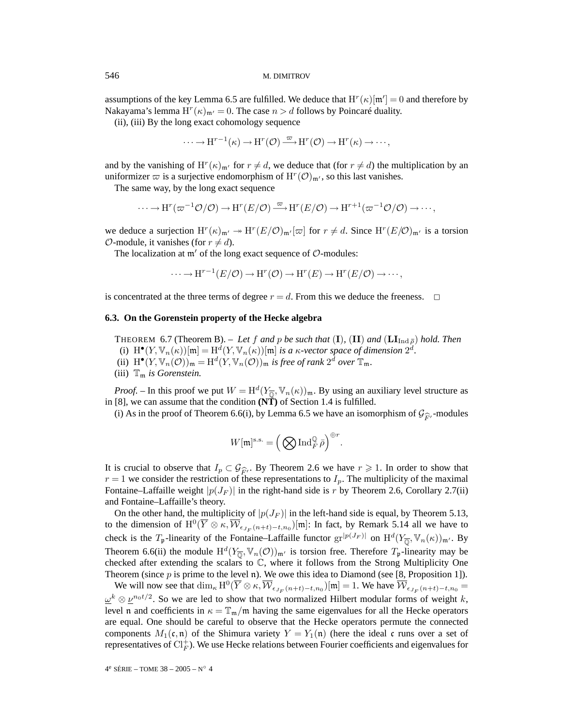assumptions of the key Lemma 6.5 are fulfilled. We deduce that  $H^r(\kappa)[m'] = 0$  and therefore by Nakayama's lemma  $H^r(\kappa)_{\mathfrak{m}'} = 0$ . The case  $n > d$  follows by Poincaré duality.

(ii), (iii) By the long exact cohomology sequence

$$
\cdots \to H^{r-1}(\kappa) \to H^r(\mathcal{O}) \stackrel{\varpi}{\longrightarrow} H^r(\mathcal{O}) \to H^r(\kappa) \to \cdots,
$$

and by the vanishing of  $H^r(\kappa)_{m'}$  for  $r \neq d$ , we deduce that (for  $r \neq d$ ) the multiplication by an uniformizer  $\varpi$  is a surjective endomorphism of  $H^r(\mathcal{O})_{\mathfrak{m}'}$ , so this last vanishes.

The same way, by the long exact sequence

$$
\cdots \to \mathrm{H}^r(\varpi^{-1}\mathcal{O}/\mathcal{O}) \to \mathrm{H}^r(E/\mathcal{O}) \xrightarrow{\varpi} \mathrm{H}^r(E/\mathcal{O}) \to \mathrm{H}^{r+1}(\varpi^{-1}\mathcal{O}/\mathcal{O}) \to \cdots,
$$

we deduce a surjection  $H^r(\kappa)_{\mathfrak{m}'} \to H^r(E/\mathcal{O})_{\mathfrak{m}'}[\varpi]$  for  $r \neq d$ . Since  $H^r(E/\mathcal{O})_{\mathfrak{m}'}$  is a torsion  $\mathcal{O}$ -module, it vanishes (for  $r \neq d$ ).

The localization at  $m'$  of the long exact sequence of  $\mathcal{O}$ -modules:

$$
\cdots \to \mathrm{H}^{r-1}(E/\mathcal{O}) \to \mathrm{H}^r(\mathcal{O}) \to \mathrm{H}^r(E) \to \mathrm{H}^r(E/\mathcal{O}) \to \cdots,
$$

is concentrated at the three terms of degree  $r = d$ . From this we deduce the freeness.  $\Box$ 

#### **6.3. On the Gorenstein property of the Hecke algebra**

THEOREM 6.7 (Theorem B). – Let f and p be such that  $(I)$ ,  $(II)$  and  $(LI_{Ind\bar{p}})$  hold. Then (i)  $H^{\bullet}(Y, \mathbb{V}_n(\kappa))[\mathfrak{m}]=H^d(Y, \mathbb{V}_n(\kappa))[\mathfrak{m}]$  *is a*  $\kappa$ *-vector space of dimension*  $2^d$ *.* 

- (ii)  $H^{\bullet}(Y, \mathbb{V}_n(\mathcal{O}))_{\mathfrak{m}} = H^d(Y, \mathbb{V}_n(\mathcal{O}))_{\mathfrak{m}}$  *is free of rank*  $2^d$  *over*  $\mathbb{T}_\mathfrak{m}$ *.*
- (iii)  $\mathbb{T}_m$  *is Gorenstein.*

*Proof.* – In this proof we put  $W = H^d(Y_{\overline{0}}, \mathbb{V}_n(\kappa))_{\mathfrak{m}}$ . By using an auxiliary level structure as in [8], we can assume that the condition **(NT)** of Section 1.4 is fulfilled.

(i) As in the proof of Theorem 6.6(i), by Lemma 6.5 we have an isomorphism of  $\mathcal{G}_{\widehat{F}}$ , -modules

$$
W[\mathfrak{m}]^{\text{s.s.}}=\left(\bigotimes\operatorname{Ind}_F^{\mathbb{Q}}\bar{\rho}\right)^{\oplus r}.
$$

It is crucial to observe that  $I_p \,\subset \,\mathcal{G}_{\widehat{F}'}$ . By Theorem 2.6 we have  $r \geq 1$ . In order to show that  $r = 1$  we consider the restriction of these representations to  $I_p$ . The multiplicity of the maximal  $r = 1$  we consider the restriction of these representations to  $I_p$ . The multiplicity of the maximal Fontaine–Laffaille weight  $|p(J_F)|$  in the right-hand side is r by Theorem 2.6, Corollary 2.7(ii) and Fontaine–Laffaille's theory.

On the other hand, the multiplicity of  $|p(J_F)|$  in the left-hand side is equal, by Theorem 5.13, to the dimension of  $\mathrm{H}^0(\overline{Y}\otimes\kappa,\overline{\mathcal{W}}_{\epsilon_{J_F}(n+t)-t,n_0})[\mathfrak{m}]$ : In fact, by Remark 5.14 all we have to check is the  $T_p$ -linearity of the Fontaine–Laffaille functor  $gr^{|p(J_F)|}$  on  $H^d(Y_{\overline{\mathbb{Q}}}, \mathbb{V}_n(\kappa))_{\mathfrak{m}'}$ . By Theorem 6.6(ii) the module  $H^d(Y_{\overline{\mathbb{Q}}}, \mathbb{V}_n(\mathcal{O}))_{\mathfrak{m}'}$  is torsion free. Therefore  $T_p$ -linearity may be checked after extending the scalars to  $\mathbb C$ , where it follows from the Strong Multiplicity One Theorem (since  $p$  is prime to the level n). We owe this idea to Diamond (see [8, Proposition 1]).

We will now see that  $\dim_{\kappa} H^0(\overline{Y} \otimes \kappa, \overline{\mathcal{W}}_{\epsilon_{J_F}(n+t)-t,n_0})[m]=1$ . We have  $\overline{\mathcal{W}}_{\epsilon_{J_F}(n+t)-t,n_0}$  $\underline{\omega}^k \otimes \underline{\nu}^{n_0 t/2}$ . So we are led to show that two normalized Hilbert modular forms of weight k, level n and coefficients in  $\kappa = \mathbb{T}_{m}/m$  having the same eigenvalues for all the Hecke operators are equal. One should be careful to observe that the Hecke operators permute the connected components  $M_1(\mathfrak{c}, \mathfrak{n})$  of the Shimura variety  $Y = Y_1(\mathfrak{n})$  (here the ideal c runs over a set of representatives of  $\text{Cl}_F^+$ ). We use Hecke relations between Fourier coefficients and eigenvalues for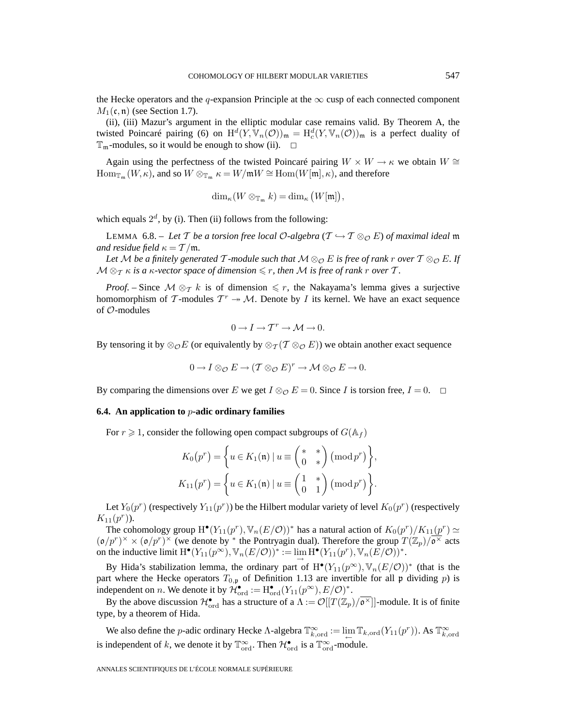the Hecke operators and the q-expansion Principle at the  $\infty$  cusp of each connected component  $M_1(\mathfrak{c}, \mathfrak{n})$  (see Section 1.7).

(ii), (iii) Mazur's argument in the elliptic modular case remains valid. By Theorem A, the twisted Poincaré pairing (6) on  $H^d(Y, \mathbb{V}_n(\mathcal{O}))_{\mathfrak{m}} = H^d_c(Y, \mathbb{V}_n(\mathcal{O}))_{\mathfrak{m}}$  is a perfect duality of  $\mathbb{T}_m$ -modules, so it would be enough to show (ii).  $\Box$ 

Again using the perfectness of the twisted Poincaré pairing  $W \times W \rightarrow \kappa$  we obtain  $W \cong$  $\operatorname{Hom}_{\mathbb{T}_{\mathfrak{m}}}(W,\kappa)$ , and so  $W \otimes_{\mathbb{T}_{\mathfrak{m}}} \kappa = W/\mathfrak{m}W \cong \operatorname{Hom}(W[\mathfrak{m}],\kappa)$ , and therefore

$$
\dim_{\kappa}(W \otimes_{\mathbb{T}_{\mathfrak{m}}} k) = \dim_{\kappa}(W[\mathfrak{m}]),
$$

which equals  $2^d$ , by (i). Then (ii) follows from the following:

LEMMA 6.8. – Let T be a torsion free local  $O$ -algebra ( $T \hookrightarrow T \otimes_{\mathcal{O}} E$ ) of maximal ideal m *and residue field*  $\kappa = T/m$ *.* 

*Let* M *be a finitely generated*  $\mathcal{T}$ *-module such that*  $\mathcal{M} \otimes_{\mathcal{O}} E$  *is free of rank* r *over*  $\mathcal{T} \otimes_{\mathcal{O}} E$ *. If*  ${\cal M} \otimes_{\cal T} \kappa$  is a  $\kappa$ -vector space of dimension  $\leqslant r$ , then  ${\cal M}$  is free of rank  $r$  over  ${\cal T}.$ 

*Proof.* – Since  $M \otimes_T k$  is of dimension  $\leq r$ , the Nakayama's lemma gives a surjective homomorphism of T-modules  $T^r \rightarrow M$ . Denote by I its kernel. We have an exact sequence of O-modules

$$
0 \to I \to T^r \to \mathcal{M} \to 0.
$$

By tensoring it by  $\otimes_{\mathcal{O}} E$  (or equivalently by  $\otimes_{\mathcal{T}} (\mathcal{T} \otimes_{\mathcal{O}} E)$ ) we obtain another exact sequence

$$
0 \to I \otimes_{\mathcal{O}} E \to (\mathcal{T} \otimes_{\mathcal{O}} E)^r \to \mathcal{M} \otimes_{\mathcal{O}} E \to 0.
$$

By comparing the dimensions over E we get  $I \otimes_{\mathcal{O}} E = 0$ . Since I is torsion free,  $I = 0$ .  $\Box$ 

#### **6.4. An application to** p**-adic ordinary families**

For  $r \geq 1$ , consider the following open compact subgroups of  $G(\mathbb{A}_f)$ 

$$
K_0(p^r) = \left\{ u \in K_1(\mathfrak{n}) \mid u \equiv \begin{pmatrix} * & * \\ 0 & * \end{pmatrix} (\text{mod } p^r) \right\},\newline K_{11}(p^r) = \left\{ u \in K_1(\mathfrak{n}) \mid u \equiv \begin{pmatrix} 1 & * \\ 0 & 1 \end{pmatrix} (\text{mod } p^r) \right\}.
$$

Let  $Y_0(p^r)$  (respectively  $Y_{11}(p^r)$ ) be the Hilbert modular variety of level  $K_0(p^r)$  (respectively  $K_{11}(p^r)$ ).

The cohomology group  $H^{\bullet}(Y_{11}(p^r), \mathbb{V}_n(E/O))^*$  has a natural action of  $K_0(p^r)/K_{11}(p^r) \simeq$  $({\mathfrak o}/p^r)^\times \times ({\mathfrak o}/p^r)^\times$  (we denote by \* the Pontryagin dual). Therefore the group  $T(\mathbb{Z}_p)/\overline{\mathfrak{o}^\times}$  acts on the inductive limit  $H^{\bullet}(Y_{11}(p^{\infty}), \mathbb{V}_n(E/\mathcal{O}))^* := \lim H^{\bullet}(Y_{11}(p^r), \mathbb{V}_n(E/\mathcal{O}))^*$ .

By Hida's stabilization lemma, the ordinary part of  $H^{\bullet}(Y_{11}(p^{\infty}), \mathbb{V}_n(E/\mathcal{O}))^*$  (that is the part where the Hecke operators  $T_{0,p}$  of Definition 1.13 are invertible for all p dividing p) is independent on *n*. We denote it by  $\mathcal{H}_{\text{ord}}^{\bullet} := H_{\text{ord}}^{\bullet}(Y_{11}(p^{\infty}), E/\mathcal{O})^*$ .

By the above discussion  $\mathcal{H}_{\text{ord}}^{\bullet}$  has a structure of a  $\Lambda := \mathcal{O}[[T(\mathbb{Z}_p)/\overline{\mathfrak{o}^{\times}}]]$ -module. It is of finite type, by a theorem of Hida.

We also define the *p*-adic ordinary Hecke Λ-algebra  $\mathbb{T}^\infty_{k,\text{ord}} := \lim_{\leftarrow} \mathbb{T}_{k,\text{ord}}(Y_{11}(p^r))$ . As  $\mathbb{T}^\infty_{k,\text{ord}}$ is independent of k, we denote it by  $\mathbb{T}^{\infty}_{\text{ord}}$ . Then  $\mathcal{H}^{\bullet}_{\text{ord}}$  is a  $\mathbb{T}^{\infty}_{\text{ord}}$ -module.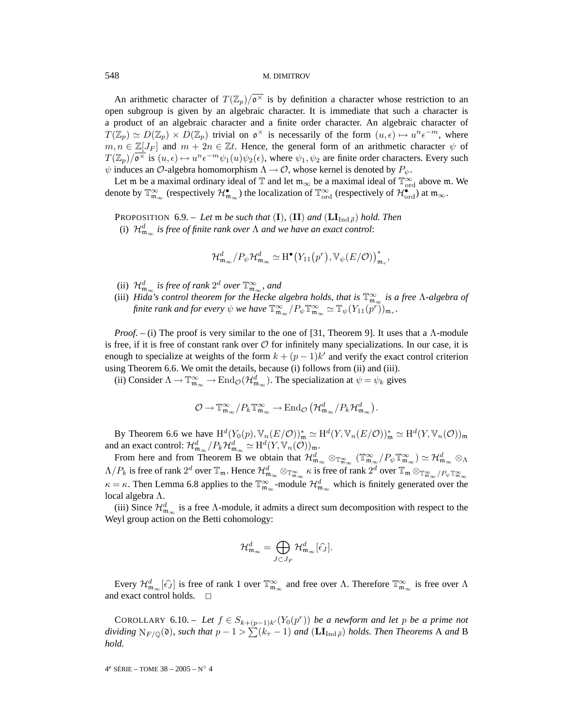An arithmetic character of  $T(\mathbb{Z}_p)/\sigma^{\times}$  is by definition a character whose restriction to an open subgroup is given by an algebraic character. It is immediate that such a character is a product of an algebraic character and a finite order character. An algebraic character of  $T(\mathbb{Z}_p) \simeq D(\mathbb{Z}_p) \times D(\mathbb{Z}_p)$  trivial on  $\mathfrak{o}^{\times}$  is necessarily of the form  $(u, \epsilon) \mapsto u^n \epsilon^{-m}$ , where  $m, n \in \mathbb{Z}[J_F]$  and  $m + 2n \in \mathbb{Z}t$ . Hence, the general form of an arithmetic character  $\psi$  of  $T(\mathbb{Z}_p)/\overline{\mathfrak{O}^\times}$  is  $(u,\epsilon) \mapsto u^n \epsilon^{-m} \psi_1(u)\psi_2(\epsilon)$ , where  $\psi_1, \psi_2$  are finite order characters. Every such  $\psi$  induces an O-algebra homomorphism  $\Lambda \to \mathcal{O}$ , whose kernel is denoted by  $P_{\psi}$ .

Let m be a maximal ordinary ideal of  $\mathbb T$  and let  $\mathfrak{m}_{\infty}$  be a maximal ideal of  $\mathbb{T}_{\text{ord}}^{\infty}$  above m. We denote by  $\mathbb{T}_{\mathfrak{m}_{\infty}}^{\infty}$  (respectively  $\mathcal{H}_{\mathfrak{m}_{\infty}}^{\bullet}$ ) the localization of  $\mathbb{T}_{\mathrm{ord}}^{\infty}$  (respectively of  $\mathcal{H}_{\mathrm{ord}}^{\bullet}$ ) at  $\mathfrak{m}_{\infty}$ .

**PROPOSITION** 6.9. – *Let*  $\mathfrak{m}$  *be such that* (**I**)*,* (**II**) *and* ( $\mathbf{LI}_{\text{Ind } \overline{\rho}}$ ) *hold. Then* 

(i)  $\mathcal{H}_{\mathfrak{m}_{\infty}}^d$  is free of finite rank over  $\Lambda$  and we have an exact control:

$$
\mathcal{H}^d_{\mathfrak{m}_\infty}/P_\psi\mathcal{H}^d_{\mathfrak{m}_\infty}\simeq \mathrm{H}^\bullet\big(Y_{11}\big(p^r\big),\mathbb{V}_\psi(E/\mathcal{O})\big)_{\mathfrak{m}_r}^*,
$$

- (ii)  $\mathcal{H}_{\mathfrak{m}_{\infty}}^d$  is free of rank  $2^d$  over  $\mathbb{T}_{\mathfrak{m}_{\infty}}^{\infty}$ , and
- (iii) *Hida's control theorem for the Hecke algebra holds, that is*  $\mathbb{T}^{\infty}_{m_{\infty}}$  *is a free* Λ-*algebra of finite rank and for every*  $\psi$  *we have*  $\mathbb{T}^{\infty}_{\mathfrak{m}_{\infty}}/P_{\psi}\mathbb{T}^{\infty}_{\mathfrak{m}_{\infty}} \simeq \mathbb{T}_{\psi}(Y_{11}(p^r))_{\mathfrak{m}_r}$ .

*Proof.* – (i) The proof is very similar to the one of [31, Theorem 9]. It uses that a Λ-module is free, if it is free of constant rank over  $\mathcal O$  for infinitely many specializations. In our case, it is enough to specialize at weights of the form  $k + (p - 1)k'$  and verify the exact control criterion using Theorem 6.6. We omit the details, because (i) follows from (ii) and (iii).

(ii) Consider  $\Lambda \to \mathbb{T}_{\mathfrak{m}_{\infty}}^{\infty} \to \text{End}_{\mathcal{O}}(\mathcal{H}_{\mathfrak{m}_{\infty}}^d)$ . The specialization at  $\psi = \psi_k$  gives

$$
\mathcal{O}\to{\mathbb{T}}^\infty_{{\mathfrak{m}}_\infty}/P_k{\mathbb{T}}^\infty_{{\mathfrak{m}}_\infty}\to \operatorname{End}_{\mathcal{O}}\big(\mathcal{H}^d_{{\mathfrak{m}}_\infty}/P_k\mathcal{H}^d_{{\mathfrak{m}}_\infty}\big).
$$

By Theorem 6.6 we have  $H^d(Y_0(p), \mathbb{V}_n(E/O))^*_{\mathfrak{m}} \simeq H^d(Y, \mathbb{V}_n(E/O))^*_{\mathfrak{m}} \simeq H^d(Y, \mathbb{V}_n(O))^*_{\mathfrak{m}}$ and an exact control:  $\mathcal{H}^d_{\mathfrak{m}_{\infty}}/P_k\mathcal{H}^d_{\mathfrak{m}_{\infty}} \simeq \mathrm{H}^d(Y, \mathbb{V}_n(\mathcal{O}))_{\mathfrak{m}}.$ 

From here and from Theorem B we obtain that  $\mathcal{H}_{\mathfrak{m}_{\infty}}^d \otimes_{\mathbb{T}_{\mathfrak{m}_{\infty}}^{\infty}} (\mathbb{T}_{\mathfrak{m}_{\infty}}^{\infty}/P_{\psi} \mathbb{T}_{\mathfrak{m}_{\infty}}^{\infty}) \simeq \mathcal{H}_{\mathfrak{m}_{\infty}}^d \otimes_{\Lambda}$  $\Lambda/P_k$  is free of rank  $2^d$  over  $\mathbb{T}_m$ . Hence  $\mathcal{H}_{\mathfrak{m}_{\infty}}^d \otimes_{\mathbb{T}_{\mathfrak{m}_{\infty}}^{\infty}} \kappa$  is free of rank  $2^d$  over  $\mathbb{T}_{\mathfrak{m}} \otimes_{\mathbb{T}_{\mathfrak{m}_{\infty}}^{\infty}} / P_{\psi} \mathbb{T}_{\mathfrak{m}_{\infty}}^{\infty}$  $\kappa = \kappa$ . Then Lemma 6.8 applies to the  $\mathbb{T}_{\mathfrak{m}_{\infty}}^{\infty}$ -module  $\mathcal{H}_{\mathfrak{m}_{\infty}}^d$  which is finitely generated over the local algebra Λ.

(iii) Since  $\mathcal{H}_{m_{\infty}}^d$  is a free  $\Lambda$ -module, it admits a direct sum decomposition with respect to the Weyl group action on the Betti cohomology:

$$
\mathcal{H}^d_{\mathfrak{m}_{\infty}} = \bigoplus_{J \subset J_F} \mathcal{H}^d_{\mathfrak{m}_{\infty}}[\widehat{\epsilon_J}].
$$

Every  $\mathcal{H}_{\mathfrak{m}_{\infty}}^d[\hat{\epsilon}_J]$  is free of rank 1 over  $\mathbb{T}_{\mathfrak{m}_{\infty}}^{\infty}$  and free over  $\Lambda$ . Therefore  $\mathbb{T}_{\mathfrak{m}_{\infty}}^{\infty}$  is free over  $\Lambda$ and exact control holds.  $\square$ 

COROLLARY 6.10. – Let  $f \in S_{k+(p-1)k'}(Y_0(p^r))$  be a newform and let p be a prime not  $dividing\ N_{F/{\mathbb Q}}(\mathfrak{d})$ *, such that*  $p-1>\sum(k_{\tau}-1)$  *and*  $(\mathbf{LI}_{\mathrm{Ind\ }\bar{\rho}})$  *holds. Then Theorems* A *and* B *hold.*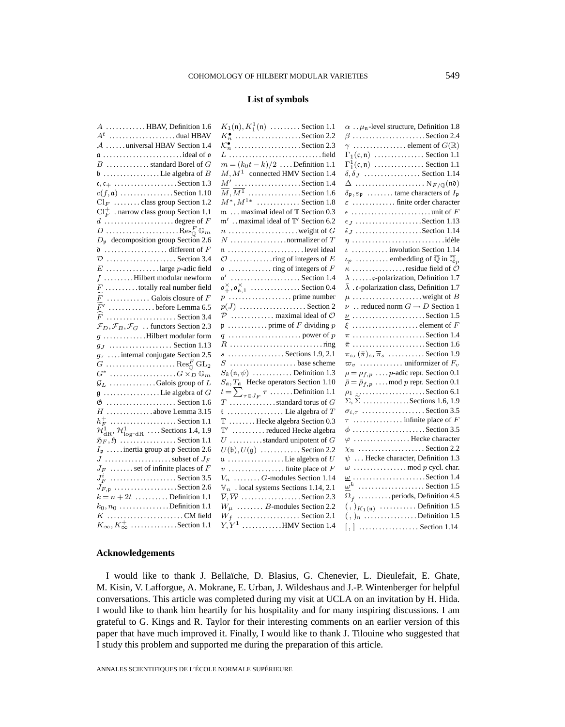# **List of symbols**

| $A$ HBAV, Definition 1.6                                                        | $K_1(\mathfrak{n}), K_1^1(\mathfrak{n}) \dots \dots$ . Section 1.1              | $\alpha$ . $\mu$ <sub>n</sub> -level structure, Definition 1.8              |
|---------------------------------------------------------------------------------|---------------------------------------------------------------------------------|-----------------------------------------------------------------------------|
| $A^t$ dual HBAV                                                                 | $K_n^{\bullet}$ Section 2.2                                                     |                                                                             |
| $A$ universal HBAV Section 1.4                                                  | $\mathcal{K}_n^{\bullet}$ Section 2.3                                           | $\gamma$ element of $G(\mathbb{R})$                                         |
|                                                                                 |                                                                                 | $\Gamma_1(\mathfrak{c},\mathfrak{n})$ Section 1.1                           |
| $B$ standard Borel of $G$                                                       | $m = (k_0 t - k)/2$ Definition 1.1                                              | $\Gamma_1^1(\mathfrak{c},\mathfrak{n})$ Section 1.1                         |
|                                                                                 | $M, M1$ connected HMV Section 1.4                                               | $\delta, \delta$ <sub>J</sub> Section 1.14                                  |
|                                                                                 | $M'$ Section 1.4                                                                |                                                                             |
| $c(f, \mathfrak{a})$ Section 1.10                                               | $\overline{M}, \overline{M^1}, \ldots, \ldots, \ldots$ . Section 1.6            | $\delta_p$ , $\varepsilon_p$ tame characters of $I_p$                       |
| $Cl_F$ class group Section 1.2                                                  | $M^*, M^{1*}$ Section 1.8                                                       | $\varepsilon$ finite order character                                        |
| $\mathrm{Cl}_{F}^+$ . narrow class group Section 1.1                            | $m$ maximal ideal of $T$ Section 0.3                                            |                                                                             |
| $d$ degree of F                                                                 | $m'$ . maximal ideal of $T'$ Section 6.2                                        |                                                                             |
| $D$ Res <sub>o</sub> <sup>F</sup> $\mathbb{G}_m$                                | $n \ldots \ldots \ldots \ldots \ldots$ weight of $G$                            | $\hat{\epsilon}_J$ Section 1.14                                             |
| $D_{\mathfrak{p}}$ decomposition group Section 2.6                              |                                                                                 |                                                                             |
|                                                                                 | $\mathfrak{n}$ level ideal                                                      | $\iota$ involution Section 1.14                                             |
| $\mathcal{D}$ Section 3.4                                                       |                                                                                 | $\iota_p$ embedding of $\overline{\mathbb{Q}}$ in $\overline{\mathbb{Q}}_p$ |
| $E$ large $p$ -adic field                                                       |                                                                                 |                                                                             |
| $f$ Hilbert modular newform                                                     | $\mathfrak{o}'$ Section 1.4                                                     | $\lambda$ c-polarization, Definition 1.7                                    |
| $F$ totally real number field                                                   | $\mathfrak{o}^{\times}_{+}, \mathfrak{o}^{\times}_{\mathfrak{n},1}$ Section 0.4 | $\bar{\lambda}$ . c-polarization class, Definition 1.7                      |
| $F_1$ Galois closure of $F$                                                     |                                                                                 |                                                                             |
| F'<br>$\ldots$ before Lemma 6.5                                                 | $p(J)$ Section 2                                                                | $\nu$ reduced norm $G \to D$ Section 1                                      |
| $F$ Section 3.4                                                                 | $P$ maximal ideal of $O$                                                        |                                                                             |
| $\mathcal{F}_D, \mathcal{F}_B, \mathcal{F}_G$ functors Section 2.3              |                                                                                 |                                                                             |
|                                                                                 |                                                                                 |                                                                             |
| $g_J$ Section 1.13                                                              |                                                                                 |                                                                             |
| $g_{\tau}$ internal conjugate Section 2.5                                       | $s$ Sections 1.9, 2.1                                                           | $\pi_s$ , $(\bar{\pi})_s$ , $\bar{\pi}_s$ Section 1.9                       |
|                                                                                 | $S$ base scheme                                                                 |                                                                             |
|                                                                                 | $S_k(\mathfrak{n}, \psi)$ Definition 1.3                                        | $\rho = \rho_{f,p} \dots p$ -adic repr. Section 0.1                         |
| $\mathcal{G}_L$ Galois group of L                                               | $S_{\mathfrak{a}}$ , $T_{\mathfrak{a}}$ Hecke operators Section 1.10            | $\bar{\rho} = \bar{\rho}_{f,p} \dots$ mod p repr. Section 0.1               |
|                                                                                 | $t = \sum_{\tau \in J_F} \tau \dots \dots$ . Definition 1.1                     |                                                                             |
| $\&$ Section 1.6                                                                | $T \dots \dots \dots \dots$ standard torus of $G$                               | $\Sigma$ , $\widetilde{\Sigma}$ Sections 1.6, 1.9                           |
| $H$ above Lemma 3.15                                                            |                                                                                 | $\sigma_{i,\tau}$ Section 3.5                                               |
| $h_F^+$ Section 1.1                                                             | T  Hecke algebra Section 0.3                                                    |                                                                             |
| $\mathcal{H}_{\text{dR}}^1$ , $\mathcal{H}_{\text{log-dR}}^1$ Sections 1.4, 1.9 | $T'$ reduced Hecke algebra                                                      |                                                                             |
| $\mathfrak{H}_F, \mathfrak{H}$ Section 1.1                                      | $U$ standard unipotent of $G$                                                   | $\varphi$ Hecke character                                                   |
| $I_p$ inertia group at p Section 2.6                                            | $U(\mathfrak{b}), U(\mathfrak{g})$ Section 2.2                                  | $\chi_n$ Section 2.2                                                        |
|                                                                                 |                                                                                 | $\psi$ Hecke character, Definition 1.3                                      |
| $J_F$ set of infinite places of $F$                                             |                                                                                 |                                                                             |
| $J_F^i$ Section 3.5                                                             | $V_n$ G-modules Section 1.14                                                    | $\underline{\omega}$ Section 1.4                                            |
|                                                                                 | $\mathbb{V}_n$ . local systems Sections 1.14, 2.1                               | $\underline{\omega}^k$ Section 1.5                                          |
| $k = n + 2t$ Definition 1.1                                                     | $\overline{\mathcal{V}}, \overline{\mathcal{W}}$ Section 2.3                    | $\Omega$ <sub>f</sub> periods, Definition 4.5                               |
| $k_0, n_0, \ldots, \ldots, k_0$ . Definition 1.1                                | $W_{\mu}$ B-modules Section 2.2                                                 | $\left(\frac{1}{2}\right)_{K_1(\mathfrak{n})}$ Definition 1.5               |
| $K$ CM field                                                                    | $W_f$ Section 2.1                                                               | $(, )$ <sub>n</sub> Definition 1.5                                          |
| $K_{\infty}, K_{\infty}^+ \dots \dots \dots \dots$ Section 1.1                  | $Y, Y^1, \ldots, Y^N$ . HMV Section 1.4                                         | $[,]$ Section 1.14                                                          |

# **Acknowledgements**

I would like to thank J. Bellaïche, D. Blasius, G. Chenevier, L. Dieulefait, E. Ghate, M. Kisin, V. Lafforgue, A. Mokrane, E. Urban, J. Wildeshaus and J.-P. Wintenberger for helpful conversations. This article was completed during my visit at UCLA on an invitation by H. Hida. I would like to thank him heartily for his hospitality and for many inspiring discussions. I am grateful to G. Kings and R. Taylor for their interesting comments on an earlier version of this paper that have much improved it. Finally, I would like to thank J. Tilouine who suggested that I study this problem and supported me during the preparation of this article.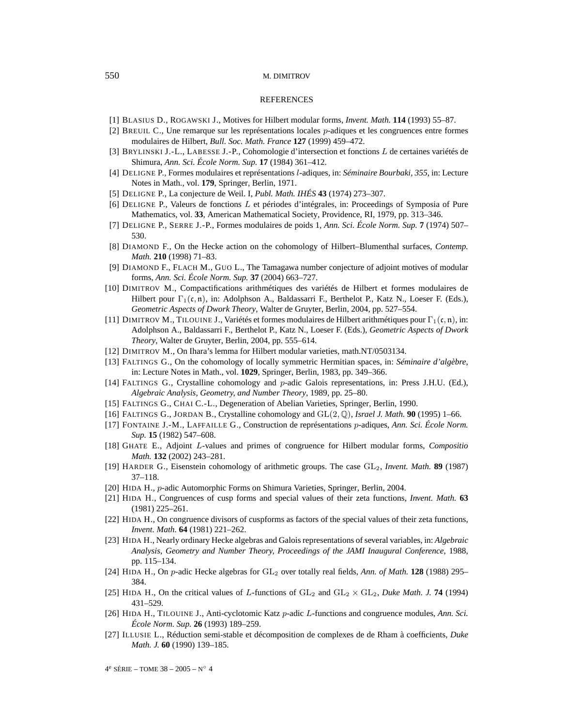#### REFERENCES

- [1] BLASIUS D., ROGAWSKI J., Motives for Hilbert modular forms, *Invent. Math.* **114** (1993) 55–87.
- [2] BREUIL C., Une remarque sur les représentations locales p-adiques et les congruences entre formes modulaires de Hilbert, *Bull. Soc. Math. France* **127** (1999) 459–472.
- [3] BRYLINSKI J.-L., LABESSE J.-P., Cohomologie d'intersection et fonctions L de certaines variétés de Shimura, *Ann. Sci. École Norm. Sup.* **17** (1984) 361–412.
- [4] DELIGNE P., Formes modulaires et représentations l-adiques, in: *Séminaire Bourbaki, 355*, in: Lecture Notes in Math., vol. **179**, Springer, Berlin, 1971.
- [5] DELIGNE P., La conjecture de Weil. I, *Publ. Math. IHÉS* **43** (1974) 273–307.
- [6] DELIGNE P., Valeurs de fonctions L et périodes d'intégrales, in: Proceedings of Symposia of Pure Mathematics, vol. **33**, American Mathematical Society, Providence, RI, 1979, pp. 313–346.
- [7] DELIGNE P., SERRE J.-P., Formes modulaires de poids 1, *Ann. Sci. École Norm. Sup.* **7** (1974) 507– 530.
- [8] DIAMOND F., On the Hecke action on the cohomology of Hilbert–Blumenthal surfaces, *Contemp. Math.* **210** (1998) 71–83.
- [9] DIAMOND F., FLACH M., GUO L., The Tamagawa number conjecture of adjoint motives of modular forms, *Ann. Sci. École Norm. Sup.* **37** (2004) 663–727.
- [10] DIMITROV M., Compactifications arithmétiques des variétés de Hilbert et formes modulaires de Hilbert pour  $\Gamma_1(\mathfrak{c}, \mathfrak{n})$ , in: Adolphson A., Baldassarri F., Berthelot P., Katz N., Loeser F. (Eds.), *Geometric Aspects of Dwork Theory*, Walter de Gruyter, Berlin, 2004, pp. 527–554.
- [11] DIMITROV M., TILOUINE J., Variétés et formes modulaires de Hilbert arithmétiques pour  $\Gamma_1(\mathfrak{c}, \mathfrak{n})$ , in: Adolphson A., Baldassarri F., Berthelot P., Katz N., Loeser F. (Eds.), *Geometric Aspects of Dwork Theory*, Walter de Gruyter, Berlin, 2004, pp. 555–614.
- [12] DIMITROV M., On Ihara's lemma for Hilbert modular varieties, math.NT/0503134.
- [13] FALTINGS G., On the cohomology of locally symmetric Hermitian spaces, in: *Séminaire d'algèbre*, in: Lecture Notes in Math., vol. **1029**, Springer, Berlin, 1983, pp. 349–366.
- [14] FALTINGS G., Crystalline cohomology and p-adic Galois representations, in: Press J.H.U. (Ed.), *Algebraic Analysis, Geometry, and Number Theory*, 1989, pp. 25–80.
- [15] FALTINGS G., CHAI C.-L., Degeneration of Abelian Varieties, Springer, Berlin, 1990.
- [16] FALTINGS G., JORDAN B., Crystalline cohomology and GL(2,Q), *Israel J. Math.* **90** (1995) 1–66.
- [17] FONTAINE J.-M., LAFFAILLE G., Construction de représentations p-adiques, *Ann. Sci. École Norm. Sup.* **15** (1982) 547–608.
- [18] GHATE E., Adjoint L-values and primes of congruence for Hilbert modular forms, *Compositio Math.* **132** (2002) 243–281.
- [19] HARDER G., Eisenstein cohomology of arithmetic groups. The case GL2, *Invent. Math.* **89** (1987) 37–118.
- [20] HIDA H., p-adic Automorphic Forms on Shimura Varieties, Springer, Berlin, 2004.
- [21] HIDA H., Congruences of cusp forms and special values of their zeta functions, *Invent. Math.* **63** (1981) 225–261.
- [22] HIDA H., On congruence divisors of cuspforms as factors of the special values of their zeta functions, *Invent. Math.* **64** (1981) 221–262.
- [23] HIDA H., Nearly ordinary Hecke algebras and Galois representations of several variables, in: *Algebraic Analysis, Geometry and Number Theory, Proceedings of the JAMI Inaugural Conference*, 1988, pp. 115–134.
- [24] HIDA H., On *p*-adic Hecke algebras for  $GL_2$  over totally real fields, *Ann. of Math.* **128** (1988) 295– 384.
- [25] HIDA H., On the critical values of L-functions of  $GL_2$  and  $GL_2 \times GL_2$ , *Duke Math. J.* **74** (1994) 431–529.
- [26] HIDA H., TILOUINE J., Anti-cyclotomic Katz p-adic L-functions and congruence modules, *Ann. Sci. École Norm. Sup.* **26** (1993) 189–259.
- [27] ILLUSIE L., Réduction semi-stable et décomposition de complexes de de Rham à coefficients, *Duke Math. J.* **60** (1990) 139–185.